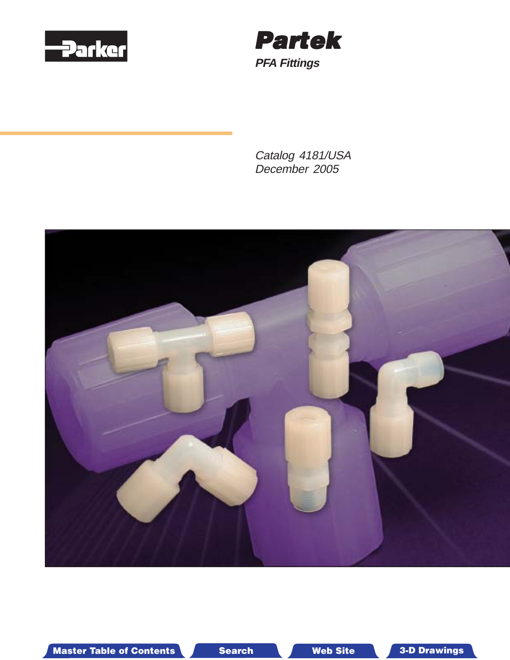



Catalog 4181/USA December 2005



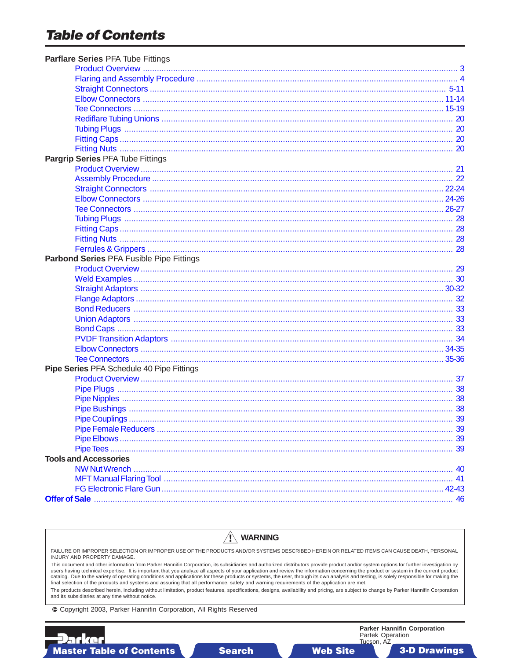# **Table of Contents**

| <b>Parflare Series PFA Tube Fittings</b>        |    |
|-------------------------------------------------|----|
|                                                 |    |
|                                                 |    |
|                                                 |    |
|                                                 |    |
|                                                 |    |
|                                                 |    |
|                                                 |    |
|                                                 |    |
|                                                 |    |
| Pargrip Series PFA Tube Fittings                |    |
|                                                 |    |
|                                                 |    |
|                                                 |    |
|                                                 |    |
|                                                 |    |
|                                                 |    |
|                                                 |    |
|                                                 |    |
|                                                 |    |
| <b>Parbond Series PFA Fusible Pipe Fittings</b> |    |
|                                                 |    |
|                                                 |    |
|                                                 |    |
|                                                 |    |
|                                                 |    |
|                                                 |    |
|                                                 |    |
|                                                 |    |
|                                                 |    |
|                                                 |    |
| Pipe Series PFA Schedule 40 Pipe Fittings       |    |
|                                                 |    |
|                                                 |    |
|                                                 |    |
|                                                 |    |
|                                                 |    |
| <b>Pipe Female Reducers</b>                     | 39 |
|                                                 |    |
|                                                 |    |
| <b>Tools and Accessories</b>                    |    |
|                                                 |    |
|                                                 |    |
|                                                 |    |
|                                                 |    |



FAILURE OR IMPROPER SELECTION OR IMPROPER USE OF THE PRODUCTS AND/OR SYSTEMS DESCRIBED HEREIN OR RELATED ITEMS CAN CAUSE DEATH, PERSONAL INJURY AND PROPERTY DAMAGE.

This document and other information from Parker Hannifin Corporation, its subsidiaries and authorized distributors provide product and/or system options for further investigation by users having technical expertise. It is important that you analyze all aspects of your application and review the information concerning the product or system in the current product catalog. Due to the variety of operating

The products described herein, including without limitation, product features, specifications, designs, availability and pricing, are subject to change by Parker Hannifin Corporation and its subsidiaries at any time withou

© Copyright 2003, Parker Hannifin Corporation, All Rights Reserved

**Parker Hannifin Corporation** Partek Operation <u> <del>Darker</del></u> Tucson, AZ **Master Table of Contents Search Web Site 3-D Drawings**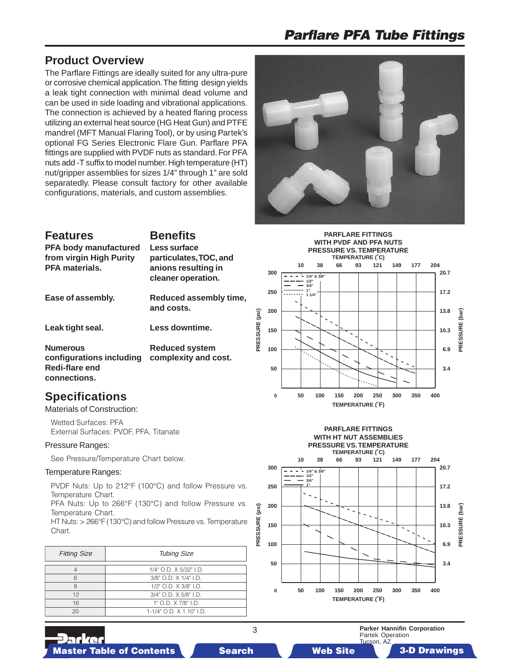# <span id="page-2-0"></span>**Product Overview**

The Parflare Fittings are ideally suited for any ultra-pure or corrosive chemical application. The fitting design yields a leak tight connection with minimal dead volume and can be used in side loading and vibrational applications. The connection is achieved by a heated flaring process utilizing an external heat source (HG Heat Gun) and PTFE mandrel (MFT Manual Flaring Tool), or by using Partek's optional FG Series Electronic Flare Gun. Parflare PFA fittings are supplied with PVDF nuts as standard. For PFA nuts add -T suffix to model number. High temperature (HT) nut/gripper assemblies for sizes 1/4" through 1" are sold separatedly. Please consult factory for other available configurations, materials, and custom assemblies.



# **Features**

### **Benefits**

| <b>PFA body manufactured</b><br>from virgin High Purity<br>PFA materials. | Less surface<br>particulates, TOC, and<br>anions resulting in<br>cleaner operation. |
|---------------------------------------------------------------------------|-------------------------------------------------------------------------------------|
| Ease of assembly.                                                         | Reduced assembly time,<br>and costs.                                                |

**Less downtime.**

**Leak tight seal.**

**Reduced system**

**Numerous configurations including complexity and cost. Redi-flare end connections.**

# **Specifications**

Materials of Construction:

Wetted Surfaces: PFA External Surfaces: PVDF, PFA, Titanate

#### Pressure Ranges:

See Pressure/Temperature Chart below.

#### Temperature Ranges:

PVDF Nuts: Up to 212°F (100°C) and follow Pressure vs. Temperature Chart.

PFA Nuts: Up to 266°F (130°C) and follow Pressure vs. Temperature Chart.

HT Nuts: > 266°F (130°C) and follow Pressure vs. Temperature Chart.

| <b>Fitting Size</b> | <b>Tubing Size</b>       |
|---------------------|--------------------------|
|                     | 1/4" O.D. X 5/32" I.D.   |
| հ                   | 3/8" O.D. X 1/4" I.D.    |
| 8                   | 1/2" O.D. X 3/8" I.D.    |
| 12                  | 3/4" O.D. X 5/8" I.D.    |
| 16                  | 1" O.D. X 7/8" I.D.      |
|                     | 1-1/4" O.D. X 1.10" I.D. |





3

Master Table of Contents **3. Dearch Master Table of Contents 3-D Drawings** Search Master Table of Contents 3-D Drawings

Parker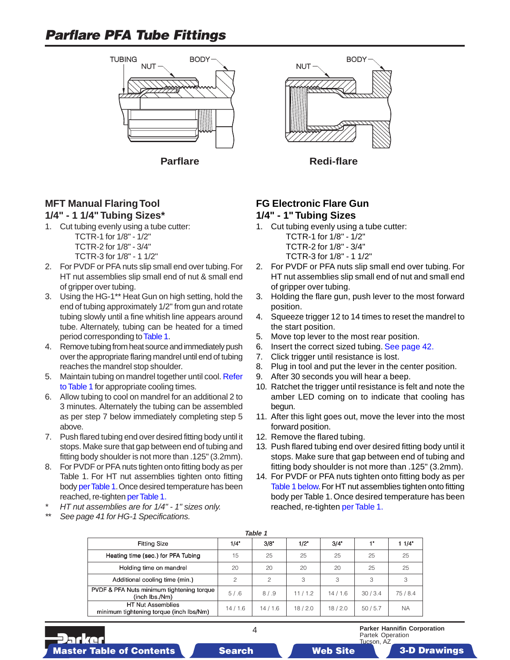<span id="page-3-0"></span>

#### **MFT Manual Flaring Tool 1/4" - 1 1/4" Tubing Sizes\***

- 1. Cut tubing evenly using a tube cutter: TCTR-1 for 1/8" - 1/2" TCTR-2 for 1/8" - 3/4" TCTR-3 for 1/8" - 1 1/2"
- 2. For PVDF or PFA nuts slip small end over tubing. For HT nut assemblies slip small end of nut & small end of gripper over tubing.
- 3. Using the HG-1\*\* Heat Gun on high setting, hold the end of tubing approximately 1/2" from gun and rotate tubing slowly until a fine whitish line appears around tube. Alternately, tubing can be heated for a timed period corresponding to Table 1.
- 4. Remove tubing from heat source and immediately push over the appropriate flaring mandrel until end of tubing reaches the mandrel stop shoulder.
- 5. Maintain tubing on mandrel together until cool. Refer to Table 1 for appropriate cooling times.
- 6. Allow tubing to cool on mandrel for an additional 2 to 3 minutes. Alternately the tubing can be assembled as per step 7 below immediately completing step 5 above.
- 7. Push flared tubing end over desired fitting body until it stops. Make sure that gap between end of tubing and fitting body shoulder is not more than .125" (3.2mm).
- 8. For PVDF or PFA nuts tighten onto fitting body as per Table 1. For HT nut assemblies tighten onto fitting body per Table 1. Once desired temperature has been reached, re-tighten per Table 1.
- *\* HT nut assemblies are for 1/4" 1" sizes only.*
- *\*\* See page 41 for HG-1 Specifications.*

Yarker



**Parflare Redi-flare**

#### **FG Electronic Flare Gun 1/4" - 1" Tubing Sizes**

- 1. Cut tubing evenly using a tube cutter: TCTR-1 for 1/8" - 1/2" TCTR-2 for 1/8" - 3/4" TCTR-3 for 1/8" - 1 1/2"
- 2. For PVDF or PFA nuts slip small end over tubing. For HT nut assemblies slip small end of nut and small end of gripper over tubing.
- 3. Holding the flare gun, push lever to the most forward position.
- 4. Squeeze trigger 12 to 14 times to reset the mandrel to the start position.
- 5. Move top lever to the most rear position.
- 6. Insert the correct sized tubi[ng. See page 42.](#page-41-0)
- 7. Click trigger until resistance is lost.
- 8. Plug in tool and put the lever in the center position.
- 9. After 30 seconds you will hear a beep.
- 10. Ratchet the trigger until resistance is felt and note the amber LED coming on to indicate that cooling has begun.
- 11. After this light goes out, move the lever into the most forward position.
- 12. Remove the flared tubing.
- 13. Push flared tubing end over desired fitting body until it stops. Make sure that gap between end of tubing and fitting body shoulder is not more than .125" (3.2mm).
- 14. For PVDF or PFA nuts tighten onto fitting body as per Table 1 below. For HT nut assemblies tighten onto fitting body per Table 1. Once desired temperature has been reached, re-tighten per Table 1.

|                                                                     |        | Table 1       |        |        |        |           |
|---------------------------------------------------------------------|--------|---------------|--------|--------|--------|-----------|
| <b>Fitting Size</b>                                                 | 1/4"   | 3/8"          | 1/2"   | 3/4"   | 11     | 11/4"     |
| Heating time (sec.) for PFA Tubing                                  | 15     | 25            | 25     | 25     | 25     | 25        |
| Holding time on mandrel                                             | 20     | 20            | 20     | 20     | 25     | 25        |
| Additional cooling time (min.)                                      | 2      | $\mathcal{P}$ | 3      | 3      | 3      | 3         |
| PVDF & PFA Nuts minimum tightening torque<br>(inch lbs./Nm)         | 5/6    | 8/9           | 11/1.2 | 14/1.6 | 30/3.4 | 75 / 8.4  |
| <b>HT Nut Assemblies</b><br>minimum tightening torque (inch lbs/Nm) | 14/1.6 | 14/1.6        | 18/2.0 | 18/2.0 | 50/5.7 | <b>NA</b> |

4

Master Table of Contents **3. Dearch Master Table of Contents 3-D Drawings** Search

**Parker Hannifin Corporation** Partek Operation

Tucson, AZ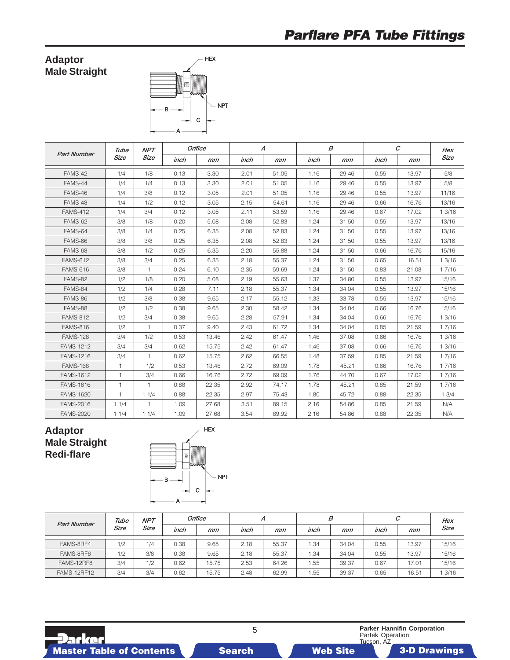# <span id="page-4-0"></span>**Adaptor Male Straight**



|                    | Tube         | <b>NPT</b>   |      | <b>Orifice</b> |      | $\boldsymbol{A}$ |      | $\boldsymbol{B}$ |      | C     |        |
|--------------------|--------------|--------------|------|----------------|------|------------------|------|------------------|------|-------|--------|
| <b>Part Number</b> | Size         | Size         | inch | mm             | inch | mm               | inch | mm               | inch | mm    | Size   |
| FAMS-42            | 1/4          | 1/8          | 0.13 | 3.30           | 2.01 | 51.05            | 1.16 | 29.46            | 0.55 | 13.97 | 5/8    |
| FAMS-44            | 1/4          | 1/4          | 0.13 | 3.30           | 2.01 | 51.05            | 1.16 | 29.46            | 0.55 | 13.97 | 5/8    |
| FAMS-46            | 1/4          | 3/8          | 0.12 | 3.05           | 2.01 | 51.05            | 1.16 | 29.46            | 0.55 | 13.97 | 11/16  |
| FAMS-48            | 1/4          | 1/2          | 0.12 | 3.05           | 2.15 | 54.61            | 1.16 | 29.46            | 0.66 | 16.76 | 13/16  |
| <b>FAMS-412</b>    | 1/4          | 3/4          | 0.12 | 3.05           | 2.11 | 53.59            | 1.16 | 29.46            | 0.67 | 17.02 | 13/16  |
| FAMS-62            | 3/8          | 1/8          | 0.20 | 5.08           | 2.08 | 52.83            | 1.24 | 31.50            | 0.55 | 13.97 | 13/16  |
| FAMS-64            | 3/8          | 1/4          | 0.25 | 6.35           | 2.08 | 52.83            | 1.24 | 31.50            | 0.55 | 13.97 | 13/16  |
| FAMS-66            | 3/8          | 3/8          | 0.25 | 6.35           | 2.08 | 52.83            | 1.24 | 31.50            | 0.55 | 13.97 | 13/16  |
| FAMS-68            | 3/8          | 1/2          | 0.25 | 6.35           | 2.20 | 55.88            | 1.24 | 31.50            | 0.66 | 16.76 | 15/16  |
| <b>FAMS-612</b>    | 3/8          | 3/4          | 0.25 | 6.35           | 2.18 | 55.37            | 1.24 | 31.50            | 0.65 | 16.51 | 13/16  |
| <b>FAMS-616</b>    | 3/8          | $\mathbf{1}$ | 0.24 | 6.10           | 2.35 | 59.69            | 1.24 | 31.50            | 0.83 | 21.08 | 1 7/16 |
| FAMS-82            | 1/2          | 1/8          | 0.20 | 5.08           | 2.19 | 55.63            | 1.37 | 34.80            | 0.55 | 13.97 | 15/16  |
| FAMS-84            | 1/2          | 1/4          | 0.28 | 7.11           | 2.18 | 55.37            | 1.34 | 34.04            | 0.55 | 13.97 | 15/16  |
| FAMS-86            | 1/2          | 3/8          | 0.38 | 9.65           | 2.17 | 55.12            | 1.33 | 33.78            | 0.55 | 13.97 | 15/16  |
| FAMS-88            | 1/2          | 1/2          | 0.38 | 9.65           | 2.30 | 58.42            | 1.34 | 34.04            | 0.66 | 16.76 | 15/16  |
| <b>FAMS-812</b>    | 1/2          | 3/4          | 0.38 | 9.65           | 2.28 | 57.91            | 1.34 | 34.04            | 0.66 | 16.76 | 13/16  |
| <b>FAMS-816</b>    | 1/2          | $\mathbf{1}$ | 0.37 | 9.40           | 2.43 | 61.72            | 1.34 | 34.04            | 0.85 | 21.59 | 1 7/16 |
| <b>FAMS-128</b>    | 3/4          | 1/2          | 0.53 | 13.46          | 2.42 | 61.47            | 1.46 | 37.08            | 0.66 | 16.76 | 13/16  |
| <b>FAMS-1212</b>   | 3/4          | 3/4          | 0.62 | 15.75          | 2.42 | 61.47            | 1.46 | 37.08            | 0.66 | 16.76 | 13/16  |
| <b>FAMS-1216</b>   | 3/4          | $\mathbf{1}$ | 0.62 | 15.75          | 2.62 | 66.55            | 1.48 | 37.59            | 0.85 | 21.59 | 1 7/16 |
| <b>FAMS-168</b>    | $\mathbf{1}$ | 1/2          | 0.53 | 13.46          | 2.72 | 69.09            | 1.78 | 45.21            | 0.66 | 16.76 | 1 7/16 |
| <b>FAMS-1612</b>   | $\mathbf{1}$ | 3/4          | 0.66 | 16.76          | 2.72 | 69.09            | 1.76 | 44.70            | 0.67 | 17.02 | 17/16  |
| <b>FAMS-1616</b>   | $\mathbf{1}$ | $\mathbf{1}$ | 0.88 | 22.35          | 2.92 | 74.17            | 1.78 | 45.21            | 0.85 | 21.59 | 17/16  |
| <b>FAMS-1620</b>   | $\mathbf{1}$ | 11/4         | 0.88 | 22.35          | 2.97 | 75.43            | 1.80 | 45.72            | 0.88 | 22.35 | 13/4   |
| <b>FAMS-2016</b>   | 11/4         | 1            | 1.09 | 27.68          | 3.51 | 89.15            | 2.16 | 54.86            | 0.85 | 21.59 | N/A    |
| <b>FAMS-2020</b>   | 11/4         | 11/4         | 1.09 | 27.68          | 3.54 | 89.92            | 2.16 | 54.86            | 0.88 | 22.35 | N/A    |

# **Adaptor Male Straight Redi-flare**



 $\mathbf C$ 

B

A

NPT

| <b>Part Number</b> | <b>NPT</b><br>Tube |      |      | Orifice |      |       |       | В     |      | C     | Hex   |
|--------------------|--------------------|------|------|---------|------|-------|-------|-------|------|-------|-------|
|                    | Size               | Size | inch | mm      | inch | mm    | inch  | mm    | inch | mm    | Size  |
| FAMS-8RF4          | 1/2                | 1/4  | 0.38 | 9.65    | 2.18 | 55.37 | . 34  | 34.04 | 0.55 | 13.97 | 15/16 |
| FAMS-8RF6          | 1/2                | 3/8  | 0.38 | 9.65    | 2.18 | 55.37 | . 34  | 34.04 | 0.55 | 13.97 | 15/16 |
| FAMS-12RF8         | 3/4                | 1/2  | 0.62 | 15.75   | 2.53 | 64.26 | .55   | 39.37 | 0.67 | 17.01 | 15/16 |
| <b>FAMS-12RF12</b> | 3/4                | 3/4  | 0.62 | 15.75   | 2.48 | 62.99 | . .55 | 39.37 | 0.65 | 16.51 | 3/16  |



5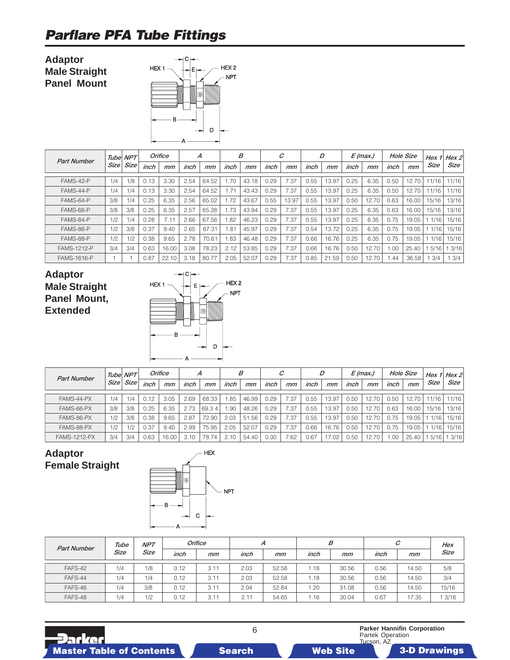# **Adaptor Male Straight Panel Mount**



|                    | Tube NPT<br><b>Part Number</b> |      |      | Orifice       |      | А     |        | B     |      | C     |      | D     |      | $E$ (max.) |      | Hole Size | Hex $1$ | Hex 2 |
|--------------------|--------------------------------|------|------|---------------|------|-------|--------|-------|------|-------|------|-------|------|------------|------|-----------|---------|-------|
|                    | Size                           | Size | inch | mm            | inch | mm    | inch   | mm    | inch | mm    | inch | mm    | inch | mm         | inch | mm        | Size    | Size  |
| FAMS-42-P          | 1/4                            | 1/8  | 0.13 | 3.30          | 2.54 | 64.52 | 1.70   | 43.18 | 0.29 | 7.37  | 0.55 | 13.97 | 0.25 | 6.35       | 0.50 | 12.70     | 1/16    | 11/16 |
| FAMS-44-P          | 1/4                            | 1/4  | 0.13 | 3.30          | 2.54 | 64.52 | $1.7*$ | 43.43 | 0.29 | 7.37  | 0.55 | 13.97 | 0.25 | 6.35       | 0.50 | 12.70     | 1/16    | 11/16 |
| FAMS-64-P          | 3/8                            | 1/4  | 0.25 | 6.35          | 2.56 | 65.02 | 1.72   | 43.67 | 0.55 | 13.97 | 0.55 | 13.97 | 0.50 | 12.70      | 0.63 | 16.00     | 15/16   | 13/16 |
| FAMS-66-P          | 3/8                            | 3/8  | 0.25 | 6.35          | 2.57 | 65.28 | 1.73   | 43.94 | 0.29 | 7.37  | 0.55 | 13.97 | 0.25 | 6.35       | 0.63 | 16.00     | 15/16   | 13/16 |
| FAMS-84-P          | 1/2                            | 1/4  | 0.28 | $7.1^{\circ}$ | 2.66 | 67.56 | .82    | 46.23 | 0.29 | 7.37  | 0.55 | 13.97 | 0.25 | 6.35       | 0.75 | 19.05     | 1/16    | 15/16 |
| FAMS-86-P          | 1/2                            | 3/8  | 0.37 | 9.40          | 2.65 | 67.31 | .81    | 45.97 | 0.29 | 7.37  | 0.54 | 13.72 | 0.25 | 6.35       | 0.75 | 19.05     | 1/16    | 15/16 |
| FAMS-88-P          | 1/2                            | 1/2  | 0.38 | 9.65          | 2.78 | 70.61 | .83    | 46.48 | 0.29 | 7.37  | 0.66 | 16.76 | 0.25 | 6.35       | 0.75 | 19.05     | 1/16    | 15/16 |
| <b>FAMS-1212-P</b> | 3/4                            | 3/4  | 0.63 | 16.00         | 3.08 | 78.23 | 2.12   | 53.85 | 0.29 | 7.37  | 0.66 | 16.76 | 0.50 | 12.70      | .00  | 25.40     | 5/16    | 3/16  |
| <b>FAMS-1616-P</b> |                                |      | 0.87 | 22.10         | 3.18 | 80.77 | 2.05   | 52.07 | 0.29 | 7.37  | 0.85 | 21.59 | 0.50 | 12.70      | .44  | 36.58     | 3/4     | 3/4   |

# **Adaptor Male Straight Panel Mount, Extended**



|                     | Tubel<br><b>Part Number</b> |             | Orifice<br><b>NPT</b> |       |      | В<br>Α |      |            | С    |      | D    |       | $E$ (max.) |       | Hole Size |       |       | Hex $1$ Hex $2$ |
|---------------------|-----------------------------|-------------|-----------------------|-------|------|--------|------|------------|------|------|------|-------|------------|-------|-----------|-------|-------|-----------------|
|                     | <i>Size</i>                 | <b>Size</b> | inch                  | mm    | inch | mm     | inch | mm         | inch | mm   | inch | mm    | inch       | mm    | inch      | mm    | Size  | <b>Size</b>     |
|                     |                             |             |                       |       |      |        |      |            |      |      |      |       |            |       |           |       |       |                 |
| FAMS-44-PX          | 1/4                         | 1/4         | 0.12                  | 3.05  | 2.69 | 68.33  | .85  | 46.99      | 0.29 | 7.37 | 0.55 | 13.97 | 0.50       | 12.70 | 0.50      | 12.70 | 11/16 | 11/16           |
| FAMS-66-PX          | 3/8                         | 3/8         | 0.25                  | 6.35  | 2.73 | 69.34  | .90  | 48.26      | 0.29 | 7.37 | 0.55 | 13.97 | 0.50       | 12.70 | 0.63      | 16.00 | 15/16 | 13/16           |
| FAMS-86-PX          | 1/2                         | 3/8         | 0.38                  | 9.65  | 2.87 | 72.90  | 2.03 | . 56<br>51 | 0.29 | 7.37 | 0.55 | 13.97 | 0.50       | 12.70 | 0.75      | 19.05 | 1/16  | 15/16           |
| FAMS-88-PX          | 1/2                         | 1/2         | 0.37                  | 9.40  | 2.99 | 75.95  | 2.05 | 52.07      | 0.29 | 7.37 | 0.66 | 16.76 | 0.50       | 12.70 | 0.75      | 19.05 | 1/16  | 15/16           |
| <b>FAMS-1212-PX</b> | 3/4                         | 3/4         | 0.63                  | 16.00 | 3.10 | 78.74  | 2.10 | 54.40      | 0.30 | .62  | 0.67 | .02   | 0.50       | 12.70 | .00       | 25.40 | 5/16  | 3/16            |

# **Adaptor Female Straight**



| Tube<br><b>Part Number</b> | <b>NPT</b> |      | Orifice |      | Α    |       | В    | C     | Hex  |       |       |
|----------------------------|------------|------|---------|------|------|-------|------|-------|------|-------|-------|
|                            | Size       | Size | inch    | mm   | inch | mm    | inch | mm    | inch | mm    | Size  |
| FAFS-42                    | 1/4        | 1/8  | 0.12    | 3.11 | 2.03 | 52.58 | 1.18 | 30.56 | 0.56 | 14.50 | 5/8   |
| FAFS-44                    | 1/4        | 1/4  | 0.12    | 3.11 | 2.03 | 52.58 | 1.18 | 30.56 | 0.56 | 14.50 | 3/4   |
| FAFS-46                    | 1/4        | 3/8  | 0.12    | 3.11 | 2.04 | 52.84 | .20  | 31.08 | 0.56 | 14.50 | 15/16 |
| FAFS-48                    | 1/4        | 1/2  | 0.12    | 3.11 | 2.11 | 54.65 | 1.16 | 30.04 | 0.67 | 17.35 | 3/16  |

6

**WATER SEARCH DRAWING Search Web Site Master Table of Contents 3-D Drawings Search Master T Web Site able of Contents 3-D Drawings 3-D Drawings 3-D Drawings 3-D Drawings able of Contents able of Contents able of Contents a**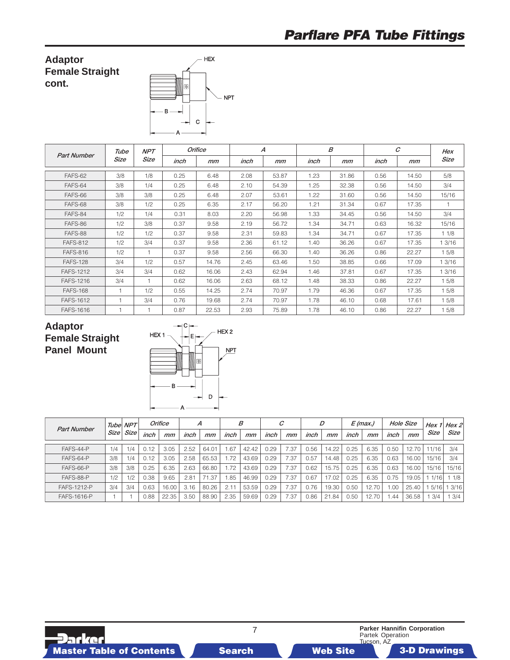# **Adaptor Female Straight cont.**



|                  | <b>NPT</b><br>Tube<br><b>Part Number</b> |      |      | <b>Orifice</b> |      | A     |      | B     |      | C     | Hex    |
|------------------|------------------------------------------|------|------|----------------|------|-------|------|-------|------|-------|--------|
|                  | Size                                     | Size | inch | mm             | inch | mm    | inch | mm    | inch | mm    | Size   |
| FAFS-62          | 3/8                                      | 1/8  | 0.25 | 6.48           | 2.08 | 53.87 | 1.23 | 31.86 | 0.56 | 14.50 | 5/8    |
| FAFS-64          | 3/8                                      | 1/4  | 0.25 | 6.48           | 2.10 | 54.39 | 1.25 | 32.38 | 0.56 | 14.50 | 3/4    |
| FAFS-66          | 3/8                                      | 3/8  | 0.25 | 6.48           | 2.07 | 53.61 | 1.22 | 31.60 | 0.56 | 14.50 | 15/16  |
| FAFS-68          | 3/8                                      | 1/2  | 0.25 | 6.35           | 2.17 | 56.20 | 1.21 | 31.34 | 0.67 | 17.35 |        |
| FAFS-84          | 1/2                                      | 1/4  | 0.31 | 8.03           | 2.20 | 56.98 | 1.33 | 34.45 | 0.56 | 14.50 | 3/4    |
| FAFS-86          | 1/2                                      | 3/8  | 0.37 | 9.58           | 2.19 | 56.72 | 1.34 | 34.71 | 0.63 | 16.32 | 15/16  |
| FAFS-88          | 1/2                                      | 1/2  | 0.37 | 9.58           | 2.31 | 59.83 | 1.34 | 34.71 | 0.67 | 17.35 | 11/8   |
| <b>FAFS-812</b>  | 1/2                                      | 3/4  | 0.37 | 9.58           | 2.36 | 61.12 | 1.40 | 36.26 | 0.67 | 17.35 | 13/16  |
| <b>FAFS-816</b>  | 1/2                                      |      | 0.37 | 9.58           | 2.56 | 66.30 | 1.40 | 36.26 | 0.86 | 22.27 | 15/8   |
| <b>FAFS-128</b>  | 3/4                                      | 1/2  | 0.57 | 14.76          | 2.45 | 63.46 | 1.50 | 38.85 | 0.66 | 17.09 | 1 3/16 |
| <b>FAFS-1212</b> | 3/4                                      | 3/4  | 0.62 | 16.06          | 2.43 | 62.94 | 1.46 | 37.81 | 0.67 | 17.35 | 13/16  |
| FAFS-1216        | 3/4                                      | 1    | 0.62 | 16.06          | 2.63 | 68.12 | 1.48 | 38.33 | 0.86 | 22.27 | 15/8   |
| <b>FAFS-168</b>  |                                          | 1/2  | 0.55 | 14.25          | 2.74 | 70.97 | 1.79 | 46.36 | 0.67 | 17.35 | 15/8   |
| FAFS-1612        |                                          | 3/4  | 0.76 | 19.68          | 2.74 | 70.97 | 1.78 | 46.10 | 0.68 | 17.61 | 15/8   |
| <b>FAFS-1616</b> |                                          |      | 0.87 | 22.53          | 2.93 | 75.89 | 1.78 | 46.10 | 0.86 | 22.27 | 1 5/8  |

# **Adaptor**

# **Female Straight Panel Mount**



| Tube NPT<br><b>Part Number</b> |      |             | Orifice | А     |      |       | В    |       | С    |      | D    |       | $E$ (max.) |       | Hole Size |       | Hex $1$ Hex $2$ |       |
|--------------------------------|------|-------------|---------|-------|------|-------|------|-------|------|------|------|-------|------------|-------|-----------|-------|-----------------|-------|
|                                | Size | <b>Size</b> | inch    | mm    | inch | mm    | inch | mm    | inch | mm   | inch | mm    | inch       | mm    | inch      | mm    | Size            | Size  |
| FAFS-44-P                      | 1/4  | 1/4         | 0.12    | 3.05  | 2.52 | 64.01 | .67  | 42.42 | 0.29 | 7.37 | J.56 | 14.22 | 0.25       | 6.35  | 0.50      | 12.70 | 1/16            | 3/4   |
| FAFS-64-P                      | 3/8  | 1/4         | 0.12    | 3.05  | 2.58 | 65.53 | 1.72 | 43.69 | 0.29 | 7.37 | 0.57 | 14.48 | 0.25       | 6.35  | 0.63      | 16.00 | 15/16           | 3/4   |
| FAFS-66-P                      | 3/8  | 3/8         | 0.25    | 6.35  | 2.63 | 66.80 | 1.72 | 43.69 | 0.29 | 7.37 | 0.62 | 15.75 | 0.25       | 6.35  | 0.63      | 16.00 | 15/16           | 15/16 |
| FAFS-88-P                      | 1/2  | 1/2         | 0.38    | 9.65  | 2.81 | .37   | .85  | 46.99 | 0.29 | 7.37 | 0.67 | 17.02 | 0.25       | 6.35  | 0.75      | 19.05 | 1/16            | 1/8   |
| FAFS-1212-P                    | 3/4  | 3/4         | 0.63    | 16.00 | 3.16 | 80.26 | 2.11 | 53.59 | 0.29 | 7.37 | 0.76 | 19.30 | 0.50       | 12.70 | .00       | 25.40 | 5/16            | 3/16  |
| FAFS-1616-P                    |      |             | 0.88    | 22.35 | 3.50 | 88.90 | 2.35 | 59.69 | 0.29 | 7.37 | 0.86 | 21.84 | 0.50       | 12.70 | .44       | 36.58 | 3/4             | 3/4   |

7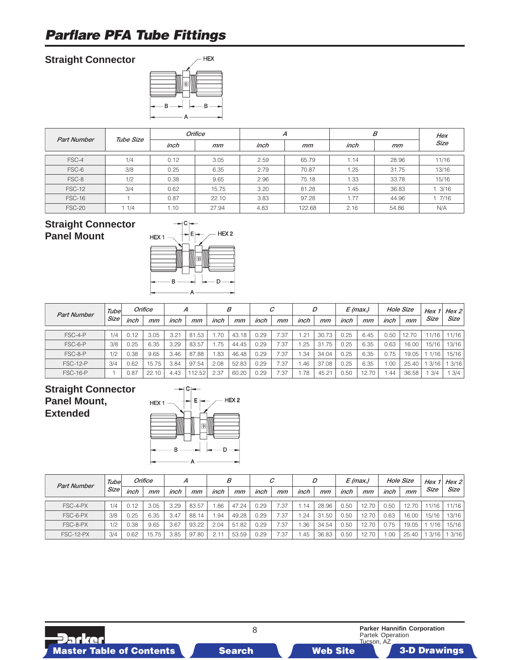## **Straight Connector**



|                    |           |      | Orifice |      | А      |      | B     | Hex   |  |
|--------------------|-----------|------|---------|------|--------|------|-------|-------|--|
| <b>Part Number</b> | Tube Size | inch | mm      | inch | mm     | inch | mm    | Size  |  |
| FSC-4              | 1/4       | 0.12 | 3.05    | 2.59 | 65.79  | 1.14 | 28.96 | 11/16 |  |
| FSC-6              | 3/8       | 0.25 | 6.35    | 2.79 | 70.87  | 1.25 | 31.75 | 13/16 |  |
| FSC-8              | 1/2       | 0.38 | 9.65    | 2.96 | 75.18  | 1.33 | 33.78 | 15/16 |  |
| <b>FSC-12</b>      | 3/4       | 0.62 | 15.75   | 3.20 | 81.28  | 1.45 | 36.83 | 3/16  |  |
| <b>FSC-16</b>      |           | 0.87 | 22.10   | 3.83 | 97.28  | 1.77 | 44.96 | 17/16 |  |
| <b>FSC-20</b>      | 11/4      | 1.10 | 27.94   | 4.83 | 122.68 | 2.16 | 54.86 | N/A   |  |

#### **Straight Connector Panel Mount**



| <b>Part Number</b> | Tubel       |      | Orifice |      | Α      |      | В     |      | С    |      | D         |      | $E$ (max.) |      | <b>Hole Size</b> | Hex   | Hex 2 |
|--------------------|-------------|------|---------|------|--------|------|-------|------|------|------|-----------|------|------------|------|------------------|-------|-------|
|                    | <b>Size</b> | inch | mm      | inch | mm     | inch | mm    | inch | mm   | inch | mm        | inch | mm         | inch | mm               | Size  | Size  |
|                    |             |      |         |      |        |      |       |      |      |      |           |      |            |      |                  |       |       |
| FSC-4-P            | 1/4         | 0.12 | 3.05    | 3.21 | 81.53  | .70  | 43.18 | 0.29 | .37  | .21  | 30.73     | 0.25 | 6.45       | 0.50 | 12.70            | 11/16 | 11/16 |
| FSC-6-P            | 3/8         | 0.25 | 6.35    | 3.29 | 83.57  | .75  | 44.45 | 0.29 | .37  | .25  | .75<br>31 | 0.25 | 6.35       | 0.63 | 16.00            | 15/16 | 13/16 |
| FSC-8-P            | 1/2         | 0.38 | 9.65    | 3.46 | 87.88  | .83  | 46.48 | 0.29 | .37  | .34  | 34.04     | 0.25 | 6.35       | 0.75 | 19.05            | 1/16  | 15/16 |
| <b>FSC-12-P</b>    | 3/4         | 0.62 | 15.75   | 3.84 | 97.54  | 2.08 | 52.83 | 0.29 | '.37 | .46  | 37.08     | 0.25 | 6.35       | .00  | 25.40            | 3/16  | 13/16 |
| <b>FSC-16-P</b>    |             | 0.87 | 22.10   | 4.43 | 112.52 | 2.37 | 60.20 | 0.29 | .37  | .78  | 45.21     | 0.50 | 12.70      | . 44 | 36.58            | 3/4   | 3/4   |

### **Straight Connector Panel Mount, Extended**



| <b>Part Number</b> | Orifice<br>Tube |      |       |      |       |      | В     |      | С    |      | D     |      | E (max.) |      | <b>Hole Size</b> | Hex   | Hex 2       |
|--------------------|-----------------|------|-------|------|-------|------|-------|------|------|------|-------|------|----------|------|------------------|-------|-------------|
|                    | <b>Size</b>     | inch | mm    | inch | mm    | inch | mm    | inch | mm   | inch | mm    | inch | mm       | inch | mm               | Size  | <b>Size</b> |
|                    |                 |      |       |      |       |      |       |      |      |      |       |      |          |      |                  |       |             |
| FSC-4-PX           | 1/4             | 0.12 | 3.05  | 3.29 | 83.57 | .86  | 47.24 | 0.29 | 7.37 | .14  | 28.96 | 0.50 | 12.70    | 0.50 | 12.70            | 1/16  | 11/16       |
| FSC-6-PX           | 3/8             | 0.25 | 6.35  | 3.47 | 88.14 | .94  | 49.28 | 0.29 | 7.37 | .24  | 31.50 | 0.50 | 12.70    | 0.63 | 16.00            | 15/16 | 13/16       |
| FSC-8-PX           | 1/2             | 0.38 | 9.65  | 3.67 | 93.22 | 2.04 | 51.82 | 0.29 | 7.37 | .36  | 34.54 | 0.50 | 12.70    | 0.75 | 19.05            | 1/16  | 15/16       |
| FSC-12-PX          | 3/4             | 0.62 | 15.75 | 3.85 | 97.80 | 2.1  | 53.59 | 0.29 | 7.37 | .45  | 36.83 | 0.50 | 12.70    | .00  | 25.40            | 3/16  | 3/16        |

8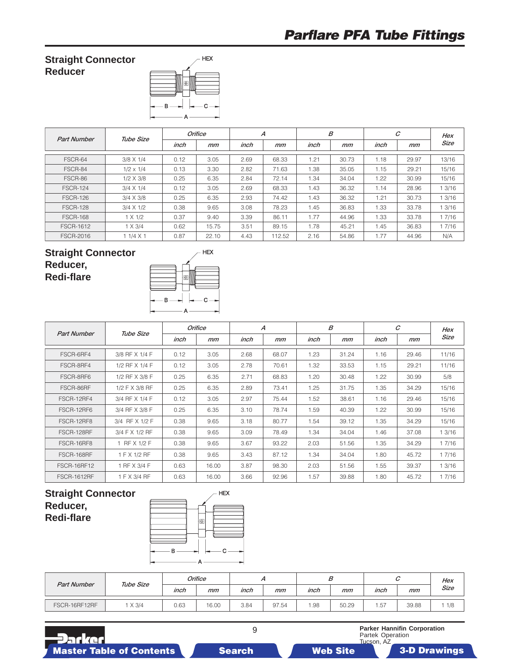# **Straight Connector Reducer**



| <b>Part Number</b> | Tube Size        |      | Orifice |      | $\boldsymbol{A}$ |      | В     |      | C     | Hex    |
|--------------------|------------------|------|---------|------|------------------|------|-------|------|-------|--------|
|                    |                  | inch | mm      | inch | mm               | inch | mm    | inch | mm    | Size   |
| FSCR-64            | 3/8 X 1/4        | 0.12 | 3.05    | 2.69 | 68.33            | 1.21 | 30.73 | 1.18 | 29.97 | 13/16  |
| FSCR-84            | $1/2 \times 1/4$ | 0.13 | 3.30    | 2.82 | 71.63            | 1.38 | 35.05 | 1.15 | 29.21 | 15/16  |
| FSCR-86            | $1/2 \times 3/8$ | 0.25 | 6.35    | 2.84 | 72.14            | 1.34 | 34.04 | 1.22 | 30.99 | 15/16  |
| <b>FSCR-124</b>    | $3/4 \times 1/4$ | 0.12 | 3.05    | 2.69 | 68.33            | 1.43 | 36.32 | 1.14 | 28.96 | 13/16  |
| <b>FSCR-126</b>    | $3/4 \times 3/8$ | 0.25 | 6.35    | 2.93 | 74.42            | 1.43 | 36.32 | 1.21 | 30.73 | 1 3/16 |
| <b>FSCR-128</b>    | $3/4 \times 1/2$ | 0.38 | 9.65    | 3.08 | 78.23            | 1.45 | 36.83 | 1.33 | 33.78 | 1 3/16 |
| <b>FSCR-168</b>    | $1 \times 1/2$   | 0.37 | 9.40    | 3.39 | 86.11            | 1.77 | 44.96 | 1.33 | 33.78 | 17/16  |
| <b>FSCR-1612</b>   | $1 \times 3/4$   | 0.62 | 15.75   | 3.51 | 89.15            | 1.78 | 45.21 | 1.45 | 36.83 | 17/16  |
| <b>FSCR-2016</b>   | $11/4 \times 1$  | 0.87 | 22.10   | 4.43 | 112.52           | 2.16 | 54.86 | 1.77 | 44.96 | N/A    |

# **Straight Connector Reducer, Redi-flare**



| <b>Part Number</b> | Tube Size      |      | Orifice |      | $\overline{A}$ |      | B     |      | C     | Hex    |
|--------------------|----------------|------|---------|------|----------------|------|-------|------|-------|--------|
|                    |                | inch | mm      | inch | mm             | inch | mm    | inch | mm    | Size   |
| FSCR-6RF4          | 3/8 RF X 1/4 F | 0.12 | 3.05    | 2.68 | 68.07          | 1.23 | 31.24 | 1.16 | 29.46 | 11/16  |
| FSCR-8RF4          | 1/2 RF X 1/4 F | 0.12 | 3.05    | 2.78 | 70.61          | 1.32 | 33.53 | 1.15 | 29.21 | 11/16  |
| FSCR-8RF6          | 1/2 RF X 3/8 F | 0.25 | 6.35    | 2.71 | 68.83          | 1.20 | 30.48 | 1.22 | 30.99 | 5/8    |
| FSCR-86RF          | 1/2 F X 3/8 RF | 0.25 | 6.35    | 2.89 | 73.41          | 1.25 | 31.75 | 1.35 | 34.29 | 15/16  |
| FSCR-12RF4         | 3/4 RF X 1/4 F | 0.12 | 3.05    | 2.97 | 75.44          | 1.52 | 38.61 | 1.16 | 29.46 | 15/16  |
| FSCR-12RF6         | 3/4 RF X 3/8 F | 0.25 | 6.35    | 3.10 | 78.74          | 1.59 | 40.39 | 1.22 | 30.99 | 15/16  |
| FSCR-12RF8         | 3/4 RF X 1/2 F | 0.38 | 9.65    | 3.18 | 80.77          | 1.54 | 39.12 | 1.35 | 34.29 | 15/16  |
| FSCR-128RF         | 3/4 F X 1/2 RF | 0.38 | 9.65    | 3.09 | 78.49          | 1.34 | 34.04 | 1.46 | 37.08 | 13/16  |
| FSCR-16RF8         | 1 RF X 1/2 F   | 0.38 | 9.65    | 3.67 | 93.22          | 2.03 | 51.56 | 1.35 | 34.29 | 1 7/16 |
| FSCR-168RF         | 1 F X 1/2 RF   | 0.38 | 9.65    | 3.43 | 87.12          | 1.34 | 34.04 | 1.80 | 45.72 | 17/16  |
| <b>FSCR-16RF12</b> | 1 RF X 3/4 F   | 0.63 | 16.00   | 3.87 | 98.30          | 2.03 | 51.56 | 1.55 | 39.37 | 13/16  |
| <b>FSCR-1612RF</b> | 1 F X 3/4 RF   | 0.63 | 16.00   | 3.66 | 92.96          | 1.57 | 39.88 | 1.80 | 45.72 | 1 7/16 |

### **Straight Connector Reducer, Redi-flare**



| <b>Part Number</b> | Tube Size |      | Orifice |      |       |      |       |      |       | Hex  |
|--------------------|-----------|------|---------|------|-------|------|-------|------|-------|------|
|                    |           | inch | mm      | inch | mm    | inch | mm    | inch | mm    | Size |
| FSCR-16RF12RF      | $X$ 3/4   | 0.63 | 16.00   | 3.84 | 97.54 | .98  | 50.29 | .57  | 39.88 | 1/8  |

**WATER Search Web Site Master Table of Contents Search Search Master T Web Site able of Contents 3-D Drawings 3-D Drawings 3-D Drawings 3-D Drawings 3-D Drawings 3-D Drawings able of Contents able of Contents able of Conte** 

9

**Parker Hannifin Corporation** Partek Operation

Tucson, AZ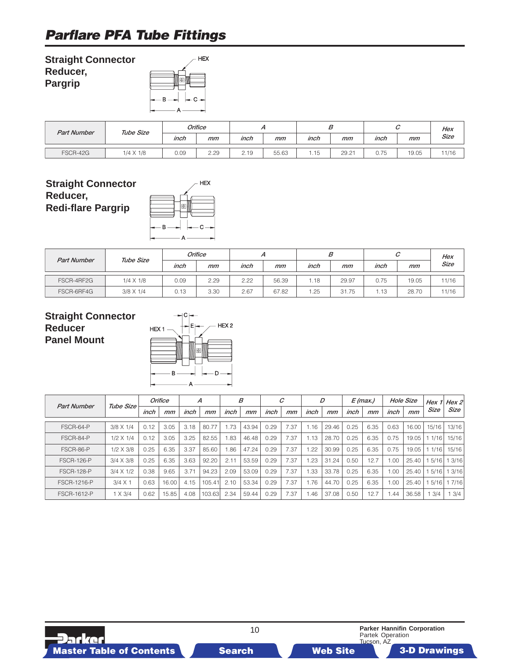



| <b>Part Number</b> | Tube Size        |      | Orifice |      |       |      |       |      |       | Hex  |  |
|--------------------|------------------|------|---------|------|-------|------|-------|------|-------|------|--|
|                    |                  | inch | mm      | inch | mm    | inch | mm    | inch | mm    | Size |  |
| FSCR-42G           | $1/4 \times 1/8$ | 0.09 | 2.29    | 2.19 | 55.63 | . 15 | 29.21 | 0.75 | 19.05 | 1/16 |  |

# **Straight Connector Reducer, Redi-flare Pargrip**



| <b>Part Number</b> | Tube Size        |      | Orifice |      |       |      |       |      |       | Hex   |
|--------------------|------------------|------|---------|------|-------|------|-------|------|-------|-------|
|                    |                  | inch | mm      | inch | mm    | inch | mm    | inch | mm    | Size  |
| FSCR-4RF2G         | $1/4 \times 1/8$ | 0.09 | 2.29    | 2.22 | 56.39 | 1.18 | 29.97 | 0.75 | 19.05 | 11/16 |
| FSCR-6RF4G         | 3/8 X 1/4        | 0.13 | 3.30    | 2.67 | 67.82 | .25  | 31.75 | .13  | 28.70 | 11/16 |

#### **Straight Connector Reducer Panel Mount**



| <b>Part Number</b> | Tube Size        |      | Orifice | $\boldsymbol{A}$ |           |      | B     |      | C    |      | D     | $E$ (max.) |      |      | <b>Hole Size</b> | Hex   | $1$ Hex 2 |
|--------------------|------------------|------|---------|------------------|-----------|------|-------|------|------|------|-------|------------|------|------|------------------|-------|-----------|
|                    |                  | inch | mm      | inch             | mm        | inch | mm    | inch | mm   | inch | mm    | inch       | mm   | inch | mm               | Size  | Size      |
| FSCR-64-P          | $3/8 \times 1/4$ | 0.12 | 3.05    | 3.18             | 77<br>80. | .73  | 43.94 | 0.29 | 7.37 | 1.16 | 29.46 | 0.25       | 6.35 | 0.63 | 16.00            | 15/16 | 13/16     |
| FSCR-84-P          | $1/2 \times 1/4$ | 0.12 | 3.05    | 3.25             | 82.55     | .83  | 46.48 | 0.29 | 7.37 | 1.13 | 28.70 | 0.25       | 6.35 | 0.75 | 19.05            | 1/16  | 15/16     |
| FSCR-86-P          | $1/2 \times 3/8$ | 0.25 | 6.35    | 3.37             | 85.60     | .86  | 47.24 | 0.29 | 7.37 | .22  | 30.99 | 0.25       | 6.35 | 0.75 | 19.05            | 1/16  | 15/16     |
| <b>FSCR-126-P</b>  | $3/4 \times 3/8$ | 0.25 | 6.35    | 3.63             | 92.20     | 2.11 | 53.59 | 0.29 | 7.37 | .23  | 31.24 | 0.50       | 12.7 | .00  | 25.40            | 5/16  | 3/16      |
| <b>FSCR-128-P</b>  | $3/4 \times 1/2$ | 0.38 | 9.65    | 3.71             | 94.23     | 2.09 | 53.09 | 0.29 | 7.37 | 1.33 | 33.78 | 0.25       | 6.35 | .00  | 25.40            | 5/16  | 3/16      |
| <b>FSCR-1216-P</b> | $3/4 \times 1$   | 0.63 | 16.00   | 4.15             | 105.41    | 2.10 | 53.34 | 0.29 | 7.37 | .76  | 44.70 | 0.25       | 6.35 | .00  | 25.40            | 5/16  | 17/16     |
| <b>FSCR-1612-P</b> | $X$ 3/4          | 0.62 | 15.85   | 4.08             | 103.63    | 2.34 | 59.44 | 0.29 | 7.37 | 1.46 | 37.08 | 0.50       | 12.7 | 1.44 | 36.58            | 3/4   | 3/4       |



10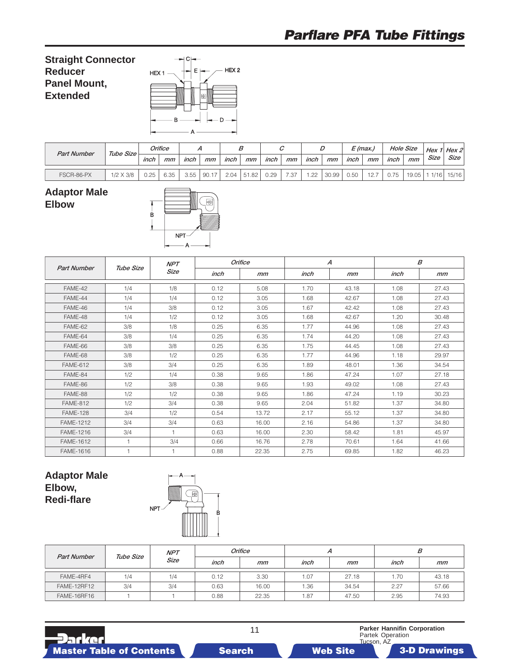# <span id="page-10-0"></span>**Straight Connector Reducer Panel Mount, Extended**

| с<br>۰.                                   |
|-------------------------------------------|
| HEX <sub>2</sub><br>Е<br>HEX <sub>1</sub> |
| 匜                                         |
| R                                         |
|                                           |

| <b>Part Number</b> | Tube Size        |      | Orifice |      |       |      |       |      |      |      |       | E (max., |      |      | Hole Size | Hex  | $1$ Hex $2$ |
|--------------------|------------------|------|---------|------|-------|------|-------|------|------|------|-------|----------|------|------|-----------|------|-------------|
|                    |                  | inch | mm      | inch | mm    | inch | mm    | inch | mm   | inch | mm    | inch     | mm   | inch | mm        | Size | Size        |
| FSCR-86-PX         | $1/2 \times 3/8$ | 0.25 | 6.35    | 3.55 | 90.17 | 2.04 | 51.82 | 0.29 | 7.37 | .22  | 30.99 | 0.50     | 12.7 | 0.75 | 19.05     | 1/16 | 15/16       |

# **Adaptor Male Elbow**



| <b>Part Number</b> | Tube Size | <b>NPT</b> |      | Orifice |      | $\overline{A}$ |      | $\boldsymbol{B}$ |
|--------------------|-----------|------------|------|---------|------|----------------|------|------------------|
|                    |           | Size       | inch | mm      | inch | mm             | inch | mm               |
| FAME-42            | 1/4       | 1/8        | 0.12 | 5.08    | 1.70 | 43.18          | 1.08 | 27.43            |
| FAME-44            | 1/4       | 1/4        | 0.12 | 3.05    | 1.68 | 42.67          | 1.08 | 27.43            |
| FAME-46            | 1/4       | 3/8        | 0.12 | 3.05    | 1.67 | 42.42          | 1.08 | 27.43            |
| FAME-48            | 1/4       | 1/2        | 0.12 | 3.05    | 1.68 | 42.67          | 1.20 | 30.48            |
| FAME-62            | 3/8       | 1/8        | 0.25 | 6.35    | 1.77 | 44.96          | 1.08 | 27.43            |
| FAME-64            | 3/8       | 1/4        | 0.25 | 6.35    | 1.74 | 44.20          | 1.08 | 27.43            |
| FAME-66            | 3/8       | 3/8        | 0.25 | 6.35    | 1.75 | 44.45          | 1.08 | 27.43            |
| FAME-68            | 3/8       | 1/2        | 0.25 | 6.35    | 1.77 | 44.96          | 1.18 | 29.97            |
| <b>FAME-612</b>    | 3/8       | 3/4        | 0.25 | 6.35    | 1.89 | 48.01          | 1.36 | 34.54            |
| FAME-84            | 1/2       | 1/4        | 0.38 | 9.65    | 1.86 | 47.24          | 1.07 | 27.18            |
| FAME-86            | 1/2       | 3/8        | 0.38 | 9.65    | 1.93 | 49.02          | 1.08 | 27.43            |
| FAME-88            | 1/2       | 1/2        | 0.38 | 9.65    | 1.86 | 47.24          | 1.19 | 30.23            |
| <b>FAME-812</b>    | 1/2       | 3/4        | 0.38 | 9.65    | 2.04 | 51.82          | 1.37 | 34.80            |
| <b>FAME-128</b>    | 3/4       | 1/2        | 0.54 | 13.72   | 2.17 | 55.12          | 1.37 | 34.80            |
| <b>FAME-1212</b>   | 3/4       | 3/4        | 0.63 | 16.00   | 2.16 | 54.86          | 1.37 | 34.80            |
| FAME-1216          | 3/4       | 1          | 0.63 | 16.00   | 2.30 | 58.42          | 1.81 | 45.97            |
| <b>FAME-1612</b>   | 1         | 3/4        | 0.66 | 16.76   | 2.78 | 70.61          | 1.64 | 41.66            |
| <b>FAME-1616</b>   | 1         | 1          | 0.88 | 22.35   | 2.75 | 69.85          | 1.82 | 46.23            |

# **Adaptor Male Elbow, Redi-flare**



| <b>Part Number</b> | Tube Size | <b>NPT</b>  |      | Orifice |      |       |      |       |
|--------------------|-----------|-------------|------|---------|------|-------|------|-------|
|                    |           | <b>Size</b> | inch | mm      | inch | mm    | inch | mm    |
| FAME-4RF4          | 1/4       | 1/4         | 0.12 | 3.30    | i.07 | 27.18 | . 70 | 43.18 |
| <b>FAME-12RF12</b> | 3/4       | 3/4         | 0.63 | 16.00   | .36  | 34.54 | 2.27 | 57.66 |
| <b>FAME-16RF16</b> |           |             | 0.88 | 22.35   | .87  | 47.50 | 2.95 | 74.93 |



11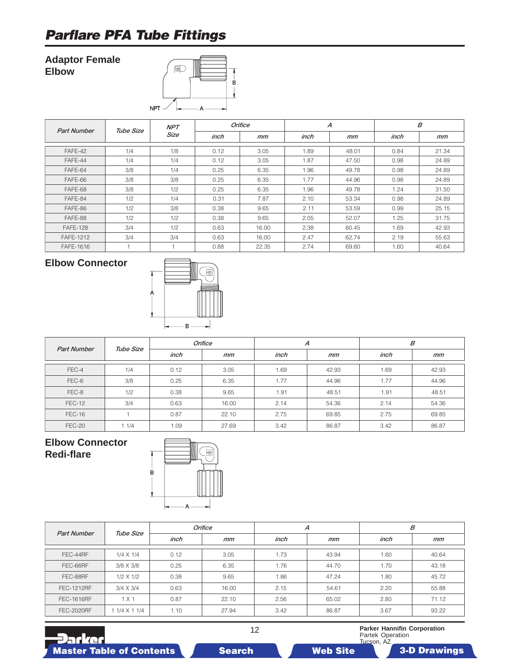# **Adaptor Female Elbow**



| <b>Part Number</b> | Tube Size | <b>NPT</b> |      | Orifice | $\boldsymbol{A}$ |       |      | В     |
|--------------------|-----------|------------|------|---------|------------------|-------|------|-------|
|                    |           | Size       | inch | mm      | inch             | mm    | inch | mm    |
| FAFF-42            | 1/4       | 1/8        | 0.12 | 3.05    | 1.89             | 48.01 | 0.84 | 21.34 |
| FAFE-44            | 1/4       | 1/4        | 0.12 | 3.05    | 1.87             | 47.50 | 0.98 | 24.89 |
| FAFE-64            | 3/8       | 1/4        | 0.25 | 6.35    | 1.96             | 49.78 | 0.98 | 24.89 |
| FAFE-66            | 3/8       | 3/8        | 0.25 | 6.35    | 1.77             | 44.96 | 0.98 | 24.89 |
| FAFE-68            | 3/8       | 1/2        | 0.25 | 6.35    | 1.96             | 49.78 | 1.24 | 31.50 |
| FAFE-84            | 1/2       | 1/4        | 0.31 | 7.87    | 2.10             | 53.34 | 0.98 | 24.89 |
| FAFE-86            | 1/2       | 3/8        | 0.38 | 9.65    | 2.11             | 53.59 | 0.99 | 25.15 |
| FAFE-88            | 1/2       | 1/2        | 0.38 | 9.65    | 2.05             | 52.07 | 1.25 | 31.75 |
| <b>FAFE-128</b>    | 3/4       | 1/2        | 0.63 | 16.00   | 2.38             | 60.45 | 1.69 | 42.93 |
| FAFE-1212          | 3/4       | 3/4        | 0.63 | 16.00   | 2.47             | 62.74 | 2.19 | 55.63 |
| FAFE-1616          |           |            | 0.88 | 22.35   | 2.74             | 69.60 | 1.60 | 40.64 |

#### **Elbow Connector**



| <b>Part Number</b> | Tube Size |      | Orifice |      | Α     | В    |       |  |
|--------------------|-----------|------|---------|------|-------|------|-------|--|
|                    |           | inch | mm      | inch | mm    | inch | mm    |  |
| FEC-4              | 1/4       | 0.12 | 3.05    | 1.69 | 42.93 | 1.69 | 42.93 |  |
| FEC-6              | 3/8       | 0.25 | 6.35    | 1.77 | 44.96 | 1.77 | 44.96 |  |
| FEC-8              | 1/2       | 0.38 | 9.65    | 1.91 | 48.51 | 1.91 | 48.51 |  |
| <b>FEC-12</b>      | 3/4       | 0.63 | 16.00   | 2.14 | 54.36 | 2.14 | 54.36 |  |
| <b>FEC-16</b>      |           | 0.87 | 22.10   | 2.75 | 69.85 | 2.75 | 69.85 |  |
| FEC-20             | 11/4      | 1.09 | 27.69   | 3.42 | 86.87 | 3.42 | 86.87 |  |

# **Elbow Connector Redi-flare**



| <b>Part Number</b> | Tube Size        |      | Orifice |      | А     | B    |       |  |
|--------------------|------------------|------|---------|------|-------|------|-------|--|
|                    |                  | inch | mm      | inch | mm    | inch | mm    |  |
| FEC-44RF           | $1/4 \times 1/4$ | 0.12 | 3.05    | 1.73 | 43.94 | 1.60 | 40.64 |  |
| FEC-66RF           | 3/8 X 3/8        | 0.25 | 6.35    | 1.76 | 44.70 | 1.70 | 43.18 |  |
| FEC-88RF           | $1/2 \times 1/2$ | 0.38 | 9.65    | 1.86 | 47.24 | 1.80 | 45.72 |  |
| FEC-1212RF         | $3/4 \times 3/4$ | 0.63 | 16.00   | 2.15 | 54.61 | 2.20 | 55.88 |  |
| <b>FEC-1616RF</b>  | 1 X1             | 0.87 | 22.10   | 2.56 | 65.02 | 2.80 | 71.12 |  |
| FEC-2020RF         | $11/4$ X 1 1/4   | 1.10 | 27.94   | 3.42 | 86.87 | 3.67 | 93.22 |  |

12



**Parker Hannifin Corporation** Partek Operation

Tucson, AZ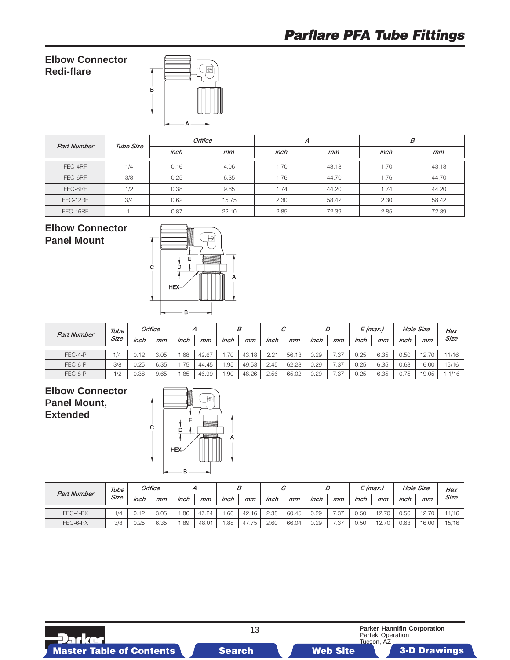**Elbow Connector Redi-flare**



| <b>Part Number</b> | Tube Size |      | Orifice |      | А     | В    |       |  |
|--------------------|-----------|------|---------|------|-------|------|-------|--|
|                    |           | inch | mm      | inch | mm    | inch | mm    |  |
| FEC-4RF            | 1/4       | 0.16 | 4.06    | 1.70 | 43.18 | 1.70 | 43.18 |  |
| FEC-6RF            | 3/8       | 0.25 | 6.35    | 1.76 | 44.70 | 1.76 | 44.70 |  |
| FEC-8RF            | 1/2       | 0.38 | 9.65    | 1.74 | 44.20 | 1.74 | 44.20 |  |
| FEC-12RF           | 3/4       | 0.62 | 15.75   | 2.30 | 58.42 | 2.30 | 58.42 |  |
| FEC-16RF           |           | 0.87 | 22.10   | 2.85 | 72.39 | 2.85 | 72.39 |  |

### **Elbow Connector Panel Mount**



| <b>Part Number</b> | Tube |      | Orifice | A    |       |       | В     |      | C     |      | D    |      | $E$ (max.) |      | <b>Hole Size</b> | Hex   |
|--------------------|------|------|---------|------|-------|-------|-------|------|-------|------|------|------|------------|------|------------------|-------|
|                    | Size | inch | mm      | inch | mm    | inch  | mm    | inch | mm    | inch | mm   | inch | mm         | inch | mm               | Size  |
|                    |      |      |         |      |       |       |       |      |       |      |      |      |            |      |                  |       |
| FEC-4-P            | 1/4  | 0.12 | 3.05    | .68  | 42.67 | 1.70  | 43.18 | 2.21 | 56.13 | 0.29 | - 37 | 0.25 | 6.35       | 0.50 | 12.70            | 11/16 |
| FEC-6-P            | 3/8  | 0.25 | 6.35    | . 75 | 44.45 | .95   | 49.53 | 2.45 | 62.23 | 0.29 | - 37 | 0.25 | 6.35       | 0.63 | 16.00            | 15/16 |
| FEC-8-P            | 1/2  | 0.38 | 9.65    | .85  | 46.99 | . .90 | 48.26 | 2.56 | 65.02 | 0.29 | 7.37 | 0.25 | 6.35       | 0.75 | 19.05            | 1/16  |

**Elbow Connector Panel Mount, Extended**



| <b>Part Number</b> | Tube |      | Orifice | A    |       |      | В     |      |       |      | D    |      | E (max.)         |      | <b>Hole Size</b> | Hex   |
|--------------------|------|------|---------|------|-------|------|-------|------|-------|------|------|------|------------------|------|------------------|-------|
|                    | Size | inch | mm      | inch | mm    | inch | mm    | inch | mm    | inch | mm   | inch | mm               | inch | mm               | Size  |
| FEC-4-PX           | 1/4  | 0.12 | 3.05    | . 86 | 47.24 | .66  | 42.16 | 2.38 | 60.45 | 0.29 | 7.37 | 0.50 | 12.70            | 0.50 | 12.70            | 1/16  |
| FEC-6-PX           | 3/8  | 0.25 | 6.35    | . 89 | 48.01 | .88  | 47.75 | 2.60 | 66.04 | 0.29 | 7.37 | 0.50 | <b>70</b><br>12. | 0.63 | 16.00            | 15/16 |

| ————<br>______                  |        |                 | $\alpha$ and $\alpha$ is a consequent that is a consequent to $\alpha$<br>Partek Operation |  |
|---------------------------------|--------|-----------------|--------------------------------------------------------------------------------------------|--|
| <b>Master Table of Contents</b> | Search | <b>Web Site</b> | 3-D Drawings                                                                               |  |

13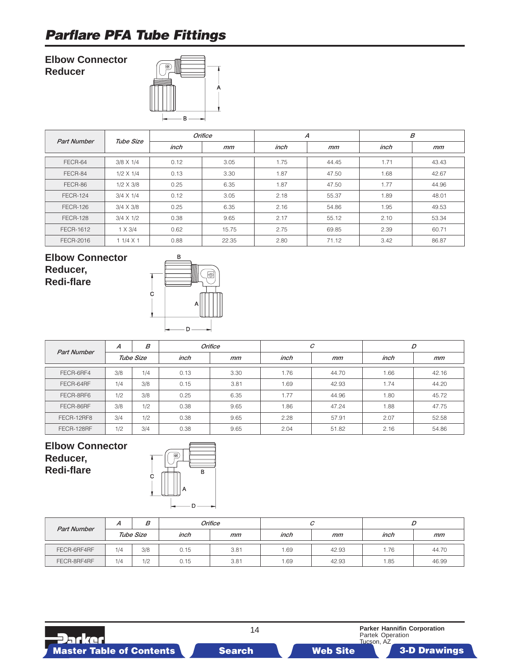#### **Elbow Connector Reducer**



| <b>Part Number</b> | Tube Size        |      | Orifice |      | A     | $\boldsymbol{B}$ |       |  |
|--------------------|------------------|------|---------|------|-------|------------------|-------|--|
|                    |                  | inch | mm      | inch | mm    | inch             | mm    |  |
| FECR-64            | 3/8 X 1/4        | 0.12 | 3.05    | 1.75 | 44.45 | 1.71             | 43.43 |  |
| FECR-84            | $1/2 \times 1/4$ | 0.13 | 3.30    | 1.87 | 47.50 | 1.68             | 42.67 |  |
| FECR-86            | $1/2 \times 3/8$ | 0.25 | 6.35    | 1.87 | 47.50 | 1.77             | 44.96 |  |
| <b>FECR-124</b>    | $3/4 \times 1/4$ | 0.12 | 3.05    | 2.18 | 55.37 | 1.89             | 48.01 |  |
| <b>FECR-126</b>    | $3/4 \times 3/8$ | 0.25 | 6.35    | 2.16 | 54.86 | 1.95             | 49.53 |  |
| <b>FECR-128</b>    | $3/4 \times 1/2$ | 0.38 | 9.65    | 2.17 | 55.12 | 2.10             | 53.34 |  |
| FECR-1612          | $1 \times 3/4$   | 0.62 | 15.75   | 2.75 | 69.85 | 2.39             | 60.71 |  |
| <b>FECR-2016</b>   | $11/4 \times 1$  | 0.88 | 22.35   | 2.80 | 71.12 | 3.42             | 86.87 |  |

#### **Elbow Connector Reducer, Redi-flare**



| <b>Part Number</b> | A         | В   |      | Orifice |      | C     | D    |       |  |
|--------------------|-----------|-----|------|---------|------|-------|------|-------|--|
|                    | Tube Size |     | inch | mm      | inch | mm    | inch | mm    |  |
| FECR-6RF4          | 3/8       | 1/4 | 0.13 | 3.30    | 1.76 | 44.70 | 1.66 | 42.16 |  |
| FECR-64RF          | 1/4       | 3/8 | 0.15 | 3.81    | 1.69 | 42.93 | 1.74 | 44.20 |  |
| FECR-8RF6          | 1/2       | 3/8 | 0.25 | 6.35    | 1.77 | 44.96 | 1.80 | 45.72 |  |
| FECR-86RF          | 3/8       | 1/2 | 0.38 | 9.65    | 1.86 | 47.24 | 1.88 | 47.75 |  |
| FECR-12RF8         | 3/4       | 1/2 | 0.38 | 9.65    | 2.28 | 57.91 | 2.07 | 52.58 |  |
| FECR-128RF         | 1/2       | 3/4 | 0.38 | 9.65    | 2.04 | 51.82 | 2.16 | 54.86 |  |

### **Elbow Connector Reducer, Redi-flare**



| <b>Part Number</b> | <b>A</b> | В         |      | Orifice |      | ັ     | ◡    |       |  |
|--------------------|----------|-----------|------|---------|------|-------|------|-------|--|
|                    |          | Tube Size | inch | mm      | inch | mm    | inch | mm    |  |
| FECR-6RF4RF        | 1/4      | 3/8       | 0.15 | 3.81    | .69  | 42.93 | . 76 | 44.70 |  |
| FECR-8RF4RF        | 1/4      | 1/2       | 0.15 | 3.81    | .69  | 42.93 | 1.85 | 46.99 |  |

14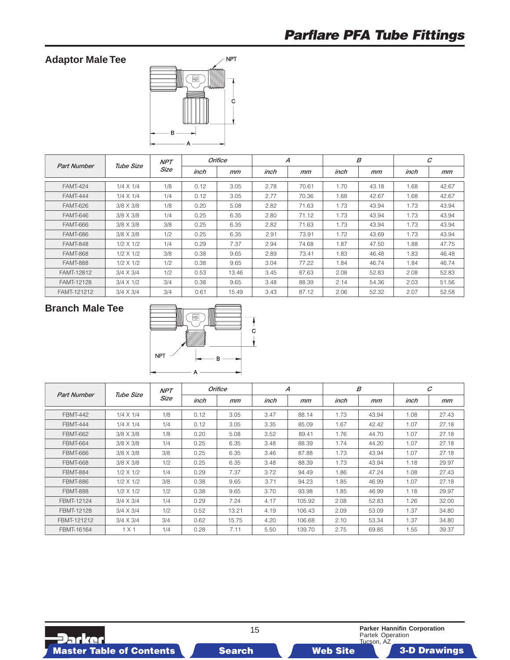# <span id="page-14-0"></span>**Adaptor Male Tee**



| <b>Part Number</b> | Tube Size        | <b>NPT</b> |      | Orifice |      | A     | B    |       | C    |       |
|--------------------|------------------|------------|------|---------|------|-------|------|-------|------|-------|
|                    |                  | Size       | inch | mm      | inch | mm    | inch | mm    | inch | mm    |
| <b>FAMT-424</b>    | $1/4 \times 1/4$ | 1/8        | 0.12 | 3.05    | 2.78 | 70.61 | 1.70 | 43.18 | 1.68 | 42.67 |
| <b>FAMT-444</b>    | $1/4 \times 1/4$ | 1/4        | 0.12 | 3.05    | 2.77 | 70.36 | 1.68 | 42.67 | 1.68 | 42.67 |
| <b>FAMT-626</b>    | 3/8 X 3/8        | 1/8        | 0.20 | 5.08    | 2.82 | 71.63 | 1.73 | 43.94 | 1.73 | 43.94 |
| <b>FAMT-646</b>    | 3/8 X 3/8        | 1/4        | 0.25 | 6.35    | 2.80 | 71.12 | 1.73 | 43.94 | 1.73 | 43.94 |
| <b>FAMT-666</b>    | 3/8 X 3/8        | 3/8        | 0.25 | 6.35    | 2.82 | 71.63 | 1.73 | 43.94 | 1.73 | 43.94 |
| <b>FAMT-686</b>    | 3/8 X 3/8        | 1/2        | 0.25 | 6.35    | 2.91 | 73.91 | 1.72 | 43.69 | 1.73 | 43.94 |
| <b>FAMT-848</b>    | $1/2 \times 1/2$ | 1/4        | 0.29 | 7.37    | 2.94 | 74.68 | 1.87 | 47.50 | 1.88 | 47.75 |
| <b>FAMT-868</b>    | $1/2 \times 1/2$ | 3/8        | 0.38 | 9.65    | 2.89 | 73.41 | 1.83 | 46.48 | 1.83 | 46.48 |
| <b>FAMT-888</b>    | $1/2 \times 1/2$ | 1/2        | 0.38 | 9.65    | 3.04 | 77.22 | 1.84 | 46.74 | 1.84 | 46.74 |
| FAMT-12812         | $3/4 \times 3/4$ | 1/2        | 0.53 | 13.46   | 3.45 | 87.63 | 2.08 | 52.83 | 2.08 | 52.83 |
| FAMT-12128         | $3/4 \times 1/2$ | 3/4        | 0.38 | 9.65    | 3.48 | 88.39 | 2.14 | 54.36 | 2.03 | 51.56 |
| FAMT-121212        | $3/4 \times 3/4$ | 3/4        | 0.61 | 15.49   | 3.43 | 87.12 | 2.06 | 52.32 | 2.07 | 52.58 |

# **Branch Male Tee**



| <b>Part Number</b> | <b>NPT</b><br>Tube Size |      |      | Orifice |      | А      |      | B     | C    |       |  |
|--------------------|-------------------------|------|------|---------|------|--------|------|-------|------|-------|--|
|                    |                         | Size | inch | mm      | inch | mm     | inch | mm    | inch | mm    |  |
| <b>FBMT-442</b>    | $1/4 \times 1/4$        | 1/8  | 0.12 | 3.05    | 3.47 | 88.14  | 1.73 | 43.94 | 1.08 | 27.43 |  |
| <b>FBMT-444</b>    | $1/4 \times 1/4$        | 1/4  | 0.12 | 3.05    | 3.35 | 85.09  | 1.67 | 42.42 | 1.07 | 27.18 |  |
| <b>FBMT-662</b>    | 3/8 X 3/8               | 1/8  | 0.20 | 5.08    | 3.52 | 89.41  | 1.76 | 44.70 | 1.07 | 27.18 |  |
| <b>FBMT-664</b>    | 3/8 X 3/8               | 1/4  | 0.25 | 6.35    | 3.48 | 88.39  | 1.74 | 44.20 | 1.07 | 27.18 |  |
| <b>FBMT-666</b>    | 3/8 X 3/8               | 3/8  | 0.25 | 6.35    | 3.46 | 87.88  | 1.73 | 43.94 | 1.07 | 27.18 |  |
| <b>FBMT-668</b>    | 3/8 X 3/8               | 1/2  | 0.25 | 6.35    | 3.48 | 88.39  | 1.73 | 43.94 | 1.18 | 29.97 |  |
| <b>FBMT-884</b>    | $1/2 \times 1/2$        | 1/4  | 0.29 | 7.37    | 3.72 | 94.49  | 1.86 | 47.24 | 1.08 | 27.43 |  |
| <b>FBMT-886</b>    | $1/2 \times 1/2$        | 3/8  | 0.38 | 9.65    | 3.71 | 94.23  | 1.85 | 46.99 | 1.07 | 27.18 |  |
| <b>FBMT-888</b>    | $1/2 \times 1/2$        | 1/2  | 0.38 | 9.65    | 3.70 | 93.98  | 1.85 | 46.99 | 1.18 | 29.97 |  |
| FBMT-12124         | $3/4 \times 3/4$        | 1/4  | 0.29 | 7.24    | 4.17 | 105.92 | 2.08 | 52.83 | 1.26 | 32.00 |  |
| FBMT-12128         | $3/4 \times 3/4$        | 1/2  | 0.52 | 13.21   | 4.19 | 106.43 | 2.09 | 53.09 | 1.37 | 34.80 |  |
| FBMT-121212        | $3/4 \times 3/4$        | 3/4  | 0.62 | 15.75   | 4.20 | 106.68 | 2.10 | 53.34 | 1.37 | 34.80 |  |
| FBMT-16164         | 1 X 1                   | 1/4  | 0.28 | 7.11    | 5.50 | 139.70 | 2.75 | 69.85 | 1.55 | 39.37 |  |

15

**Parker Hannifin Corporation** Partek Operation

Tucson, AZ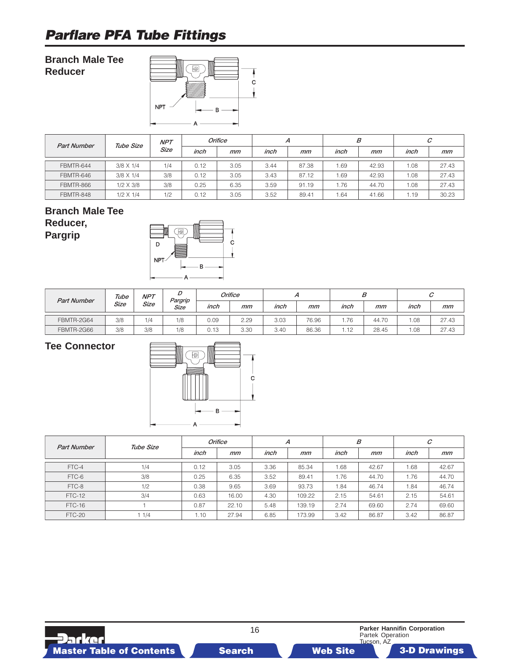### **Branch Male Tee Reducer**



| <b>Part Number</b> | Tube Size        | <b>NPT</b> |      | Orifice |      | A     |      | В     |      | С     |
|--------------------|------------------|------------|------|---------|------|-------|------|-------|------|-------|
|                    |                  | Size       | inch | mm      | inch | mm    | inch | mm    | inch | mm    |
| FBMTR-644          | 3/8 X 1/4        | 1/4        | 0.12 | 3.05    | 3.44 | 87.38 | 1.69 | 42.93 | .08  | 27.43 |
| FBMTR-646          | 3/8 X 1/4        | 3/8        | 0.12 | 3.05    | 3.43 | 87.12 | 1.69 | 42.93 | .08  | 27.43 |
| FBMTR-866          | $1/2 \times 3/8$ | 3/8        | 0.25 | 6.35    | 3.59 | 91.19 | 1.76 | 44.70 | .08  | 27.43 |
| FBMTR-848          | $1/2 \times 1/4$ | 1/2        | 0.12 | 3.05    | 3.52 | 89.41 | 1.64 | 41.66 | .19  | 30.23 |

# **Branch Male Tee**

**Reducer,**

**Pargrip**



| <b>Part Number</b> | Tube | <b>NPT</b> |                 |      | Orifice |      |       |      |       |      |       |
|--------------------|------|------------|-----------------|------|---------|------|-------|------|-------|------|-------|
|                    | Size | Size       | Pargrip<br>Size | inch | mm      | inch | mm    | inch | mm    | inch | mm    |
| FBMTR-2G64         | 3/8  | 1/4        | 1/8             | 0.09 | 2.29    | 3.03 | 76.96 | .76  | 44.70 | .08  | 27.43 |
| FBMTR-2G66         | 3/8  | 3/8        | 1/8             | 0.13 | 3.30    | 3.40 | 86.36 | .12  | 28.45 | .08  | 27.43 |

# **Tee Connector**



| <b>Part Number</b> | Tube Size |      | Orifice |      | А      |      | $\boldsymbol{B}$ | C    |       |
|--------------------|-----------|------|---------|------|--------|------|------------------|------|-------|
|                    |           | inch | mm      | inch | mm     | inch | mm               | inch | mm    |
| FTC-4              | 1/4       | 0.12 | 3.05    | 3.36 | 85.34  | 1.68 | 42.67            | 1.68 | 42.67 |
| FTC-6              | 3/8       | 0.25 | 6.35    | 3.52 | 89.41  | 1.76 | 44.70            | 1.76 | 44.70 |
| FTC-8              | 1/2       | 0.38 | 9.65    | 3.69 | 93.73  | 1.84 | 46.74            | 1.84 | 46.74 |
| <b>FTC-12</b>      | 3/4       | 0.63 | 16.00   | 4.30 | 109.22 | 2.15 | 54.61            | 2.15 | 54.61 |
| FTC-16             |           | 0.87 | 22.10   | 5.48 | 139.19 | 2.74 | 69.60            | 2.74 | 69.60 |
| FTC-20             | 11/4      | 1.10 | 27.94   | 6.85 | 173.99 | 3.42 | 86.87            | 3.42 | 86.87 |



16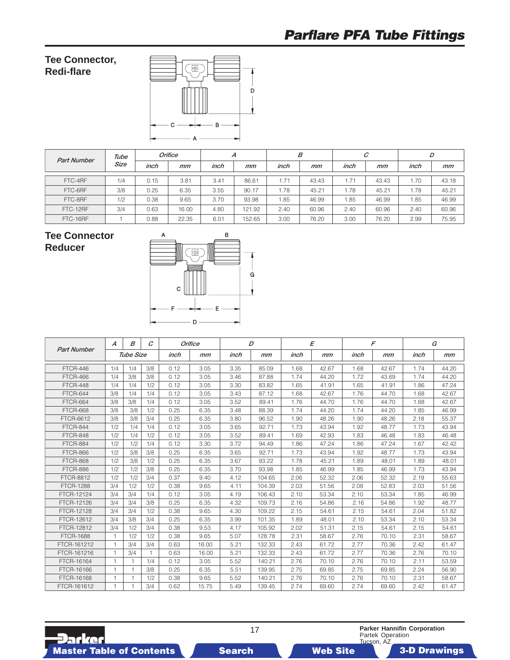**Tee Connector, Redi-flare**



| Tube<br><b>Part Number</b> |      | Orifice |       | А    |        |      | В     |      | C     | D     |       |
|----------------------------|------|---------|-------|------|--------|------|-------|------|-------|-------|-------|
|                            | Size | inch    | mm    | inch | mm     | inch | mm    | inch | mm    | inch  | mm    |
| FTC-4RF                    | 1/4  | 0.15    | 3.81  | 3.41 | 86.61  | 1.71 | 43.43 | 1.71 | 43.43 | 1.70  | 43.18 |
| FTC-6RF                    | 3/8  | 0.25    | 6.35  | 3.55 | 90.17  | 1.78 | 45.21 | 1.78 | 45.21 | 1.78  | 45.21 |
| FTC-8RF                    | 1/2  | 0.38    | 9.65  | 3.70 | 93.98  | 1.85 | 46.99 | 1.85 | 46.99 | 85، ا | 46.99 |
| FTC-12RF                   | 3/4  | 0.63    | 16.00 | 4.80 | 121.92 | 2.40 | 60.96 | 2.40 | 60.96 | 2.40  | 60.96 |
| FTC-16RF                   |      | 0.88    | 22.35 | 6.01 | 152.65 | 3.00 | 76.20 | 3.00 | 76.20 | 2.99  | 75.95 |

#### **Tee Connector Reducer**



|                    | $\boldsymbol{A}$ | B            | $\mathcal{C}$ |      | Orifice |      | D      |      | E     |      | $\sqrt{2}$ |      | G     |
|--------------------|------------------|--------------|---------------|------|---------|------|--------|------|-------|------|------------|------|-------|
| <b>Part Number</b> |                  | Tube Size    |               | inch | mm      | inch | mm     | inch | mm    | inch | mm         | inch | mm    |
| <b>FTCR-446</b>    | 1/4              | 1/4          | 3/8           | 0.12 | 3.05    | 3.35 | 85.09  | 1.68 | 42.67 | 1.68 | 42.67      | 1.74 | 44.20 |
| <b>FTCR-466</b>    | 1/4              | 3/8          | 3/8           | 0.12 | 3.05    | 3.46 | 87.88  | 1.74 | 44.20 | 1.72 | 43.69      | 1.74 | 44.20 |
| <b>FTCR-448</b>    | 1/4              | 1/4          | 1/2           | 0.12 | 3.05    | 3.30 | 83.82  | 1.65 | 41.91 | 1.65 | 41.91      | 1.86 | 47.24 |
| FTCR-644           | 3/8              | 1/4          | 1/4           | 0.12 | 3.05    | 3.43 | 87.12  | 1.68 | 42.67 | 1.76 | 44.70      | 1.68 | 42.67 |
| FTCR-664           | 3/8              | 3/8          | 1/4           | 0.12 | 3.05    | 3.52 | 89.41  | 1.76 | 44.70 | 1.76 | 44.70      | 1.68 | 42.67 |
| FTCR-668           | 3/8              | 3/8          | 1/2           | 0.25 | 6.35    | 3.48 | 88.39  | 1.74 | 44.20 | 1.74 | 44.20      | 1.85 | 46.99 |
| <b>FTCR-6612</b>   | 3/8              | 3/8          | 3/4           | 0.25 | 6.35    | 3.80 | 96.52  | 1.90 | 48.26 | 1.90 | 48.26      | 2.18 | 55.37 |
| <b>FTCR-844</b>    | 1/2              | 1/4          | 1/4           | 0.12 | 3.05    | 3.65 | 92.71  | 1.73 | 43.94 | 1.92 | 48.77      | 1.73 | 43.94 |
| FTCR-848           | 1/2              | 1/4          | 1/2           | 0.12 | 3.05    | 3.52 | 89.41  | 1.69 | 42.93 | 1.83 | 46.48      | 1.83 | 46.48 |
| FTCR-884           | 1/2              | 1/2          | 1/4           | 0.12 | 3.30    | 3.72 | 94.49  | 1.86 | 47.24 | 1.86 | 47.24      | 1.67 | 42.42 |
| FTCR-866           | 1/2              | 3/8          | 3/8           | 0.25 | 6.35    | 3.65 | 92.71  | 1.73 | 43.94 | 1.92 | 48.77      | 1.73 | 43.94 |
| <b>FTCR-868</b>    | 1/2              | 3/8          | 1/2           | 0.25 | 6.35    | 3.67 | 93.22  | 1.78 | 45.21 | 1.89 | 48.01      | 1.89 | 48.01 |
| FTCR-886           | 1/2              | 1/2          | 3/8           | 0.25 | 6.35    | 3.70 | 93.98  | 1.85 | 46.99 | 1.85 | 46.99      | 1.73 | 43.94 |
| <b>FTCR-8812</b>   | 1/2              | 1/2          | 3/4           | 0.37 | 9.40    | 4.12 | 104.65 | 2.06 | 52.32 | 2.06 | 52.32      | 2.19 | 55.63 |
| <b>FTCR-1288</b>   | 3/4              | 1/2          | 1/2           | 0.38 | 9.65    | 4.11 | 104.39 | 2.03 | 51.56 | 2.08 | 52.83      | 2.03 | 51.56 |
| <b>FTCR-12124</b>  | 3/4              | 3/4          | 1/4           | 0.12 | 3.05    | 4.19 | 106.43 | 2.10 | 53.34 | 2.10 | 53.34      | 1.85 | 46.99 |
| FTCR-12126         | 3/4              | 3/4          | 3/8           | 0.25 | 6.35    | 4.32 | 109.73 | 2.16 | 54.86 | 2.16 | 54.86      | 1.92 | 48.77 |
| FTCR-12128         | 3/4              | 3/4          | 1/2           | 0.38 | 9.65    | 4.30 | 109.22 | 2.15 | 54.61 | 2.15 | 54.61      | 2.04 | 51.82 |
| FTCR-12612         | 3/4              | 3/8          | 3/4           | 0.25 | 6.35    | 3.99 | 101.35 | 1.89 | 48.01 | 2.10 | 53.34      | 2.10 | 53.34 |
| FTCR-12812         | 3/4              | 1/2          | 3/4           | 0.38 | 9.53    | 4.17 | 105.92 | 2.02 | 51.31 | 2.15 | 54.61      | 2.15 | 54.61 |
| <b>FTCR-1688</b>   | $\mathbf{1}$     | 1/2          | 1/2           | 0.38 | 9.65    | 5.07 | 128.78 | 2.31 | 58.67 | 2.76 | 70.10      | 2.31 | 58.67 |
| FTCR-161212        | $\mathbf{1}$     | 3/4          | 3/4           | 0.63 | 16.00   | 5.21 | 132.33 | 2.43 | 61.72 | 2.77 | 70.36      | 2.42 | 61.47 |
| FTCR-161216        | $\mathbf{1}$     | 3/4          |               | 0.63 | 16.00   | 5.21 | 132.33 | 2.43 | 61.72 | 2.77 | 70.36      | 2.76 | 70.10 |
| FTCR-16164         | $\mathbf{1}$     | $\mathbf{1}$ | 1/4           | 0.12 | 3.05    | 5.52 | 140.21 | 2.76 | 70.10 | 2.76 | 70.10      | 2.11 | 53.59 |
| FTCR-16166         | -1               | $\mathbf{1}$ | 3/8           | 0.25 | 6.35    | 5.51 | 139.95 | 2.75 | 69.85 | 2.75 | 69.85      | 2.24 | 56.90 |
| FTCR-16168         | 1                | $\mathbf 1$  | 1/2           | 0.38 | 9.65    | 5.52 | 140.21 | 2.76 | 70.10 | 2.76 | 70.10      | 2.31 | 58.67 |
| FTCR-161612        | 1                |              | 3/4           | 0.62 | 15.75   | 5.49 | 139.45 | 2.74 | 69.60 | 2.74 | 69.60      | 2.42 | 61.47 |

**WARKOF BILGOS Search Master Table of Contents 3-D Drawings Search Master Table of Contents 3-D Drawings 3-D Drawings 3-D Drawings 3-D Drawings 3-D Drawings 3-D Drawings able of Contents able of Contents able of Contents a** 

17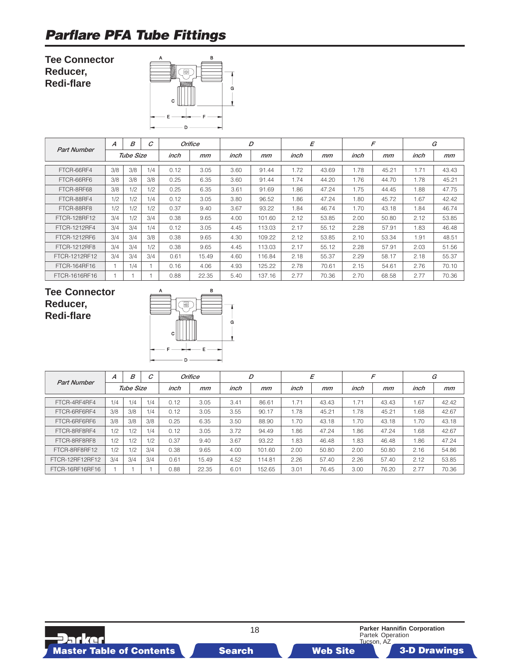### **Tee Connector Reducer, Redi-flare**



| <b>Part Number</b> | $\overline{A}$ | B         | C   |      | Orifice |      | D      |      | E     |      | F     |      | G     |
|--------------------|----------------|-----------|-----|------|---------|------|--------|------|-------|------|-------|------|-------|
|                    |                | Tube Size |     | inch | mm      | inch | mm     | inch | mm    | inch | mm    | inch | mm    |
|                    |                |           |     |      |         |      |        |      |       |      |       |      |       |
| FTCR-66RF4         | 3/8            | 3/8       | 1/4 | 0.12 | 3.05    | 3.60 | 91.44  | 1.72 | 43.69 | 1.78 | 45.21 | 1.71 | 43.43 |
| FTCR-66RF6         | 3/8            | 3/8       | 3/8 | 0.25 | 6.35    | 3.60 | 91.44  | 1.74 | 44.20 | 1.76 | 44.70 | 1.78 | 45.21 |
| FTCR-8RF68         | 3/8            | 1/2       | 1/2 | 0.25 | 6.35    | 3.61 | 91.69  | 1.86 | 47.24 | 1.75 | 44.45 | 1.88 | 47.75 |
| FTCR-88RF4         | 1/2            | 1/2       | 1/4 | 0.12 | 3.05    | 3.80 | 96.52  | 1.86 | 47.24 | 1.80 | 45.72 | 1.67 | 42.42 |
| FTCR-88RF8         | 1/2            | 1/2       | 1/2 | 0.37 | 9.40    | 3.67 | 93.22  | 1.84 | 46.74 | 1.70 | 43.18 | 1.84 | 46.74 |
| FTCR-128RF12       | 3/4            | 1/2       | 3/4 | 0.38 | 9.65    | 4.00 | 101.60 | 2.12 | 53.85 | 2.00 | 50.80 | 2.12 | 53.85 |
| FTCR-1212RF4       | 3/4            | 3/4       | 1/4 | 0.12 | 3.05    | 4.45 | 113.03 | 2.17 | 55.12 | 2.28 | 57.91 | 1.83 | 46.48 |
| FTCR-1212RF6       | 3/4            | 3/4       | 3/8 | 0.38 | 9.65    | 4.30 | 109.22 | 2.12 | 53.85 | 2.10 | 53.34 | 1.91 | 48.51 |
| FTCR-1212RF8       | 3/4            | 3/4       | 1/2 | 0.38 | 9.65    | 4.45 | 113.03 | 2.17 | 55.12 | 2.28 | 57.91 | 2.03 | 51.56 |
| FTCR-1212RF12      | 3/4            | 3/4       | 3/4 | 0.61 | 15.49   | 4.60 | 116.84 | 2.18 | 55.37 | 2.29 | 58.17 | 2.18 | 55.37 |
| FTCR-164RF16       |                | 1/4       |     | 0.16 | 4.06    | 4.93 | 125.22 | 2.78 | 70.61 | 2.15 | 54.61 | 2.76 | 70.10 |
| FTCR-1616RF16      | н              |           |     | 0.88 | 22.35   | 5.40 | 137.16 | 2.77 | 70.36 | 2.70 | 68.58 | 2.77 | 70.36 |

## **Tee Connector Reducer, Redi-flare**



| <b>Part Number</b> | Α   | B         |     |      | Orifice |      | D      |        | E     |      | F     |      | G     |
|--------------------|-----|-----------|-----|------|---------|------|--------|--------|-------|------|-------|------|-------|
|                    |     | Tube Size |     | inch | mm      | inch | mm     | inch   | mm    | inch | mm    | inch | mm    |
| FTCR-4RF4RF4       | 1/4 | 1/4       | 1/4 | 0.12 | 3.05    | 3.41 | 86.61  | $1.7*$ | 43.43 | 1.71 | 43.43 | 1.67 | 42.42 |
| FTCR-6RF6RF4       | 3/8 | 3/8       | 1/4 | 0.12 | 3.05    | 3.55 | 90.17  | 1.78   | 45.21 | 1.78 | 45.21 | 1.68 | 42.67 |
| FTCR-6RF6RF6       | 3/8 | 3/8       | 3/8 | 0.25 | 6.35    | 3.50 | 88.90  | 1.70   | 43.18 | 1.70 | 43.18 | 1.70 | 43.18 |
| FTCR-8RF8RF4       | 1/2 | 1/2       | 1/4 | 0.12 | 3.05    | 3.72 | 94.49  | 1.86   | 47.24 | 1.86 | 47.24 | 1.68 | 42.67 |
| FTCR-8RF8RF8       | 1/2 | 1/2       | 1/2 | 0.37 | 9.40    | 3.67 | 93.22  | 1.83   | 46.48 | 1.83 | 46.48 | 1.86 | 47.24 |
| FTCR-8RF8RF12      | 1/2 | 1/2       | 3/4 | 0.38 | 9.65    | 4.00 | 101.60 | 2.00   | 50.80 | 2.00 | 50.80 | 2.16 | 54.86 |
| FTCR-12RF12RF12    | 3/4 | 3/4       | 3/4 | 0.61 | 15.49   | 4.52 | 114.81 | 2.26   | 57.40 | 2.26 | 57.40 | 2.12 | 53.85 |
| FTCR-16RF16RF16    |     |           |     | 0.88 | 22.35   | 6.01 | 152.65 | 3.01   | 76.45 | 3.00 | 76.20 | 2.77 | 70.36 |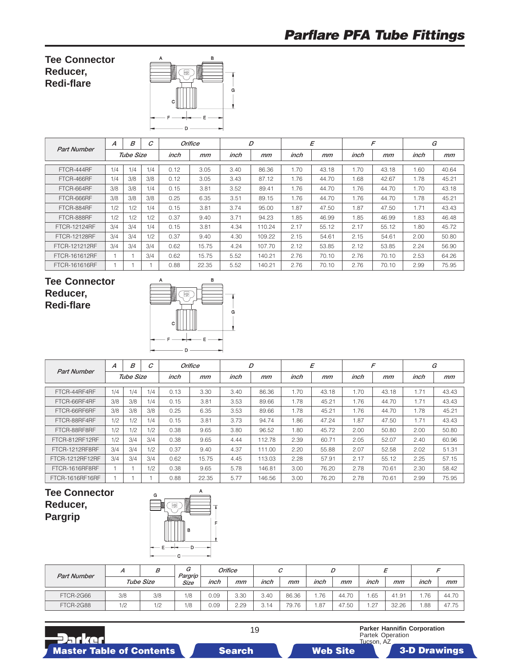# **Tee Connector Reducer, Redi-flare**



| <b>Part Number</b>  | $\overline{A}$ | B         | C   |      | <b>Orifice</b> |      | D      |      | E     |      | F     |      | G     |
|---------------------|----------------|-----------|-----|------|----------------|------|--------|------|-------|------|-------|------|-------|
|                     |                | Tube Size |     | inch | mm             | inch | mm     | inch | mm    | inch | mm    | inch | mm    |
| FTCR-444RF          | 1/4            | 1/4       | 1/4 | 0.12 | 3.05           | 3.40 | 86.36  | 1.70 | 43.18 | 1.70 | 43.18 | 1.60 | 40.64 |
| FTCR-466RF          | 1/4            | 3/8       | 3/8 | 0.12 | 3.05           | 3.43 | 87.12  | 1.76 | 44.70 | 1.68 | 42.67 | 1.78 | 45.21 |
| FTCR-664RF          | 3/8            | 3/8       | 1/4 | 0.15 | 3.81           | 3.52 | 89.41  | 1.76 | 44.70 | 1.76 | 44.70 | 1.70 | 43.18 |
| FTCR-666RF          | 3/8            | 3/8       | 3/8 | 0.25 | 6.35           | 3.51 | 89.15  | 1.76 | 44.70 | 1.76 | 44.70 | 1.78 | 45.21 |
| FTCR-884RF          | 1/2            | 1/2       | 1/4 | 0.15 | 3.81           | 3.74 | 95.00  | 1.87 | 47.50 | 1.87 | 47.50 | 1.71 | 43.43 |
| FTCR-888RF          | 1/2            | 1/2       | 1/2 | 0.37 | 9.40           | 3.71 | 94.23  | 1.85 | 46.99 | 1.85 | 46.99 | 1.83 | 46.48 |
| <b>FTCR-12124RF</b> | 3/4            | 3/4       | 1/4 | 0.15 | 3.81           | 4.34 | 110.24 | 2.17 | 55.12 | 2.17 | 55.12 | 1.80 | 45.72 |
| <b>FTCR-12128RF</b> | 3/4            | 3/4       | 1/2 | 0.37 | 9.40           | 4.30 | 109.22 | 2.15 | 54.61 | 2.15 | 54.61 | 2.00 | 50.80 |
| FTCR-121212RF       | 3/4            | 3/4       | 3/4 | 0.62 | 15.75          | 4.24 | 107.70 | 2.12 | 53.85 | 2.12 | 53.85 | 2.24 | 56.90 |
| FTCR-161612RF       |                |           | 3/4 | 0.62 | 15.75          | 5.52 | 140.21 | 2.76 | 70.10 | 2.76 | 70.10 | 2.53 | 64.26 |
| FTCR-161616RF       |                |           |     | 0.88 | 22.35          | 5.52 | 140.21 | 2.76 | 70.10 | 2.76 | 70.10 | 2.99 | 75.95 |

### **Tee Connector Reducer, Redi-flare**



| <b>Part Number</b> | A   | B         | C   |      | Orifice |      | D      |      | E     |      | F     |      | G     |
|--------------------|-----|-----------|-----|------|---------|------|--------|------|-------|------|-------|------|-------|
|                    |     | Tube Size |     | inch | mm      | inch | mm     | inch | mm    | inch | mm    | inch | mm    |
| FTCR-44RF4RF       | 1/4 | 1/4       | 1/4 | 0.13 | 3.30    | 3.40 | 86.36  | 1.70 | 43.18 | 1.70 | 43.18 | 1.71 | 43.43 |
| FTCR-66RF4RF       | 3/8 | 3/8       | 1/4 | 0.15 | 3.81    | 3.53 | 89.66  | 1.78 | 45.21 | 1.76 | 44.70 | 1.71 | 43.43 |
| FTCR-66RF6RF       | 3/8 | 3/8       | 3/8 | 0.25 | 6.35    | 3.53 | 89.66  | 1.78 | 45.21 | 1.76 | 44.70 | 1.78 | 45.21 |
| FTCR-88RF4RF       | 1/2 | 1/2       | 1/4 | 0.15 | 3.81    | 3.73 | 94.74  | 1.86 | 47.24 | 1.87 | 47.50 | 1.71 | 43.43 |
| FTCR-88RF8RF       | 1/2 | 1/2       | 1/2 | 0.38 | 9.65    | 3.80 | 96.52  | 1.80 | 45.72 | 2.00 | 50.80 | 2.00 | 50.80 |
| FTCR-812RF12RF     | 1/2 | 3/4       | 3/4 | 0.38 | 9.65    | 4.44 | 112.78 | 2.39 | 60.71 | 2.05 | 52.07 | 2.40 | 60.96 |
| FTCR-1212RF8RF     | 3/4 | 3/4       | 1/2 | 0.37 | 9.40    | 4.37 | 111.00 | 2.20 | 55.88 | 2.07 | 52.58 | 2.02 | 51.31 |
| FTCR-1212RF12RF    | 3/4 | 3/4       | 3/4 | 0.62 | 15.75   | 4.45 | 13.03  | 2.28 | 57.91 | 2.17 | 55.12 | 2.25 | 57.15 |
| FTCR-1616RF8RF     |     |           | 1/2 | 0.38 | 9.65    | 5.78 | 146.81 | 3.00 | 76.20 | 2.78 | 70.61 | 2.30 | 58.42 |
| FTCR-1616RF16RF    |     |           |     | 0.88 | 22.35   | 5.77 | 146.56 | 3.00 | 76.20 | 2.78 | 70.61 | 2.99 | 75.95 |

# **Tee Connector Reducer, Pargrip**



| <b>Part Number</b> | В   |           | G               |      | Orifice |      |       |      | D     |      |          |      |       |
|--------------------|-----|-----------|-----------------|------|---------|------|-------|------|-------|------|----------|------|-------|
|                    |     | Tube Size | Pargrip<br>Size | inch | mm      | inch | mm    | inch | mm    | inch | mm       | inch | mm    |
| FTCR-2G66          | 3/8 | 3/8       | 1/8             | 0.09 | 3.30    | 3.40 | 86.36 | .76  | 44.70 | .65  | $41.9^+$ | . 76 | 44.70 |
| FTCR-2G88          | 1/2 | 1/2       | 1/8             | 0.09 | 2.29    | 3.14 | 79.76 | .87  | 47.50 | 1.27 | 32.26    | .88  | 47.75 |

**WATER Search Web Site Contents Search Master Table of Contents 3-D Drawings Search Master Table of Contents 3-D Drawings 3-D Drawings 3-D Drawings 3-D Drawings 3-D Drawings able of Contents able of Contents able of Conten** 

19

**Parker Hannifin Corporation** Partek Operation

Tucson, AZ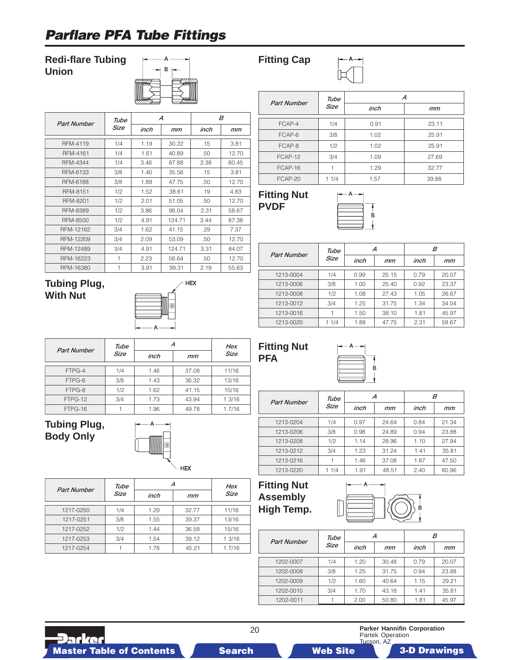# <span id="page-19-0"></span>**Redi-flare Tubing Union**



|                    | Tube |      | A      |      | В     |
|--------------------|------|------|--------|------|-------|
| <b>Part Number</b> | Size | inch | mm     | inch | mm    |
| <b>RFM-4119</b>    | 1/4  | 1.19 | 30.22  | .15  | 3.81  |
| RFM-4161           | 1/4  | 1.61 | 40.89  | .50  | 12.70 |
| <b>RFM-4344</b>    | 1/4  | 3.46 | 87.88  | 2.38 | 60.45 |
| RFM-6133           | 3/8  | 1.40 | 35.56  | .15  | 3.81  |
| <b>RFM-6188</b>    | 3/8  | 1.88 | 47.75  | .50  | 12.70 |
| RFM-8151           | 1/2  | 1.52 | 38.61  | .19  | 4.83  |
| <b>RFM-8201</b>    | 1/2  | 2.01 | 51.05  | .50  | 12.70 |
| RFM-8389           | 1/2  | 3.86 | 98.04  | 2.31 | 58.67 |
| <b>RFM-8500</b>    | 1/2  | 4.91 | 124.71 | 3.44 | 87.38 |
| RFM-12162          | 3/4  | 1.62 | 41.15  | .29  | 7.37  |
| RFM-12209          | 3/4  | 2.09 | 53.09  | .50  | 12.70 |
| RFM-12489          | 3/4  | 4.91 | 124.71 | 3.31 | 84.07 |
| RFM-16223          | 1    | 2.23 | 56.64  | .50  | 12.70 |
| RFM-16380          | 1    | 3.91 | 99.31  | 2.19 | 55.63 |

| <b>Part Number</b> | Tube | Α    |       |
|--------------------|------|------|-------|
|                    | Size | inch | mm    |
|                    |      |      |       |
| FCAP-4             | 1/4  | 0.91 | 23.11 |
| FCAP-6             | 3/8  | 1.02 | 25.91 |
| FCAP-8             | 1/2  | 1.02 | 25.91 |
| FCAP-12            | 3/4  | 1.09 | 27.69 |
| FCAP-16            |      | 1.29 | 32.77 |
| FCAP-20            | 11/4 | 1.57 | 39.88 |

A

**Fitting Nut PVDF**

**Fitting Cap**



| <b>Part Number</b> | Tube |      | А     | В    |       |  |  |  |
|--------------------|------|------|-------|------|-------|--|--|--|
|                    | Size | inch | mm    | inch | mm    |  |  |  |
| 1213-0004          | 1/4  | 0.99 | 25.15 | 0.79 | 20.07 |  |  |  |
| 1213-0006          | 3/8  | 1.00 | 25.40 | 0.92 | 23.37 |  |  |  |
| 1213-0008          | 1/2  | 1.08 | 27.43 | 1.05 | 26.67 |  |  |  |
| 1213-0012          | 3/4  | 1.25 | 31.75 | 1.34 | 34.04 |  |  |  |
| 1213-0016          | 1    | 1.50 | 38.10 | 1.81 | 45.97 |  |  |  |
| 1213-0020          | 11/4 | 1.88 | 47.75 | 2.31 | 58.67 |  |  |  |

**Tubing Plug, With Nut**



| <b>Part Number</b> | Tube        |      |       | Hex         |
|--------------------|-------------|------|-------|-------------|
|                    | <b>Size</b> | inch | mm    | <b>Size</b> |
|                    |             |      |       |             |
| FTPG-4             | 1/4         | 1.46 | 37.08 | 11/16       |
| FTPG-6             | 3/8         | 1.43 | 36.32 | 13/16       |
| FTPG-8             | 1/2         | 1.62 | 41.15 | 15/16       |
| FTPG-12            | 3/4         | 1.73 | 43.94 | 1 3/16      |
| FTPG-16            |             | 1.96 | 49.78 | 1 7/16      |

**Tubing Plug, Body Only**



| <b>Part Number</b> | Tube |      |       | Hex    |
|--------------------|------|------|-------|--------|
|                    | Size | inch | mm    | Size   |
| 1217-0250          | 1/4  | 1.29 | 32.77 | 11/16  |
| 1217-0251          | 3/8  | 1.55 | 39.37 | 13/16  |
| 1217-0252          | 1/2  | 1.44 | 36.58 | 15/16  |
| 1217-0253          | 3/4  | 1.54 | 39.12 | 1 3/16 |
| 1217-0254          |      | 1.78 | 45.21 | 1 7/16 |

# **Fitting Nut PFA**



|                    | Tube |      | А     | В    |       |  |  |  |
|--------------------|------|------|-------|------|-------|--|--|--|
| <b>Part Number</b> | Size | inch | mm    | inch | mm    |  |  |  |
|                    |      |      |       |      |       |  |  |  |
| 1213-0204          | 1/4  | 0.97 | 24.64 | 0.84 | 21.34 |  |  |  |
| 1213-0206          | 3/8  | 0.98 | 24.89 | 0.94 | 23.88 |  |  |  |
| 1213-0208          | 1/2  | 1.14 | 28.96 | 1.10 | 27.94 |  |  |  |
| 1213-0212          | 3/4  | 1.23 | 31.24 | 1.41 | 35.81 |  |  |  |
| 1213-0216          |      | 1.46 | 37.08 | 1.87 | 47.50 |  |  |  |
| 1213-0220          | 1/4  | 1.91 | 48.51 | 2.40 | 60.96 |  |  |  |

**Fitting Nut Assembly High Temp.**



|                    | Tube | А    |       | B    |       |  |  |  |
|--------------------|------|------|-------|------|-------|--|--|--|
| <b>Part Number</b> | Size | inch | mm    | inch | mm    |  |  |  |
|                    |      |      |       |      |       |  |  |  |
| 1202-0007          | 1/4  | 1.20 | 30.48 | 0.79 | 20.07 |  |  |  |
| 1202-0008          | 3/8  | 1.25 | 31.75 | 0.94 | 23.88 |  |  |  |
| 1202-0009          | 1/2  | 1.60 | 40.64 | 1.15 | 29.21 |  |  |  |
| 1202-0010          | 3/4  | 1.70 | 43.18 | 1.41 | 35.81 |  |  |  |
| 1202-0011          |      | 2.00 | 50.80 | 1.81 | 45.97 |  |  |  |

Tucson, AZ

**WATER Search Web Site Master Table of Contents 3-D Search Master Table of Contents 3-D Drawings Search Master** 

20

ſ

**Parker Hannifin Corporation** Partek Operation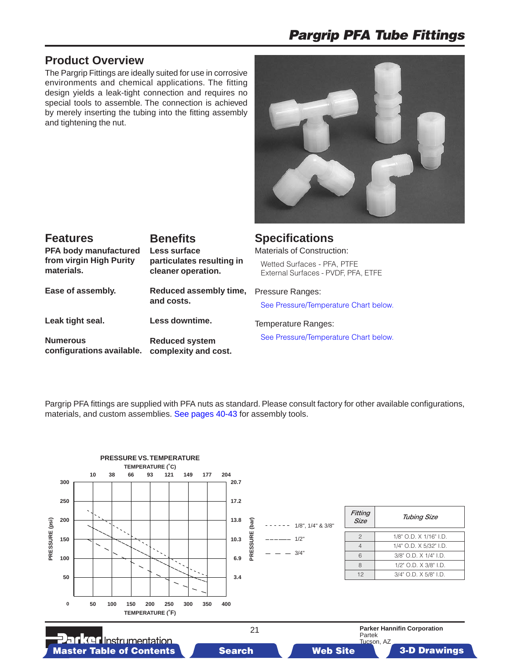# **Pargrip PFA Tube Fittings**

# <span id="page-20-0"></span>**Product Overview**

The Pargrip Fittings are ideally suited for use in corrosive environments and chemical applications. The fitting design yields a leak-tight connection and requires no special tools to assemble. The connection is achieved by merely inserting the tubing into the fitting assembly and tightening the nut.



| <b>Features</b><br><b>PFA body manufactured</b> | <b>Benefits</b><br>Less surface                 | <b>Specifications</b><br>Materials of Construction:                |
|-------------------------------------------------|-------------------------------------------------|--------------------------------------------------------------------|
| from virgin High Purity<br>materials.           | particulates resulting in<br>cleaner operation. | Wetted Surfaces - PFA, PTFE<br>External Surfaces - PVDF, PFA, ETFE |
| Ease of assembly.                               | Reduced assembly time,                          | Pressure Ranges:                                                   |
|                                                 | and costs.                                      | See Pressure/Temperature Chart below.                              |
| Leak tight seal.                                | Less downtime.                                  | Temperature Ranges:                                                |
| <b>Numerous</b><br>configurations available.    | <b>Reduced system</b><br>complexity and cost.   | See Pressure/Temperature Chart below.                              |

Pargrip PFA fittings are supplie[d with PFA nuts as standard](#page-39-0). Please consult factory for other available configurations, materials, and custom assemblies. See pages 40-43 for assembly tools.

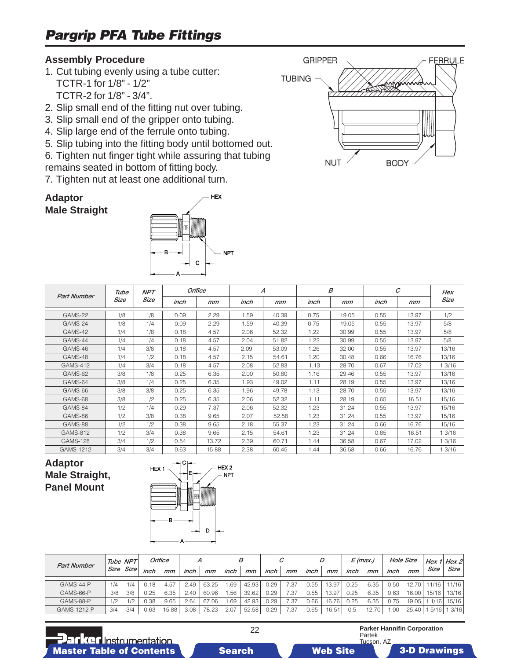# <span id="page-21-0"></span>**Pargrip PFA Tube Fittings**

# **Assembly Procedure**

- 1. Cut tubing evenly using a tube cutter: TCTR-1 for 1/8" - 1/2" TCTR-2 for 1/8" - 3/4".
- 2. Slip small end of the fitting nut over tubing.
- 3. Slip small end of the gripper onto tubing.
- 4. Slip large end of the ferrule onto tubing.
- 5. Slip tubing into the fitting body until bottomed out.
- 6. Tighten nut finger tight while assuring that tubing
- remains seated in bottom of fitting body.
- 7. Tighten nut at least one additional turn.

### **Adaptor Male Straight**





| <b>Part Number</b> | Tube | <b>NPT</b> |      | Orifice |      | A     |      | B     |      | C     | Hex    |
|--------------------|------|------------|------|---------|------|-------|------|-------|------|-------|--------|
|                    | Size | Size       | inch | mm      | inch | mm    | inch | mm    | inch | mm    | Size   |
| GAMS-22            | 1/8  | 1/8        | 0.09 | 2.29    | 1.59 | 40.39 | 0.75 | 19.05 | 0.55 | 13.97 | 1/2    |
| GAMS-24            | 1/8  | 1/4        | 0.09 | 2.29    | 1.59 | 40.39 | 0.75 | 19.05 | 0.55 | 13.97 | 5/8    |
| GAMS-42            | 1/4  | 1/8        | 0.18 | 4.57    | 2.06 | 52.32 | 1.22 | 30.99 | 0.55 | 13.97 | 5/8    |
| GAMS-44            | 1/4  | 1/4        | 0.18 | 4.57    | 2.04 | 51.82 | 1.22 | 30.99 | 0.55 | 13.97 | 5/8    |
| GAMS-46            | 1/4  | 3/8        | 0.18 | 4.57    | 2.09 | 53.09 | 1.26 | 32.00 | 0.55 | 13.97 | 13/16  |
| GAMS-48            | 1/4  | 1/2        | 0.18 | 4.57    | 2.15 | 54.61 | 1.20 | 30.48 | 0.66 | 16.76 | 13/16  |
| <b>GAMS-412</b>    | 1/4  | 3/4        | 0.18 | 4.57    | 2.08 | 52.83 | 1.13 | 28.70 | 0.67 | 17.02 | 3/16   |
| GAMS-62            | 3/8  | 1/8        | 0.25 | 6.35    | 2.00 | 50.80 | 1.16 | 29.46 | 0.55 | 13.97 | 13/16  |
| GAMS-64            | 3/8  | 1/4        | 0.25 | 6.35    | 1.93 | 49.02 | 1.11 | 28.19 | 0.55 | 13.97 | 13/16  |
| GAMS-66            | 3/8  | 3/8        | 0.25 | 6.35    | 1.96 | 49.78 | 1.13 | 28.70 | 0.55 | 13.97 | 13/16  |
| GAMS-68            | 3/8  | 1/2        | 0.25 | 6.35    | 2.06 | 52.32 | 1.11 | 28.19 | 0.65 | 16.51 | 15/16  |
| GAMS-84            | 1/2  | 1/4        | 0.29 | 7.37    | 2.06 | 52.32 | 1.23 | 31.24 | 0.55 | 13.97 | 15/16  |
| GAMS-86            | 1/2  | 3/8        | 0.38 | 9.65    | 2.07 | 52.58 | 1.23 | 31.24 | 0.55 | 13.97 | 15/16  |
| GAMS-88            | 1/2  | 1/2        | 0.38 | 9.65    | 2.18 | 55.37 | 1.23 | 31.24 | 0.66 | 16.76 | 15/16  |
| <b>GAMS-812</b>    | 1/2  | 3/4        | 0.38 | 9.65    | 2.15 | 54.61 | 1.23 | 31.24 | 0.65 | 16.51 | 1 3/16 |
| <b>GAMS-128</b>    | 3/4  | 1/2        | 0.54 | 13.72   | 2.39 | 60.71 | 1.44 | 36.58 | 0.67 | 17.02 | 3/16   |
| GAMS-1212          | 3/4  | 3/4        | 0.63 | 15.88   | 2.38 | 60.45 | 1.44 | 36.58 | 0.66 | 16.76 | 3/16   |

#### **Adaptor Male Straight, Panel Mount**



| <b>Part Number</b> | Tube        | NPT  |      | Orifice | А    |       |      | В     |      | С    |      | D          | E (max., |       |      | <b>Hole Size</b> |       | Hex $1$ Hex $2$ |
|--------------------|-------------|------|------|---------|------|-------|------|-------|------|------|------|------------|----------|-------|------|------------------|-------|-----------------|
|                    | <b>Size</b> | Size | inch | mm      | inch | mm    | inch | mm    | inch | mm   | inch | mm         | inch     | mm    | inch | mm               | Size  | Size            |
| GAMS-44-P          | 1/4         | 1/4  | 0.18 | 4.57    | 2.49 | 63.25 | .69  | 42.93 | 0.29 | 7.37 | 0.55 | i3.97      | 0.25     | 6.35  | 0.50 | 12.70            | 1/16  | 11/16           |
| GAMS-66-P          | 3/8         | 3/8  | 0.25 | 6.35    | 2.40 | 60.96 | .56  | 39.62 | 0.29 | 7.37 | 0.55 | 13.97      | 0.25     | 6.35  | 0.63 | 16.00            | 15/16 | 13/16           |
| GAMS-88-P          | 1/2         | 12   | J.38 | 9.65    | 2.64 | 67.06 | .69  | 42.93 | 0.29 | .37  | J.66 | 76.<br>16. | 0.25     | 6.35  | J.75 | 19.05            | 1/16  | 15/16           |
| GAMS-1212-P        | 3/4         | 3/4  | 0.63 | 15.88   | 3.08 | 78.23 | 2.07 | 52.58 | J.29 | .37  | 0.65 | 16.51      | 0.5      | 12.70 | .00  | 25.40            | 5/16  | 3/16            |

### **Parker Instrumentation** Master Table of Contents Search Web Site 3-D Drawings Search Master Table of Contents 3-D Drawings

22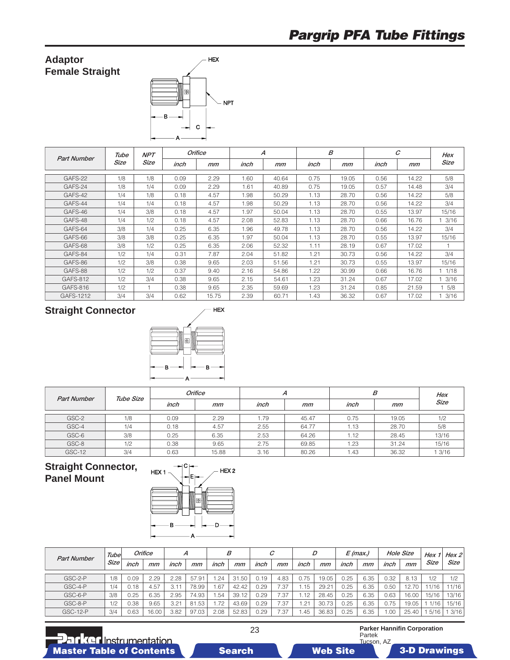# **Adaptor Female Straight**



|                    | Tube | <b>NPT</b> |      | Orifice |      | A     |      | B     |      | С     | Hex   |
|--------------------|------|------------|------|---------|------|-------|------|-------|------|-------|-------|
| <b>Part Number</b> | Size | Size       | inch | mm      | inch | mm    | inch | mm    | inch | mm    | Size  |
|                    |      |            |      |         |      |       |      |       |      |       |       |
| GAFS-22            | 1/8  | 1/8        | 0.09 | 2.29    | 1.60 | 40.64 | 0.75 | 19.05 | 0.56 | 14.22 | 5/8   |
| GAFS-24            | 1/8  | 1/4        | 0.09 | 2.29    | 1.61 | 40.89 | 0.75 | 19.05 | 0.57 | 14.48 | 3/4   |
| GAFS-42            | 1/4  | 1/8        | 0.18 | 4.57    | 1.98 | 50.29 | 1.13 | 28.70 | 0.56 | 14.22 | 5/8   |
| GAFS-44            | 1/4  | 1/4        | 0.18 | 4.57    | 1.98 | 50.29 | 1.13 | 28.70 | 0.56 | 14.22 | 3/4   |
| GAFS-46            | 1/4  | 3/8        | 0.18 | 4.57    | 1.97 | 50.04 | 1.13 | 28.70 | 0.55 | 13.97 | 15/16 |
| GAFS-48            | 1/4  | 1/2        | 0.18 | 4.57    | 2.08 | 52.83 | 1.13 | 28.70 | 0.66 | 16.76 | 3/16  |
| GAFS-64            | 3/8  | 1/4        | 0.25 | 6.35    | 1.96 | 49.78 | 1.13 | 28.70 | 0.56 | 14.22 | 3/4   |
| GAFS-66            | 3/8  | 3/8        | 0.25 | 6.35    | 1.97 | 50.04 | 1.13 | 28.70 | 0.55 | 13.97 | 15/16 |
| GAFS-68            | 3/8  | 1/2        | 0.25 | 6.35    | 2.06 | 52.32 | 1.11 | 28.19 | 0.67 | 17.02 |       |
| GAFS-84            | 1/2  | 1/4        | 0.31 | 7.87    | 2.04 | 51.82 | 1.21 | 30.73 | 0.56 | 14.22 | 3/4   |
| GAFS-86            | 1/2  | 3/8        | 0.38 | 9.65    | 2.03 | 51.56 | 1.21 | 30.73 | 0.55 | 13.97 | 15/16 |
| GAFS-88            | 1/2  | 1/2        | 0.37 | 9.40    | 2.16 | 54.86 | 1.22 | 30.99 | 0.66 | 16.76 | 1/18  |
| GAFS-812           | 1/2  | 3/4        | 0.38 | 9.65    | 2.15 | 54.61 | 1.23 | 31.24 | 0.67 | 17.02 | 3/16  |
| GAFS-816           | 1/2  |            | 0.38 | 9.65    | 2.35 | 59.69 | 1.23 | 31.24 | 0.85 | 21.59 | 5/8   |
| GAFS-1212          | 3/4  | 3/4        | 0.62 | 15.75   | 2.39 | 60.71 | 1.43 | 36.32 | 0.67 | 17.02 | 3/16  |

# **Straight Connector**



| <b>Part Number</b> | Tube Size |      | Orifice | A    |       | B    | Hex   |       |
|--------------------|-----------|------|---------|------|-------|------|-------|-------|
|                    |           | inch | mm      | inch | mm    | inch | mm    | Size  |
|                    |           |      |         |      |       |      |       |       |
| GSC-2              | 1/8       | 0.09 | 2.29    | 1.79 | 45.47 | 0.75 | 19.05 | 1/2   |
| GSC-4              | 1/4       | 0.18 | 4.57    | 2.55 | 64.77 | 1.13 | 28.70 | 5/8   |
| GSC-6              | 3/8       | 0.25 | 6.35    | 2.53 | 64.26 | 1.12 | 28.45 | 13/16 |
| GSC-8              | 1/2       | 0.38 | 9.65    | 2.75 | 69.85 | 1.23 | 31.24 | 15/16 |
| GSC-12             | 3/4       | 0.63 | 15.88   | 3.16 | 80.26 | 1.43 | 36.32 | 3/16  |

# **Straight Connector, Panel Mount**



|                 | Tube<br><b>Part Number</b> |      | Orifice | Α    |       | В    |       | С    |      | D    |       | $E$ (max.) |      | Hole Size |       | Hex   | Hex $2$ |
|-----------------|----------------------------|------|---------|------|-------|------|-------|------|------|------|-------|------------|------|-----------|-------|-------|---------|
|                 | Size                       | inch | mm      | inch | mm    | inch | mm    | inch | mm   | inch | mm    | inch       | mm   | inch      | mm    | Size  | Size    |
|                 |                            |      |         |      |       |      |       |      |      |      |       |            |      |           |       |       |         |
| GSC-2-P         | 1/8                        | 0.09 | 2.29    | 2.28 | 57.91 | .24  | 31.50 | 0.19 | 4.83 | 0.75 | 19.05 | 0.25       | 6.35 | 0.32      | 8.13  | 1/2   | 1/2     |
| GSC-4-P         | 1/4                        | 0.18 | 4.57    | 3.11 | 78.99 | . 67 | 42.42 | 0.29 | 7.37 | .15  | 29.21 | 0.25       | 6.35 | 0.50      | 12.70 | 11/16 | 11/16   |
| GSC-6-P         | 3/8                        | 0.25 | 6.35    | 2.95 | 74.93 | 54،، | 39.12 | 0.29 | 7.37 | 1.12 | 28.45 | 0.25       | 6.35 | 0.63      | 16.00 | 15/16 | 13/16   |
| GSC-8-P         | 1/2                        | 0.38 | 9.65    | 3.21 | 81.53 | 1.72 | 43.69 | 0.29 | 7.37 | .21  | 30.73 | 0.25       | 6.35 | 0.75      | 19.05 | 1/16  | 15/16   |
| <b>GSC-12-P</b> | 3/4                        | 0.63 | 16.00   | 3.82 | 97.03 | 2.08 | 52.83 | 0.29 | 1.37 | : 45 | 36.83 | 0.25       | 6.35 | 00. ا     | 25.40 | 5/16  | 3/16    |

# **WATKET** Instrumentation<br>Master Table of Contents Search Meb Site <sup>Figures</sup> 3-D Drawings

23

**Parker Hannifin Corporation** Partek

Tucson, AZ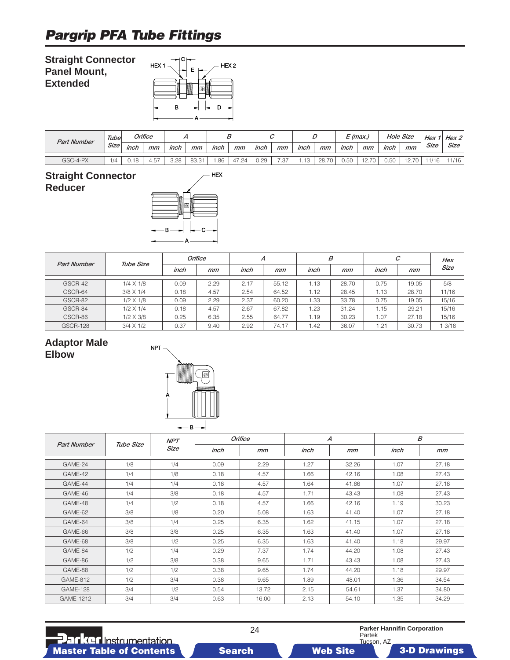# <span id="page-23-0"></span>**Pargrip PFA Tube Fittings**

# **Straight Connector Panel Mount, Extended**



| <b>Part Number</b> | Tube |      | Orifice       |      |       |      |       |      |      |      |       |                     | $\epsilon$ (max., |      | <b>Hole Size</b> | Hex   | Hex 2 |
|--------------------|------|------|---------------|------|-------|------|-------|------|------|------|-------|---------------------|-------------------|------|------------------|-------|-------|
|                    | Size | inch | mm            | inch | mm    | inch | mm    | inch | mm   | inch | mm    | inch                | mm                | inch | mm               | Size  | Size  |
| GSC-4-PX           | 1/4  | 0.18 | $- -$<br>4.5, | 3.28 | 83.31 | .86  | 47.24 | 0.29 | 7.37 | 12   | 28.70 | $\Omega$ 50<br>U.OU | 70.               | 0.50 | <b>70</b>        | 11/16 | 11/16 |

# **Straight Connector Reducer**



| <b>Part Number</b> | Tube Size        | Orifice |      | Α    |       |      | B     |      | С     | Hex   |
|--------------------|------------------|---------|------|------|-------|------|-------|------|-------|-------|
|                    |                  | inch    | mm   | inch | mm    | inch | mm    | inch | mm    | Size  |
|                    |                  |         |      |      |       |      |       |      |       |       |
| GSCR-42            | $1/4 \times 1/8$ | 0.09    | 2.29 | 2.17 | 55.12 | 1.13 | 28.70 | 0.75 | 19.05 | 5/8   |
| GSCR-64            | 3/8 X 1/4        | 0.18    | 4.57 | 2.54 | 64.52 | 1.12 | 28.45 | 1.13 | 28.70 | 11/16 |
| GSCR-82            | $1/2 \times 1/8$ | 0.09    | 2.29 | 2.37 | 60.20 | 1.33 | 33.78 | 0.75 | 19.05 | 15/16 |
| GSCR-84            | $1/2 \times 1/4$ | 0.18    | 4.57 | 2.67 | 67.82 | 1.23 | 31.24 | 1.15 | 29.21 | 15/16 |
| GSCR-86            | $1/2 \times 3/8$ | 0.25    | 6.35 | 2.55 | 64.77 | 1.19 | 30.23 | 1.07 | 27.18 | 15/16 |
| <b>GSCR-128</b>    | $3/4 \times 1/2$ | 0.37    | 9.40 | 2.92 | 74.17 | 1.42 | 36.07 | 1.21 | 30.73 | 3/16  |

#### **Adaptor Male Elbow**



| <b>Part Number</b> | Tube Size | <b>NPT</b> |      | <b>Orifice</b> |      | А     | B    |       |
|--------------------|-----------|------------|------|----------------|------|-------|------|-------|
|                    |           | Size       | inch | mm             | inch | mm    | inch | mm    |
| GAME-24            | 1/8       | 1/4        | 0.09 | 2.29           | 1.27 | 32.26 | 1.07 | 27.18 |
| GAME-42            | 1/4       | 1/8        | 0.18 | 4.57           | 1.66 | 42.16 | 1.08 | 27.43 |
| GAME-44            | 1/4       | 1/4        | 0.18 | 4.57           | 1.64 | 41.66 | 1.07 | 27.18 |
| GAME-46            | 1/4       | 3/8        | 0.18 | 4.57           | 1.71 | 43.43 | 1.08 | 27.43 |
| GAME-48            | 1/4       | 1/2        | 0.18 | 4.57           | 1.66 | 42.16 | 1.19 | 30.23 |
| GAME-62            | 3/8       | 1/8        | 0.20 | 5.08           | 1.63 | 41.40 | 1.07 | 27.18 |
| GAME-64            | 3/8       | 1/4        | 0.25 | 6.35           | 1.62 | 41.15 | 1.07 | 27.18 |
| GAME-66            | 3/8       | 3/8        | 0.25 | 6.35           | 1.63 | 41.40 | 1.07 | 27.18 |
| GAME-68            | 3/8       | 1/2        | 0.25 | 6.35           | 1.63 | 41.40 | 1.18 | 29.97 |
| GAME-84            | 1/2       | 1/4        | 0.29 | 7.37           | 1.74 | 44.20 | 1.08 | 27.43 |
| GAME-86            | 1/2       | 3/8        | 0.38 | 9.65           | 1.71 | 43.43 | 1.08 | 27.43 |
| GAME-88            | 1/2       | 1/2        | 0.38 | 9.65           | 1.74 | 44.20 | 1.18 | 29.97 |
| <b>GAME-812</b>    | 1/2       | 3/4        | 0.38 | 9.65           | 1.89 | 48.01 | 1.36 | 34.54 |
| <b>GAME-128</b>    | 3/4       | 1/2        | 0.54 | 13.72          | 2.15 | 54.61 | 1.37 | 34.80 |
| GAME-1212          | 3/4       | 3/4        | 0.63 | 16.00          | 2.13 | 54.10 | 1.35 | 34.29 |

**Park Gr** Instrumentation<br>Master Table of Contents **Search Master Table of Contents 3-D Drawings** 

24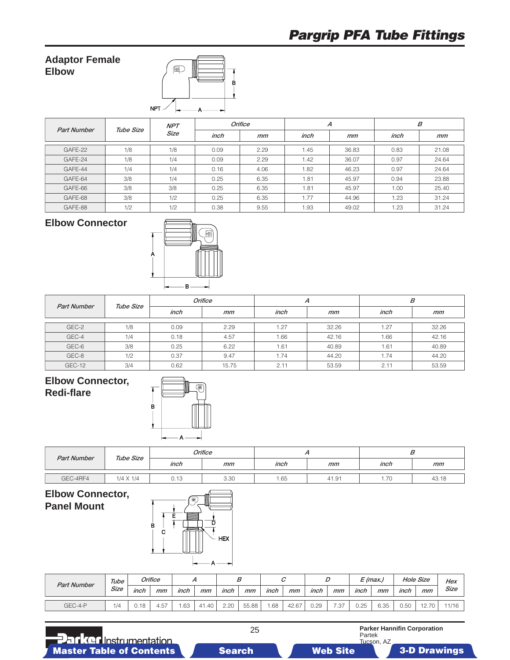**Adaptor Female Elbow**



| <b>Part Number</b> | Tube Size | <b>NPT</b>  |      | <b>Orifice</b> | А    |       | В    |       |  |
|--------------------|-----------|-------------|------|----------------|------|-------|------|-------|--|
|                    |           | <b>Size</b> | inch | mm             | inch | mm    | inch | mm    |  |
|                    |           |             |      |                |      |       |      |       |  |
| GAFE-22            | 1/8       | 1/8         | 0.09 | 2.29           | 1.45 | 36.83 | 0.83 | 21.08 |  |
| GAFE-24            | 1/8       | 1/4         | 0.09 | 2.29           | 1.42 | 36.07 | 0.97 | 24.64 |  |
| GAFE-44            | 1/4       | 1/4         | 0.16 | 4.06           | 1.82 | 46.23 | 0.97 | 24.64 |  |
| GAFE-64            | 3/8       | 1/4         | 0.25 | 6.35           | 1.81 | 45.97 | 0.94 | 23.88 |  |
| GAFE-66            | 3/8       | 3/8         | 0.25 | 6.35           | 1.81 | 45.97 | 1.00 | 25.40 |  |
| GAFE-68            | 3/8       | 1/2         | 0.25 | 6.35           | 1.77 | 44.96 | 1.23 | 31.24 |  |
| GAFE-88            | 1/2       | 1/2         | 0.38 | 9.55           | 1.93 | 49.02 | 1.23 | 31.24 |  |

# **Elbow Connector**



| <b>Part Number</b> | Tube Size |      | Orifice | Α    |       | B    |       |  |
|--------------------|-----------|------|---------|------|-------|------|-------|--|
|                    |           | inch | mm      | inch | mm    | inch | mm    |  |
|                    |           |      |         |      |       |      |       |  |
| GEC-2              | 1/8       | 0.09 | 2.29    | 1.27 | 32.26 | 1.27 | 32.26 |  |
| GEC-4              | 1/4       | 0.18 | 4.57    | 1.66 | 42.16 | 1.66 | 42.16 |  |
| GEC-6              | 3/8       | 0.25 | 6.22    | 1.61 | 40.89 | 1.61 | 40.89 |  |
| GEC-8              | 1/2       | 0.37 | 9.47    | 1.74 | 44.20 | 1.74 | 44.20 |  |
| GEC-12             | 3/4       | 0.62 | 15.75   | 2.11 | 53.59 | 2.11 | 53.59 |  |

### **Elbow Connector, Redi-flare**



| <b>Part Number</b> | Tube Size |      | Orifice |      |       |                                  |         |  |
|--------------------|-----------|------|---------|------|-------|----------------------------------|---------|--|
|                    |           | inch | mm      | inch | mm    | inch                             | $_{mm}$ |  |
| GEC-4RF4           | 1/4 X 1/4 | 0.13 | 3.30    | 1.65 | 41.91 | $\overline{\phantom{a}}$<br>1.7U | 43.18   |  |

# **Elbow Connector, Panel Mount**



| <b>Part Number</b> | Tube | Orifice<br>D |             |      |                            | ' (max., |       | <b>Hole Size</b> |       | Hex  |      |      |      |      |            |       |
|--------------------|------|--------------|-------------|------|----------------------------|----------|-------|------------------|-------|------|------|------|------|------|------------|-------|
|                    | Size | inch         | mm          | inch | mm                         | inch     | mm    | inch             | mm    | inch | mm   | inch | mm   | inch | mm         | Size  |
| GEC-4-P            | 1/4  | 0.18         | $ -$<br>4.5 | .63  | $.1.40+$<br>$\overline{a}$ | 2.20     | 55.88 | .68              | 42.67 | 0.29 | 7.37 | 0.25 | 6.35 | 0.50 | 70<br>12.7 | 11/16 |

25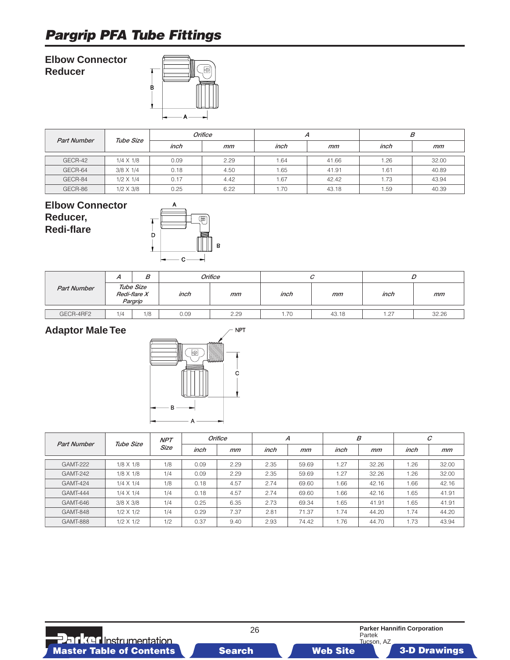# <span id="page-25-0"></span>**Pargrip PFA Tube Fittings**

### **Elbow Connector Reducer**



| <b>Part Number</b> | Tube Size        |      | Orifice | А    |       | В    |       |  |
|--------------------|------------------|------|---------|------|-------|------|-------|--|
|                    |                  | inch | mm      | inch | mm    | inch | mm    |  |
| GECR-42            | $1/4 \times 1/8$ | 0.09 | 2.29    | 1.64 | 41.66 | 1.26 | 32.00 |  |
| GECR-64            | 3/8 X 1/4        | 0.18 | 4.50    | 1.65 | 41.91 | 1.61 | 40.89 |  |
| GECR-84            | $1/2 \times 1/4$ | 0.17 | 4.42    | 1.67 | 42.42 | 1.73 | 43.94 |  |
| GECR-86            | $1/2 \times 3/8$ | 0.25 | 6.22    | 1.70 | 43.18 | 59،، | 40.39 |  |

### **Elbow Connector Reducer, Redi-flare**



|                    | В<br><b>n</b> |                                              |      | Orifice |      | ັ     | ◡    |       |  |
|--------------------|---------------|----------------------------------------------|------|---------|------|-------|------|-------|--|
| <b>Part Number</b> |               | Tube Size<br>Redi-flare X<br>inch<br>Pargrip |      | mm      | inch | mm    | inch | mm    |  |
| GECR-4RF2          | 1/8<br>1/4    |                                              | 0.09 | 2.29    | 70،، | 43.18 | 1.27 | 32.26 |  |

# **Adaptor Male Tee**



| <b>Part Number</b> | Tube Size        | <b>NPT</b> |      | Orifice |      | А     |      | B     |      | C     |
|--------------------|------------------|------------|------|---------|------|-------|------|-------|------|-------|
|                    |                  | Size       | inch | mm      | inch | mm    | inch | mm    | inch | mm    |
| <b>GAMT-222</b>    | $1/8 \times 1/8$ | 1/8        | 0.09 | 2.29    | 2.35 | 59.69 | 1.27 | 32.26 | .26  | 32.00 |
| <b>GAMT-242</b>    | $1/8 \times 1/8$ | 1/4        | 0.09 | 2.29    | 2.35 | 59.69 | 1.27 | 32.26 | .26  | 32.00 |
| <b>GAMT-424</b>    | $1/4 \times 1/4$ | 1/8        | 0.18 | 4.57    | 2.74 | 69.60 | 1.66 | 42.16 | 1.66 | 42.16 |
| <b>GAMT-444</b>    | $1/4 \times 1/4$ | 1/4        | 0.18 | 4.57    | 2.74 | 69.60 | 1.66 | 42.16 | 1.65 | 41.91 |
| GAMT-646           | 3/8 X 3/8        | 1/4        | 0.25 | 6.35    | 2.73 | 69.34 | 1.65 | 41.91 | 1.65 | 41.91 |
| <b>GAMT-848</b>    | $1/2 \times 1/2$ | 1/4        | 0.29 | 7.37    | 2.81 | 71.37 | 1.74 | 44.20 | 1.74 | 44.20 |
| <b>GAMT-888</b>    | $1/2 \times 1/2$ | 1/2        | 0.37 | 9.40    | 2.93 | 74.42 | 1.76 | 44.70 | 1.73 | 43.94 |

26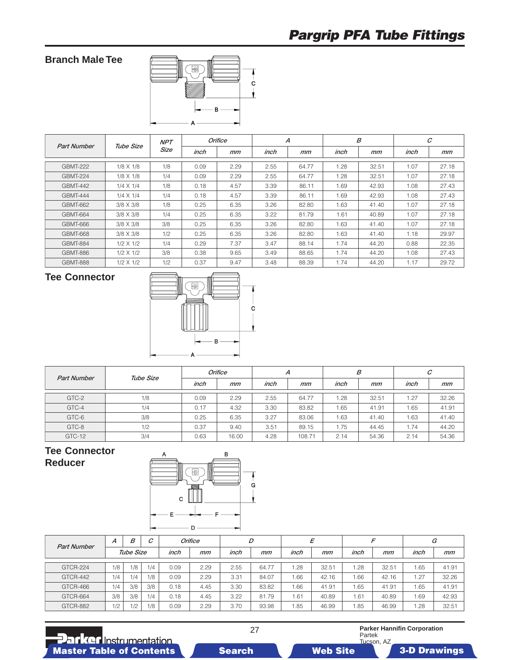#### **Branch Male Tee**



|                 | Tube Size<br><b>Part Number</b> |             |      | Orifice |      | А     |      | B     |      | C     |
|-----------------|---------------------------------|-------------|------|---------|------|-------|------|-------|------|-------|
|                 |                                 | <b>Size</b> | inch | mm      | inch | mm    | inch | mm    | inch | mm    |
| <b>GBMT-222</b> | $1/8 \times 1/8$                | 1/8         | 0.09 | 2.29    | 2.55 | 64.77 | 1.28 | 32.51 | 1.07 | 27.18 |
| <b>GBMT-224</b> | $1/8 \times 1/8$                | 1/4         | 0.09 | 2.29    | 2.55 | 64.77 | 1.28 | 32.51 | 1.07 | 27.18 |
| <b>GBMT-442</b> | $1/4 \times 1/4$                | 1/8         | 0.18 | 4.57    | 3.39 | 86.11 | 1.69 | 42.93 | 1.08 | 27.43 |
| <b>GBMT-444</b> | $1/4 \times 1/4$                | 1/4         | 0.18 | 4.57    | 3.39 | 86.11 | 1.69 | 42.93 | 1.08 | 27.43 |
| <b>GBMT-662</b> | 3/8 X 3/8                       | 1/8         | 0.25 | 6.35    | 3.26 | 82.80 | 1.63 | 41.40 | 1.07 | 27.18 |
| GBMT-664        | 3/8 X 3/8                       | 1/4         | 0.25 | 6.35    | 3.22 | 81.79 | 1.61 | 40.89 | 1.07 | 27.18 |
| <b>GBMT-666</b> | 3/8 X 3/8                       | 3/8         | 0.25 | 6.35    | 3.26 | 82.80 | 1.63 | 41.40 | 1.07 | 27.18 |
| <b>GBMT-668</b> | 3/8 X 3/8                       | 1/2         | 0.25 | 6.35    | 3.26 | 82.80 | 1.63 | 41.40 | 1.18 | 29.97 |
| <b>GBMT-884</b> | $1/2 \times 1/2$                | 1/4         | 0.29 | 7.37    | 3.47 | 88.14 | 1.74 | 44.20 | 0.88 | 22.35 |
| <b>GBMT-886</b> | $1/2 \times 1/2$                | 3/8         | 0.38 | 9.65    | 3.49 | 88.65 | 1.74 | 44.20 | 1.08 | 27.43 |
| <b>GBMT-888</b> | $1/2 \times 1/2$                | 1/2         | 0.37 | 9.47    | 3.48 | 88.39 | 1.74 | 44.20 | 1.17 | 29.72 |

#### **Tee Connector**



| <b>Part Number</b> | Tube Size |      | Orifice |      | А      |      | $\boldsymbol{\mathcal{B}}$ | С    |       |
|--------------------|-----------|------|---------|------|--------|------|----------------------------|------|-------|
|                    |           | inch | mm      | inch | mm     | inch | mm                         | inch | mm    |
| GTC-2              | 1/8       | 0.09 | 2.29    | 2.55 | 64.77  | 1.28 | 32.51                      | .27  | 32.26 |
| GTC-4              | 1/4       | 0.17 | 4.32    | 3.30 | 83.82  | 1.65 | 41.91                      | .65  | 41.91 |
| GTC-6              | 3/8       | 0.25 | 6.35    | 3.27 | 83.06  | 1.63 | 41.40                      | 1.63 | 41.40 |
| GTC-8              | 1/2       | 0.37 | 9.40    | 3.51 | 89.15  | 1.75 | 44.45                      | 1.74 | 44.20 |
| GTC-12             | 3/4       | 0.63 | 16.00   | 4.28 | 108.71 | 2.14 | 54.36                      | 2.14 | 54.36 |

### **Tee Connector Reducer**



| <b>Part Number</b> | Α   | B         |            |      | Orifice |      | D     |      | Ε     |       |       |      | G     |  |
|--------------------|-----|-----------|------------|------|---------|------|-------|------|-------|-------|-------|------|-------|--|
|                    |     | Tube Size |            | inch | mm      | inch | mm    | inch | mm    | inch  | mm    | inch | mm    |  |
|                    |     |           |            |      |         |      |       |      |       |       |       |      |       |  |
| GTCR-224           | 1/8 | 1/8       | $\sqrt{4}$ | 0.09 | 2.29    | 2.55 | 64.77 | 1.28 | 32.51 | .28   | 32.51 | . 65 | 41.91 |  |
| <b>GTCR-442</b>    | 1/4 | 1/4       | 1/8        | 0.09 | 2.29    | 3.31 | 84.07 | 1.66 | 42.16 | .66   | 42.16 | 1.27 | 32.26 |  |
| GTCR-466           | 1/4 | 3/8       | 3/8        | 0.18 | 4.45    | 3.30 | 83.82 | 1.66 | 41.91 | .65   | 41.91 | 1.65 | 41.91 |  |
| GTCR-664           | 3/8 | 3/8       | 1/4        | 0.18 | 4.45    | 3.22 | 81.79 | . 61 | 40.89 | i .61 | 40.89 | 1.69 | 42.93 |  |
| GTCR-882           | 1/2 | 1/2       | 1/8        | 0.09 | 2.29    | 3.70 | 93.98 | 1.85 | 46.99 | .85   | 46.99 | .28  | 32.51 |  |

27

# **WATKER Instrumentation Search Master Table of Contents 3-D Drawings Search Master Table of Contents 3-D Drawings 3-D Drawings**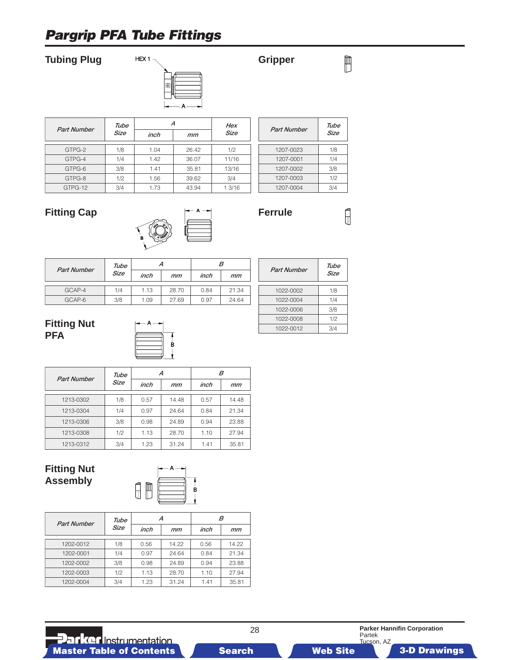# <span id="page-27-0"></span>**Pargrip PFA Tube Fittings**

HEX 1

# **Tubing Plug**



| <b>Part Number</b> | Tube | А    |       | Hex         |
|--------------------|------|------|-------|-------------|
|                    | Size | inch | mm    | <b>Size</b> |
| GTPG-2             | 1/8  | 1.04 | 26.42 | 1/2         |
| GTPG-4             | 1/4  | 1.42 | 36.07 | 11/16       |
| GTPG-6             | 3/8  | 1.41 | 35.81 | 13/16       |
| GTPG-8             | 1/2  | 1.56 | 39.62 | 3/4         |
| GTPG-12            | 3/4  | 1.73 | 43.94 | 1 3/16      |

| <b>Part Number</b> | Tube<br>Size |
|--------------------|--------------|
| 1207-0023          | 1/8          |
| 1207-0001          | 1/4          |
| 1207-0002          | 3/8          |
| 1207-0003          | 1/2          |
| 1207-0004          | 3/4          |

 $\begin{matrix} \begin{matrix} 0 \\ 1 \end{matrix} \end{matrix} \end{matrix}$ 

 $\begin{bmatrix} 1 \\ 1 \\ 1 \end{bmatrix}$ 

**Gripper**

**Ferrule**

# **Fitting Cap**



|                    |             | ∽    |       |      |       |  |  |  |
|--------------------|-------------|------|-------|------|-------|--|--|--|
| <b>Part Number</b> | Tube        |      |       | В    |       |  |  |  |
|                    | <b>Size</b> | inch | mm    | inch | mm    |  |  |  |
| GCAP-4             | 1/4         | 1.13 | 28.70 | 0.84 | 21.34 |  |  |  |
| GCAP-6             | 3/8         | 1.09 | 27.69 | 0.97 | 24.64 |  |  |  |

| <b>Part Number</b> | Tube<br>Size |
|--------------------|--------------|
| 1022-0002          | 1/8          |
| 1022-0004          | 1/4          |
| 1022-0006          | 3/8          |
| 1022-0008          | 1/2          |
| 1022-0012          | 3/4          |

# **Fitting Nut PFA**



| <b>Part Number</b> | Tube | А    | В     |      |       |  |  |
|--------------------|------|------|-------|------|-------|--|--|
|                    | Size | inch | mm    | inch | mm    |  |  |
| 1213-0302          | 1/8  | 0.57 | 14.48 | 0.57 | 14.48 |  |  |
| 1213-0304          | 1/4  | 0.97 | 24.64 | 0.84 | 21.34 |  |  |
| 1213-0306          | 3/8  | 0.98 | 24.89 | 0.94 | 23.88 |  |  |
| 1213-0308          | 1/2  | 1.13 | 28.70 | 1.10 | 27.94 |  |  |
| 1213-0312          | 3/4  | 1.23 | 31.24 | 1.41 | 35.81 |  |  |

# **Fitting Nut Assembly**



| <b>Part Number</b> | Tube |      | А     |      | в     |
|--------------------|------|------|-------|------|-------|
|                    | Size | inch | mm    | inch | mm    |
| 1202-0012          | 1/8  | 0.56 | 14.22 | 0.56 | 14.22 |
| 1202-0001          | 1/4  | 0.97 | 24.64 | 0.84 | 21.34 |
| 1202-0002          | 3/8  | 0.98 | 24.89 | 0.94 | 23.88 |
| 1202-0003          | 1/2  | 1.13 | 28.70 | 1.10 | 27.94 |
| 1202-0004          | 3/4  | 1.23 | 31.24 | 1.41 | 35.81 |

28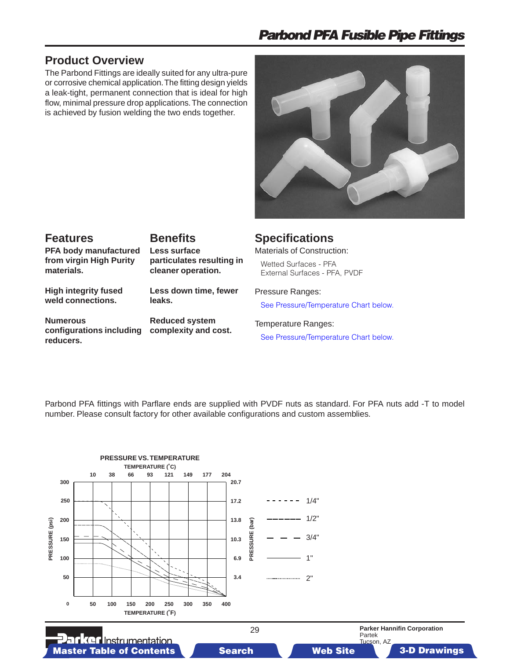# <span id="page-28-0"></span>**Product Overview**

The Parbond Fittings are ideally suited for any ultra-pure or corrosive chemical application. The fitting design yields a leak-tight, permanent connection that is ideal for high flow, minimal pressure drop applications. The connection is achieved by fusion welding the two ends together.



# **Features**

### **Benefits**

**PFA body manufactured from virgin High Purity materials.**

**Less surface particulates resulting in cleaner operation.**

**High integrity fused weld connections.**

**Less down time, fewer leaks.**

**Numerous configurations including complexity and cost. reducers.**

**Reduced system**

# **Specifications**

Materials of Construction:

Wetted Surfaces - PFA External Surfaces - PFA, PVDF

Pressure Ranges: See Pressure/Temperature Chart below.

Temperature Ranges: See Pressure/Temperature Chart below.

Parbond PFA fittings with Parflare ends are supplied with PVDF nuts as standard. For PFA nuts add -T to model number. Please consult factory for other available configurations and custom assemblies.

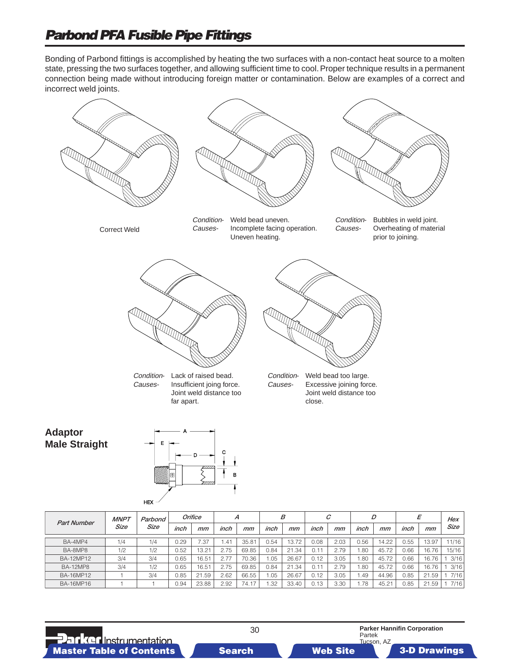<span id="page-29-0"></span>Bonding of Parbond fittings is accomplished by heating the two surfaces with a non-contact heat source to a molten state, pressing the two surfaces together, and allowing sufficient time to cool. Proper technique results in a permanent connection being made without introducing foreign matter or contamination. Below are examples of a correct and incorrect weld joints.



**Adaptor Male Straight** 



|                    | <b>MNPT</b> | Parbond |      | Orifice | А              |           |      | В     |      | C    |      | D     |      | E     | Hex   |
|--------------------|-------------|---------|------|---------|----------------|-----------|------|-------|------|------|------|-------|------|-------|-------|
| <b>Part Number</b> | Size        | Size    | inch | mm      | inch           | mm        | inch | mm    | inch | mm   | inch | mm    | inch | mm    | Size  |
| BA-4MP4            | 1/4         | 1/4     | 0.29 | .37     | $.4^{\dagger}$ | 35.81     | 0.54 | 13.72 | 0.08 | 2.03 | J.56 | 14.22 | 0.55 | 13.97 | 11/16 |
| BA-8MP8            | 1/2         | 1/2     | 0.52 | 13.21   | 2.75           | 69.85     | 0.84 | 21.34 | 0.11 | 2.79 | .80  | 45.72 | 0.66 | 16.76 | 15/16 |
| <b>BA-12MP12</b>   | 3/4         | 3/4     | 0.65 | 16.51   | 2.77           | 70.36     | .05  | 26.67 | 0.12 | 3.05 | .80  | 45.72 | 0.66 | 16.76 | 3/16  |
| <b>BA-12MP8</b>    | 3/4         | 1/2     | 0.65 | 16.51   | 2.75           | 69.85     | 0.84 | 21.34 | 0.11 | 2.79 | .80  | 45.72 | 0.66 | 16.76 | 3/16  |
| <b>BA-16MP12</b>   |             | 3/4     | 0.85 | 21.59   | 2.62           | 66.55     | .05  | 26.67 | 0.12 | 3.05 | 1.49 | 44.96 | 0.85 | 21.59 | 7/16  |
| <b>BA-16MP16</b>   |             |         | 0.94 | 23.88   | 2.92           | 17<br>74. | .32  | 33.40 | 0.13 | 3.30 | .78  | 45.21 | 0.85 | 21.59 | 7/16  |



30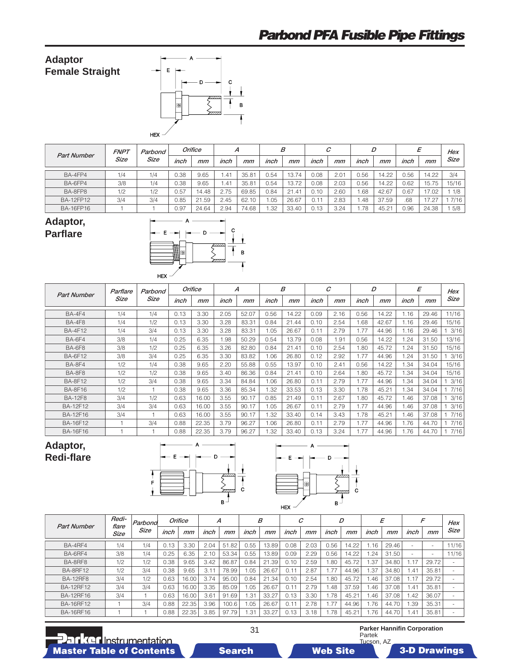

| <b>Part Number</b> | <b>FNPT</b> | Parbond |      | Orifice |      | А     |      | В                    |      | С    |      | D     |      | E     | Hex   |
|--------------------|-------------|---------|------|---------|------|-------|------|----------------------|------|------|------|-------|------|-------|-------|
|                    | Size        | Size    | inch | mm      | inch | mm    | inch | mm                   | inch | mm   | inch | mm    | inch | mm    | Size  |
| BA-4FP4            | 1/4         | 1/4     | 0.38 | 9.65    | .41  | 35.81 | 0.54 | 13.74                | 0.08 | 2.01 | 0.56 | 14.22 | 0.56 | 14.22 | 3/4   |
| BA-6FP4            | 3/8         | 1/4     | 0.38 | 9.65    | .41  | 35.81 | 0.54 | 13.72                | 0.08 | 2.03 | 0.56 | 14.22 | 0.62 | 15.75 | 15/16 |
| BA-8FP8            | 1/2         | 1/2     | 0.57 | 14.48   | 2.75 | 69.85 | 0.84 | 21<br>$.4^{\dagger}$ | 0.10 | 2.60 | .68  | 42.67 | 0.67 | 7.02  | 1/8   |
| BA-12FP12          | 3/4         | 3/4     | 0.85 | 21.59   | 2.45 | 62.10 | .05  | 26.67                | 0.11 | 2.83 | i.48 | 37.59 | .68  | 7.27  | 7/16  |
| <b>BA-16FP16</b>   |             |         | 0.97 | 24.64   | 2.94 | 74.68 | 1.32 | 33.40                | 0.13 | 3.24 | 1.78 | 45.21 | 0.96 | 24.38 | 5/8   |

**Adaptor, Parflare**



|                    | Parflare | Parbond |      | <b>Orifice</b> |      | A     |      | B     |      | C    |      | D     |      | E     | Hex   |
|--------------------|----------|---------|------|----------------|------|-------|------|-------|------|------|------|-------|------|-------|-------|
| <b>Part Number</b> | Size     | Size    | inch | mm             | inch | mm    | inch | mm    | inch | mm   | inch | mm    | inch | mm    | Size  |
| <b>BA-4F4</b>      | 1/4      | 1/4     | 0.13 | 3.30           | 2.05 | 52.07 | 0.56 | 14.22 | 0.09 | 2.16 | 0.56 | 14.22 | 1.16 | 29.46 | 11/16 |
| <b>BA-4F8</b>      | 1/4      | 1/2     | 0.13 | 3.30           | 3.28 | 83.31 | 0.84 | 21.44 | 0.10 | 2.54 | 1.68 | 42.67 | 1.16 | 29.46 | 15/16 |
| <b>BA-4F12</b>     | 1/4      | 3/4     | 0.13 | 3.30           | 3.28 | 83.31 | 1.05 | 26.67 | 0.11 | 2.79 | 1.77 | 44.96 | 1.16 | 29.46 | 3/16  |
| <b>BA-6F4</b>      | 3/8      | 1/4     | 0.25 | 6.35           | 1.98 | 50.29 | 0.54 | 13.79 | 0.08 | 1.91 | 0.56 | 14.22 | .24  | 31.50 | 13/16 |
| <b>BA-6F8</b>      | 3/8      | 1/2     | 0.25 | 6.35           | 3.26 | 82.80 | 0.84 | 21.41 | 0.10 | 2.54 | 1.80 | 45.72 | 1.24 | 31.50 | 15/16 |
| <b>BA-6F12</b>     | 3/8      | 3/4     | 0.25 | 6.35           | 3.30 | 83.82 | 1.06 | 26.80 | 0.12 | 2.92 | 1.77 | 44.96 | 1.24 | 31.50 | 3/16  |
| <b>BA-8F4</b>      | 1/2      | 1/4     | 0.38 | 9.65           | 2.20 | 55.88 | 0.55 | 13.97 | 0.10 | 2.41 | 0.56 | 14.22 | 1.34 | 34.04 | 15/16 |
| <b>BA-8F8</b>      | 1/2      | 1/2     | 0.38 | 9.65           | 3.40 | 86.36 | 0.84 | 21.41 | 0.10 | 2.64 | 1.80 | 45.72 | 1.34 | 34.04 | 15/16 |
| <b>BA-8F12</b>     | 1/2      | 3/4     | 0.38 | 9.65           | 3.34 | 84.84 | 1.06 | 26.80 | 0.11 | 2.79 | 1.77 | 44.96 | 1.34 | 34.04 | 3/16  |
| <b>BA-8F16</b>     | 1/2      |         | 0.38 | 9.65           | 3.36 | 85.34 | .32  | 33.53 | 0.13 | 3.30 | 1.78 | 45.21 | 1.34 | 34.04 | 7/16  |
| <b>BA-12F8</b>     | 3/4      | 1/2     | 0.63 | 16.00          | 3.55 | 90.17 | 0.85 | 21.49 | 0.11 | 2.67 | 08.1 | 45.72 | .46  | 37.08 | 3/16  |
| BA-12F12           | 3/4      | 3/4     | 0.63 | 16.00          | 3.55 | 90.17 | 1.05 | 26.67 | 0.11 | 2.79 | 1.77 | 44.96 | 1.46 | 37.08 | 3/16  |
| <b>BA-12F16</b>    | 3/4      |         | 0.63 | 16.00          | 3.55 | 90.17 | .32  | 33.40 | 0.14 | 3.43 | 1.78 | 45.21 | 1.46 | 37.08 | 7/16  |
| <b>BA-16F12</b>    |          | 3/4     | 0.88 | 22.35          | 3.79 | 96.27 | 1.06 | 26.80 | 0.11 | 2.79 | 1.77 | 44.96 | 1.76 | 44.70 | 7/16  |
| <b>BA-16F16</b>    |          |         | 0.88 | 22.35          | 3.79 | 96.27 | .32  | 33.40 | 0.13 | 3.24 | 1.77 | 44.96 | 1.76 | 44.70 | 7/16  |

**Adaptor, Redi-flare**





| <b>Part Number</b> | Redi-         | Parbond |      | Orifice |      | А     |      | В     |      | C    |      | D              |      | E     |        | F                        | Hex         |
|--------------------|---------------|---------|------|---------|------|-------|------|-------|------|------|------|----------------|------|-------|--------|--------------------------|-------------|
|                    | flare<br>Size | Size    | inch | mm      | inch | mm    | inch | mm    | inch | mm   | inch | mm             | inch | mm    | inch   | mm                       | <b>Size</b> |
| BA-4RF4            | 1/4           | 1/4     | 0.13 | 3.30    | 2.04 | 51.82 | 0.55 | 13.89 | 0.08 | 2.03 | 0.56 | 14.22          | 1.16 | 29.46 | ۰      | $\overline{\phantom{a}}$ | 11/16       |
| BA-6RF4            | 3/8           | 1/4     | 0.25 | 6.35    | 2.10 | 53.34 | 0.55 | 13.89 | 0.09 | 2.29 | 0.56 | 14.22          | .24  | 31.50 | $\sim$ | $\overline{\phantom{a}}$ | 11/16       |
| BA-8RF8            | 1/2           | 1/2     | 0.38 | 9.65    | 3.42 | 86.87 | 0.84 | 21.39 | 0.10 | 2.59 | .80  | 45.72          | .37  | 34.80 | 1.17   | 29.72                    |             |
| <b>BA-8RF12</b>    | 1/2           | 3/4     | 0.38 | 9.65    | 3.11 | 78.99 | 1.05 | 26.67 | 0.11 | 2.87 | 1.77 | 44.96          | . 37 | 34.80 | 1.41   | 35.81                    |             |
| <b>BA-12RF8</b>    | 3/4           | 1/2     | 0.63 | 16.00   | 3.74 | 95.00 | 0.84 | 21.34 | 0.10 | 2.54 | .80  | 45.72          | .46  | 37.08 | 1.17   | 29.72                    |             |
| <b>BA-12RF12</b>   | 3/4           | 3/4     | 0.63 | 16.00   | 3.35 | 85.09 | 1.05 | 26.67 | 0.11 | 2.79 | . 48 | 37.59          | .46  | 37.08 | 1.41   | 35.81                    |             |
| BA-12RF16          | 3/4           |         | 0.63 | 16.00   | 3.61 | 91.69 | .31  | 33.27 | 0.13 | 3.30 | 1.78 | 45.21          | .46  | 37.08 | 1.42   | 36.07                    |             |
| BA-16RF12          |               | 3/4     | 0.88 | 22.35   | 3.96 | 100.6 | 1.05 | 26.67 | 0.11 | 2.78 | 1.77 | 44.96          | .76  | 44.70 | 1.39   | 35.31                    |             |
| <b>BA-16RF16</b>   |               |         | 0.88 | 22.35   | 3.85 | 97.79 | .31  | 33.27 | 0.13 | 3.18 | 1.78 | $45.2^{\circ}$ | .76  | 44.70 | 1.41   | 35.81                    |             |



31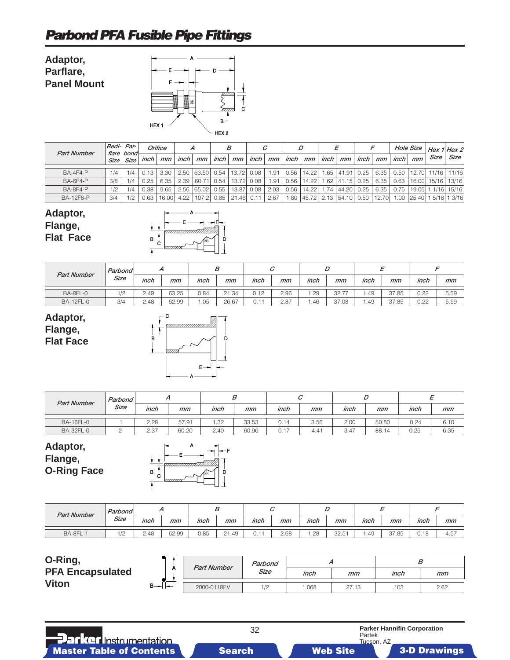<span id="page-31-0"></span>

| <b>Part Number</b> |      | Redi- Par-<br>flare   bond |      | Orifice |      | А          |      | В         |      | C    |      | D     |      |            |      |       |      | Hole Size |        | Hex $1$ Hex $2$ |
|--------------------|------|----------------------------|------|---------|------|------------|------|-----------|------|------|------|-------|------|------------|------|-------|------|-----------|--------|-----------------|
|                    | Size | Size                       | inch | mm      | inch | mm         | inch | mm        | inch | mm   | inch | mm    | inch | mm         | inch | mm    | inch | mm        | Size ' | Size            |
|                    |      |                            |      |         |      |            |      |           |      |      |      |       |      |            |      |       |      |           |        |                 |
| BA-4F4-P           | 1/4  | 14                         |      | 3.30    | 2.50 | 63.50 0.54 |      | 13.72     | 0.08 | 1.91 | 0.56 | 14.22 |      | 1.65 41.91 | 0.25 | 6.35  | 0.50 | 12.70     | 11/16  | 11/16           |
| BA-6F4-P           | 3/8  | 1/4                        | 0.25 | 6.35    | 2.39 | 60.71      | 0.54 | 13.72     | 0.08 | 1.91 | 0.56 | 14.22 |      | 1.62 41.15 | 0.25 | 6.35  | 0.63 | 16.00     | 15/16  | 13/16           |
| BA-8F4-P           | 1/2  | 1/4                        | 0.38 | 9.65    | 2.56 | 65.02      | 0.55 | 13.87     | 0.08 | 2.03 | 0.56 | 14.22 | 1.74 | 44.20      | 0.25 | 6.35  | 0.75 | 19.05     |        | 1/16 15/16      |
| <b>BA-12F8-P</b>   | 3/4  |                            | 0.63 | 16.00   | 4.22 | 107.2      | 0.85 | .46<br>21 |      | 2.67 | .80  | 45.72 | 2.13 | 54.10      | 0.50 | 12.70 | 1.00 | 25.40     |        | 5/16 1 3/16     |

# **Adaptor,**

| Flange, |                  |
|---------|------------------|
|         | <b>Flat Face</b> |



| <b>Part Number</b> | Parbond | <b>n</b> |       |      | D     |      | ັ    |      |       |            |       |      |      |
|--------------------|---------|----------|-------|------|-------|------|------|------|-------|------------|-------|------|------|
|                    | Size    | inch     | mm    | inch | mm    | inch | mm   | inch | mm    | inch       | mm    | inch | mm   |
| BA-8FL-0           | 1/2     | 2.49     | 63.25 | 0.84 | 21.34 | 0.12 | 2.96 | .29  | 32.77 | .49        | 37.85 | 0.22 | 5.59 |
| <b>BA-12FL-0</b>   | 3/4     | 2.48     | 62.99 | 1.05 | 26.67 | 0.11 | 2.87 | 1.46 | 37.08 | <b>.49</b> | 37.85 | 0.22 | 5.59 |

**Adaptor, Flange, Flat Face**



| <b>Part Number</b> | <b>Parbond</b> |      |       |      | D     |      |      |      |       |      |      |
|--------------------|----------------|------|-------|------|-------|------|------|------|-------|------|------|
|                    | Size           | inch | mm    | inch | mm    | inch | mm   | inch | mm    | inch | mm   |
| <b>BA-16FL-0</b>   |                | 2.28 | 57.91 | . 32 | 33.53 | 0.14 | 3.56 | 2.00 | 50.80 | 0.24 | 6.10 |
| <b>BA-32FL-0</b>   |                | 2.37 | 60.20 | 2.40 | 60.96 | 3.17 | 4.41 | 3.47 | 88.14 | 0.25 | 6.35 |

**Adaptor, Flange, O-Ring Face**



|                    | Parbond            |      |       |      | -     |      |      |      |                |      |       |      |             |
|--------------------|--------------------|------|-------|------|-------|------|------|------|----------------|------|-------|------|-------------|
| <b>Part Number</b> | Size               | inch | mm    | inch | mm    | inch | mm   | inch | mm             | inch | mm    | inch | mm          |
| BA-8FL-1           | $\sqrt{2}$<br>17 C | 2.48 | 62.99 | 0.85 | 21.49 | U.I  | 2.68 | .28  | $32.5^{\circ}$ | .49  | 37.85 | 0.18 | $-$<br>4.5. |

| O-Ring,                 |                             | <b>Part Number</b> | Parbond |      |       |      |      |
|-------------------------|-----------------------------|--------------------|---------|------|-------|------|------|
| <b>PFA Encapsulated</b> |                             |                    | Size    | inch | mm    | inch | mm   |
| <b>Viton</b>            | $B \rightarrow \rightarrow$ | 2000-0118EV        | 1/2     | .068 | 27.13 | .103 | 2.62 |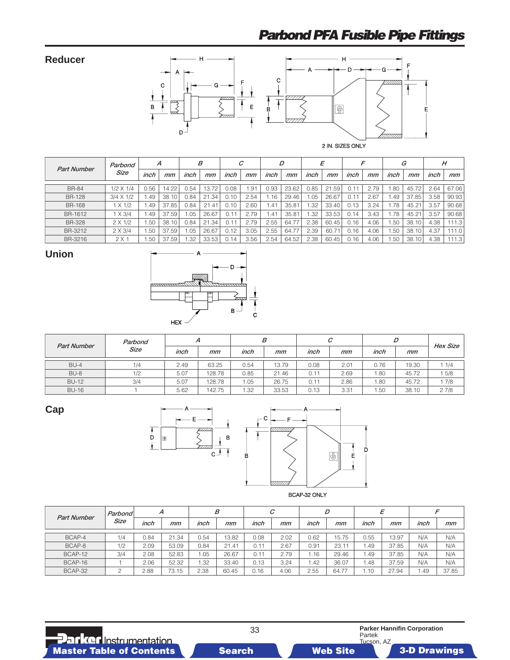<span id="page-32-0"></span>**Reducer**



2 IN. SIZES ONLY

| <b>Part Number</b> | Parbond          |      | А     |      | В     |      | ⌒<br>U   |      | D     |      | E         |      |      |      | G     |      | H     |
|--------------------|------------------|------|-------|------|-------|------|----------|------|-------|------|-----------|------|------|------|-------|------|-------|
|                    | Size             | inch | mm    | inch | mm    | inch | mm       | inch | mm    | inch | mm        | inch | mm   | inch | mm    | inch | mm    |
|                    |                  |      |       |      |       |      |          |      |       |      |           |      |      |      |       |      |       |
| <b>BR-84</b>       | $1/2 \times 1/4$ | 0.56 | 14.22 | 0.54 | 3.72  | 0.08 | $.9^{+}$ | 0.93 | 23.62 | 0.85 | .59<br>21 | 0.1  | 2.79 | .80  | 45.72 | 2.64 | 67.06 |
| <b>BR-128</b>      | $3/4 \times 1/2$ | .49  | 38.10 | 0.84 | 21.34 | 0.10 | 2.54     | 16   | 29.46 | 1.05 | 26.67     | 0.1  | 2.67 | .49  | 37.85 | 3.58 | 90.93 |
| <b>BR-168</b>      | $X$ 1/2          | .49  | 37.85 | 0.84 | 21.41 | 0.10 | 2.60     | .41  | 35.81 | 32،  | 33.40     | 0.13 | 3.24 | 1.78 | 45.21 | 3.57 | 90.68 |
| BR-1612            | X <sub>3/4</sub> | .49  | 37.59 | .05  | 26.67 | 0.1  | 2.79     | .41  | 35.81 | . 32 | 33.53     | 0.14 | 3.43 | .78  | 45.21 | 3.57 | 90.68 |
| <b>BR-328</b>      | 2 X 1/2          | .50  | 38.10 | 0.84 | 21.34 | 0.1  | 2.79     | 2.55 | 64.77 | 2.38 | 60.45     | 0.16 | 4.06 | .50  | 38.10 | 4.38 | 111.3 |
| BR-3212            | $2 \times 3/4$   | .50  | 37.59 | .05  | 26.67 | 0.12 | 3.05     | 2.55 | 64.77 | 2.39 | 60.7      | 0.16 | 4.06 | .50  | 38.10 | 4.37 | 111.0 |
| BR-3216            | 2 X 1            | .50  | 37.59 | .32  | 33.53 | 14   | 3.56     | 2.54 | 64.52 | 2.38 | 60.45     | 0.16 | 4.06 | .50  | 38.10 | 4.38 | 111.3 |

# **Union**



| <b>Part Number</b> | Parbond |      | <b>n</b> |      | В     |      |      |      | D     | Hex Size |
|--------------------|---------|------|----------|------|-------|------|------|------|-------|----------|
|                    | Size    | inch | mm       | inch | mm    | inch | mm   | inch | mm    |          |
| <b>BU-4</b>        | 1/4     | 2.49 | 63.25    | 0.54 | 13.79 | 0.08 | 2.01 | 0.76 | 19.30 | 11/4     |
| BU-8               | 1/2     | 5.07 | 128.78   | 0.85 | 21.46 | 0.11 | 2.69 | 1.80 | 45.72 | 5/8      |
| <b>BU-12</b>       | 3/4     | 5.07 | 128.78   | 1.05 | 26.75 | 0.11 | 2.86 | 1.80 | 45.72 | 1 7/8    |
| <b>BU-16</b>       |         | 5.62 | 142.75   | 1.32 | 33.53 | 0.13 | 3.31 | 1.50 | 38.10 | 27/8     |

**Cap**



| <b>Part Number</b> | Parbond | Α    |       |      | B              |      | $\mathcal C$ |      | D     |      | E     |      |       |
|--------------------|---------|------|-------|------|----------------|------|--------------|------|-------|------|-------|------|-------|
|                    | Size    | inch | mm    | inch | mm             | inch | mm           | inch | mm    | inch | mm    | inch | mm    |
|                    |         |      |       |      |                |      |              |      |       |      |       |      |       |
| BCAP-4             | 1/4     | 0.84 | 21.34 | 0.54 | 13.82          | 0.08 | 2.02         | 0.62 | 15.75 | 0.55 | 13.97 | N/A  | N/A   |
| BCAP-8             | 1/2     | 2.09 | 53.09 | 0.84 | $21.4^{\circ}$ | 0.11 | 2.67         | 0.91 | 23.11 | . 49 | 37.85 | N/A  | N/A   |
| BCAP-12            | 3/4     | 2.08 | 52.83 | 1.05 | 26.67          | 0.11 | 2.79         | .16  | 29.46 | . 49 | 37.85 | N/A  | N/A   |
| BCAP-16            |         | 2.06 | 52.32 | .32  | 33.40          | 0.13 | 3.24         | .42  | 36.07 | 1.48 | 37.59 | N/A  | N/A   |
| BCAP-32            |         | 2.88 | 73.15 | 2.38 | 60.45          | 0.16 | 4.06         | 2.55 | 64.77 | i.10 | 27.94 | . 49 | 37.85 |



33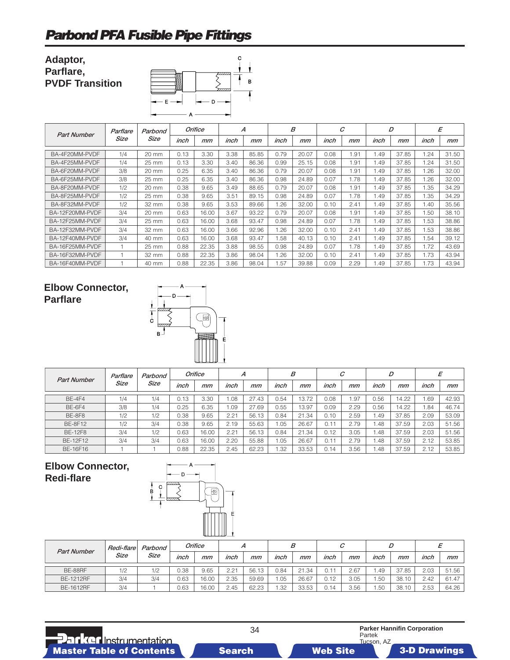<span id="page-33-0"></span>

| <b>Part Number</b> | Parflare | Parbond |      | <b>Orifice</b> |      | A     |      | В     |      | C    |      | D     |      | E     |
|--------------------|----------|---------|------|----------------|------|-------|------|-------|------|------|------|-------|------|-------|
|                    | Size     | Size    | inch | mm             | inch | mm    | inch | mm    | inch | mm   | inch | mm    | inch | mm    |
| BA-4F20MM-PVDF     | 1/4      | 20 mm   | 0.13 | 3.30           | 3.38 | 85.85 | 0.79 | 20.07 | 0.08 | 1.91 | 1.49 | 37.85 | .24  | 31.50 |
| BA-4F25MM-PVDF     | 1/4      | 25 mm   | 0.13 | 3.30           | 3.40 | 86.36 | 0.99 | 25.15 | 0.08 | 1.91 | 1.49 | 37.85 | .24  | 31.50 |
|                    |          |         |      |                |      |       |      |       |      |      |      |       |      |       |
| BA-6F20MM-PVDF     | 3/8      | 20 mm   | 0.25 | 6.35           | 3.40 | 86.36 | 0.79 | 20.07 | 0.08 | 1.91 | 1.49 | 37.85 | .26  | 32.00 |
| BA-6F25MM-PVDF     | 3/8      | 25 mm   | 0.25 | 6.35           | 3.40 | 86.36 | 0.98 | 24.89 | 0.07 | 1.78 | 1.49 | 37.85 | .26  | 32.00 |
| BA-8F20MM-PVDF     | 1/2      | 20 mm   | 0.38 | 9.65           | 3.49 | 88.65 | 0.79 | 20.07 | 0.08 | 1.91 | 1.49 | 37.85 | 1.35 | 34.29 |
| BA-8F25MM-PVDF     | 1/2      | 25 mm   | 0.38 | 9.65           | 3.51 | 89.15 | 0.98 | 24.89 | 0.07 | 1.78 | 1.49 | 37.85 | 1.35 | 34.29 |
| BA-8F32MM-PVDF     | 1/2      | 32 mm   | 0.38 | 9.65           | 3.53 | 89.66 | 1.26 | 32.00 | 0.10 | 2.41 | 1.49 | 37.85 | 1.40 | 35.56 |
| BA-12F20MM-PVDF    | 3/4      | 20 mm   | 0.63 | 16.00          | 3.67 | 93.22 | 0.79 | 20.07 | 0.08 | 1.91 | 1.49 | 37.85 | 1.50 | 38.10 |
| BA-12F25MM-PVDF    | 3/4      | 25 mm   | 0.63 | 16.00          | 3.68 | 93.47 | 0.98 | 24.89 | 0.07 | 1.78 | 1.49 | 37.85 | 1.53 | 38.86 |
| BA-12F32MM-PVDF    | 3/4      | 32 mm   | 0.63 | 16.00          | 3.66 | 92.96 | 1.26 | 32.00 | 0.10 | 2.41 | 1.49 | 37.85 | 1.53 | 38.86 |
| BA-12F40MM-PVDF    | 3/4      | 40 mm   | 0.63 | 16.00          | 3.68 | 93.47 | 1.58 | 40.13 | 0.10 | 2.41 | 1.49 | 37.85 | 1.54 | 39.12 |
| BA-16F25MM-PVDF    |          | 25 mm   | 0.88 | 22.35          | 3.88 | 98.55 | 0.98 | 24.89 | 0.07 | 1.78 | 1.49 | 37.85 | 1.72 | 43.69 |
| BA-16F32MM-PVDF    |          | 32 mm   | 0.88 | 22.35          | 3.86 | 98.04 | 1.26 | 32.00 | 0.10 | 2.41 | 1.49 | 37.85 | 1.73 | 43.94 |
| BA-16F40MM-PVDF    |          | 40 mm   | 0.88 | 22.35          | 3.86 | 98.04 | .57  | 39.88 | 0.09 | 2.29 | 1.49 | 37.85 | 1.73 | 43.94 |

# **Elbow Connector, Parflare**



| <b>Part Number</b> | Parflare | Parbond |      | <b>Orifice</b> | A    |       |       | В     |      | C    |            | D     |      | E     |
|--------------------|----------|---------|------|----------------|------|-------|-------|-------|------|------|------------|-------|------|-------|
|                    | Size     | Size    | inch | mm             | inch | mm    | inch  | mm    | inch | mm   | inch       | mm    | inch | mm    |
| $BF-4F4$           | 1/4      | 1/4     | 0.13 | 3.30           | 0.08 | 27.43 | 0.54  | 13.72 | 0.08 | .97  | 0.56       | 14.22 | .69  | 42.93 |
| BE-6F4             | 3/8      | 1/4     | 0.25 | 6.35           | 0.09 | 27.69 | 0.55  | 13.97 | 0.09 | 2.29 | 0.56       | 14.22 | .84  | 46.74 |
| BE-8F8             | 1/2      | 1/2     | 0.38 | 9.65           | 2.21 | 56.13 | 0.84  | 21.34 | 0.10 | 2.59 | l.49       | 37.85 | 2.09 | 53.09 |
| <b>BE-8F12</b>     | 1/2      | 3/4     | 0.38 | 9.65           | 2.19 | 55.63 | i .05 | 26.67 | 0.11 | 2.79 | .48        | 37.59 | 2.03 | 51.56 |
| <b>BE-12F8</b>     | 3/4      | 1/2     | 0.63 | 16.00          | 2.21 | 56.13 | 0.84  | 21.34 | 0.12 | 3.05 | l.48       | 37.59 | 2.03 | 51.56 |
| BE-12F12           | 3/4      | 3/4     | 0.63 | 16.00          | 2.20 | 55.88 | .05   | 26.67 | 0.11 | 2.79 | <b>.48</b> | 37.59 | 2.12 | 53.85 |
| BE-16F16           |          |         | 0.88 | 22.35          | 2.45 | 62.23 | .32   | 33.53 | 0.14 | 3.56 | 1.48       | 37.59 | 2.12 | 53.85 |

# **Elbow Connector, Redi-flare**



| <b>Part Number</b> | Redi-flare   | Parbond |      | Orifice | А    |       |       | В     |                    |      |      | D     |      |       |
|--------------------|--------------|---------|------|---------|------|-------|-------|-------|--------------------|------|------|-------|------|-------|
|                    | Size<br>Size |         | inch | mm      | inch | mm    | inch  | mm    | inch               | mm   | inch | mm    | inch | mm    |
|                    |              |         |      |         |      |       |       |       |                    |      |      |       |      |       |
| BE-88RF            | 1/2          | 1/2     | 0.38 | 9.65    | 2.21 | 56.13 | 0.84  | 21.34 | 0.1                | 2.67 | I.49 | 37.85 | 2.03 | 51.56 |
| <b>BE-1212RF</b>   | 3/4          | 3/4     | 0.63 | 16.00   | 2.35 | 59.69 | 05، ، | 26.67 | 0.12               | 3.05 | 1.50 | 38.10 | 2.42 | 61.47 |
| <b>BE-1612RF</b>   | 3/4          |         | 0.63 | 16.00   | 2.45 | 62.23 | 1.32  | 33.53 | N 14<br>$\cup$ . I | 3.56 | 1.50 | 38.10 | 2.53 | 64.26 |

34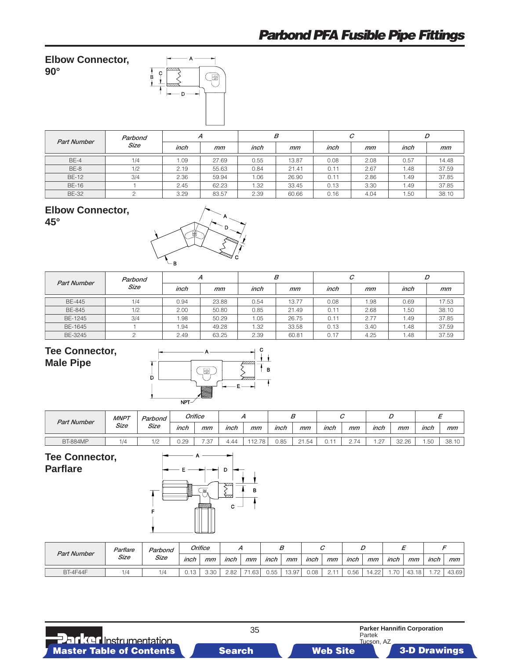<span id="page-34-0"></span>**Elbow Connector, 90°**



| <b>Part Number</b> | Parbond | А    |       |      | B     |      | С    |      | D     |
|--------------------|---------|------|-------|------|-------|------|------|------|-------|
|                    | Size    | inch | mm    | inch | mm    | inch | mm   | inch | mm    |
| $BE-4$             | 1/4     | 1.09 | 27.69 | 0.55 | 13.87 | 0.08 | 2.08 | 0.57 | 14.48 |
| BE-8               | 1/2     | 2.19 | 55.63 | 0.84 | 21.41 | 0.11 | 2.67 | 1.48 | 37.59 |
| <b>BE-12</b>       | 3/4     | 2.36 | 59.94 | 1.06 | 26.90 | 0.11 | 2.86 | 1.49 | 37.85 |
| <b>BE-16</b>       |         | 2.45 | 62.23 | 1.32 | 33.45 | 0.13 | 3.30 | 1.49 | 37.85 |
| <b>BE-32</b>       |         | 3.29 | 83.57 | 2.39 | 60.66 | 0.16 | 4.04 | 1.50 | 38.10 |

# **Elbow Connector,**



| <b>Part Number</b> | Parbond |      | А     |      | В     |      | С    |      | D     |
|--------------------|---------|------|-------|------|-------|------|------|------|-------|
|                    | Size    | inch | mm    | inch | mm    | inch | mm   | inch | mm    |
| <b>BE-445</b>      | 1/4     | 0.94 | 23.88 | 0.54 | 13.77 | 0.08 | 1.98 | 0.69 | 17.53 |
| <b>BE-845</b>      | 1/2     | 2.00 | 50.80 | 0.85 | 21.49 | 0.11 | 2.68 | 50،، | 38.10 |
| BE-1245            | 3/4     | 1.98 | 50.29 | 1.05 | 26.75 | 0.11 | 2.77 | 1.49 | 37.85 |
| BE-1645            |         | 1.94 | 49.28 | 1.32 | 33.58 | 0.13 | 3.40 | 1.48 | 37.59 |
| BE-3245            |         | 2.49 | 63.25 | 2.39 | 60.81 | 0.17 | 4.25 | 1.48 | 37.59 |

## **Tee Connector, Male Pipe**



| <b>Part Number</b> | <b>MNPT</b> | Parbond |      | Orifice  |      |                       |      | ↩                |          |                              |                                  |       |                           |       |
|--------------------|-------------|---------|------|----------|------|-----------------------|------|------------------|----------|------------------------------|----------------------------------|-------|---------------------------|-------|
|                    | Size        | Size    | inch | mm       | inch | mm                    | inch | mm               | inch     | mm                           | inch                             | mm    | inch                      | mm    |
| <b>BT-884MP</b>    | 1/4         | 1/2     | 0.29 | -<br>.37 | 4.44 | 78<br>$\overline{11}$ | 0.85 | .54<br>$\bigcap$ | $\cup$ . | $^{\circ}$ 74 $\cdot$<br>$-$ | 1.27<br>$\overline{\phantom{a}}$ | 32.26 | $\sim$<br>$\sim$<br>1. UU | 38.10 |

**Tee Connector,**



| <b>Part Number</b> | Parflare | Parbond |               | Orifice |      |                      |      | ◡     |      |    |      |       |      |            |                     |       |
|--------------------|----------|---------|---------------|---------|------|----------------------|------|-------|------|----|------|-------|------|------------|---------------------|-------|
|                    | Size     | Size    | inch          | mm      | inch | mm                   | inch | mm    | inch | mm | inch | mm    | inch | mm         | inch                | mm    |
| BT-4F44F           | 1/4      |         | . 40<br>U. IJ | 3.30    | 2.82 | $\rightarrow$<br>.63 | 0.55 | 13.97 | 0.08 |    | 0.56 | 14.22 | 1.70 | 43.<br>.18 | 72<br>$\cdot$ $\in$ | 43.69 |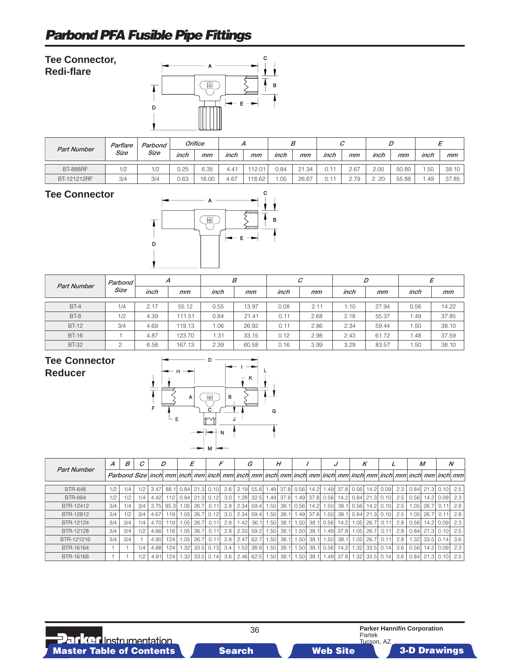**Tee Connector,** C A **Redi-flare**  $\overline{\mathbf{e}}$ B E D *Part Number Parflare* **Parbond O ABCDE ecifir** Size Size inch  $\mid$  mm  $\mid$  inch  $\mid$  mm  $\mid$  inch  $\mid$  mm  $\mid$  inch  $\mid$  mm  $\mid$  inch  $\mid$  mm  $\mid$  inch  $\mid$  mm BT-888RF | 1/2 | 1/2 | 0.25 | 6.35 | 4.41 | 112.01 | 0.84 | 21.34 | 0.11 | 2.67 | 2.00 | 50.80 | 1.50 | 38.10 BT-121212RF | 3/4 | 3/4 | 0.63 | 16.00 | 4.67 | 118.62 | 1.05 | 26.67 | 0.11 | 2.79 | 2 $\,$ 20 | 55.88 | 1.49 | 37.85



| <b>Part Number</b> | Parbond  |      | А      |       | B     |      | C    |      | D     |      |       |
|--------------------|----------|------|--------|-------|-------|------|------|------|-------|------|-------|
|                    | Size     | inch | mm     | inch  | mm    | inch | mm   | inch | mm    | inch | mm    |
| $BT-4$             | 1/4      | 2.17 | 55.12  | 0.55  | 13.97 | 0.08 | 2.11 | 1.10 | 27.94 | 0.56 | 14.22 |
| BT-8               | 1/2      | 4.39 | 111.51 | 0.84  | 21.41 | 0.11 | 2.68 | 2.18 | 55.37 | 1.49 | 37.85 |
| <b>BT-12</b>       | 3/4      | 4.69 | 119.13 | 1.06  | 26.92 | 0.11 | 2.86 | 2.34 | 59.44 | 1.50 | 38.10 |
| <b>BT-16</b>       |          | 4.87 | 123.70 | 31. ا | 33.15 | 0.12 | 2.98 | 2.43 | 61.72 | 1.48 | 37.59 |
| <b>BT-32</b>       | $\Omega$ | 6.58 | 167.13 | 2.39  | 60.58 | 0.16 | 3.99 | 3.29 | 83.57 | 1.50 | 38.10 |

### **Tee Connector Reducer**



| <b>Part Number</b> | A   | В   | C   |      |      |                  |      |                     |     |      | G    |                  | Н    |                   |           |                     |      |           | ĸ     |             |     |       | M    |                                                                                                               | N   |
|--------------------|-----|-----|-----|------|------|------------------|------|---------------------|-----|------|------|------------------|------|-------------------|-----------|---------------------|------|-----------|-------|-------------|-----|-------|------|---------------------------------------------------------------------------------------------------------------|-----|
|                    |     |     |     |      |      |                  |      |                     |     |      |      |                  |      |                   |           |                     |      |           |       |             |     |       |      | Parbond Size\inch\mm\inch\mm\inch\mm\inch\mm\inch\mm\inch\mm\inch\mm\inch\mm\inch\mm\inch\mm\inch\mm\inch\mm\ |     |
| <b>BTR-848</b>     | 1/2 | 1/4 | 1/2 | 3.47 |      |                  |      | 88.1 0.84 21.3 0.10 | 2.6 | 2.19 | 55.6 | .49 <sub>1</sub> |      | 37.8 0.56         | 14.2      | 1.49                |      | 37.8 0.56 | 14.2  | 0.09        | 2.3 | 0.84  |      | $21.3$ 0.10 $2.5$                                                                                             |     |
| <b>BTR-884</b>     | 1/2 | 1/2 | 1/4 | 4.42 | 1121 | 0.84             |      | 21.3 0.12           | 3.0 | .28  | 32.5 | ا 49. ،          | 37.8 |                   |           | 1.49 37.8 0.56      | 14.2 | 0.84      | 21.31 | 0.101       | 2.5 | 0.56  |      | 14.2 0.09                                                                                                     | 2.3 |
| BTR-12412          | 3/4 | 1/4 | 3/4 | 3.75 | 95.3 | .05 <sub>1</sub> | 26.7 | 0.11                | 2.8 | 2.34 | 59.4 | 1.50             |      | 38.1 0.56         | 14.2      | 1.50                | 38.1 | 0.56      | 14.2  | 0.10        | 2.5 | 1.05  |      | 26.7 0.11                                                                                                     | 2.8 |
| BTR-12812          | 3/4 |     | 3/4 | 4.67 | 119  | .05 <sub>1</sub> | 26.7 | 0.12                | 3.0 | 2.34 | 59.4 | i .50 l          | 38.1 |                   | 1.49 37.8 | 1.50                | 38.1 | 0.84      | 21.31 | 0.101       | 2.5 | 1.05  | 26.7 | 0.11                                                                                                          | 2.8 |
| BTR-12124          | 3/4 | 3/4 | 1/4 | 4.70 | 119  | .05 <sub>1</sub> | 26.7 | 0.11                | 2.8 | .42  | 36.1 | .50              | 38.1 |                   |           | 1.50 38.1 0.56      | 14.2 | 1.05      | 26.7  | 0.11        | 2.8 | 0.56  |      | 14.2 0.09                                                                                                     | 2.3 |
| BTR-12128          | 3/4 | 3/4 | 1/2 | 4.66 | 118  | .05 <sub>1</sub> | 26.7 | 0.11                | 2.8 | 2.33 | 59.2 | 1.50             | 38.1 | 1.50 <sub>1</sub> | 38.1      | 1.49                | 37.8 | 1.05      | 26.7  | 0.11        | 2.8 | 0.84  |      | 21.3 0.10                                                                                                     | 2.5 |
| BTR-121216         | 3/4 | 3/4 |     | 4.90 | 124  | .05              | 26.7 | 0.11                | 2.8 | 2.47 | 62.7 | ا50، ،           | 38.1 | 1.50              | 38.1      | 1.50 <sup>1</sup>   | 38.1 | 1.05      | 26.7  | 0.11        | 2.8 | 1.321 |      | 33.5 0.14                                                                                                     | 3.6 |
| BTR-16164          |     |     | 1/4 | 4.88 | 124  | 1.321            |      | 33.5 0.13           | 3.4 | .53  | 38.9 | ا 50. ،          | 38.1 | 1.50              |           | 38.1 0.56           | 14.2 | 1.32      | 33.51 | 0.14        | 3.6 | 0.56  |      | 14.2 0.09                                                                                                     | 2.3 |
| BTR-16168          |     |     | 1/2 | 4.91 | 124  | .321             |      | 33.5 0.14           | 3.6 | 2.46 | 62.5 | $1.50$           | 38.1 |                   |           | 1.50 38.1 1.49 37.8 |      | 1.32      |       | $33.5$ 0.14 | 3.6 | 0.84  | 21   | .31 0.10                                                                                                      | 2.5 |



36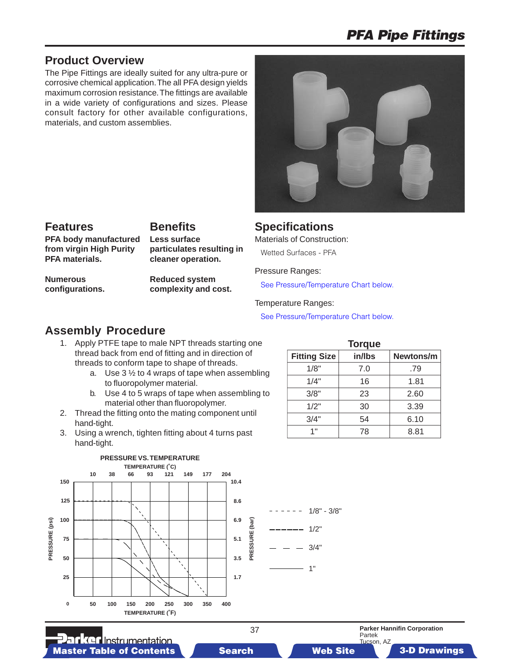# **PFA Pipe Fittings**

# <span id="page-36-0"></span>**Product Overview**

The Pipe Fittings are ideally suited for any ultra-pure or corrosive chemical application. The all PFA design yields maximum corrosion resistance. The fittings are available in a wide variety of configurations and sizes. Please consult factory for other available configurations, materials, and custom assemblies.



# **Features**

# **Benefits**

**PFA body manufactured from virgin High Purity PFA materials.**

**Numerous configurations.** **Less surface particulates resulting in cleaner operation.**

**Reduced system complexity and cost.**

# **Specifications**

Materials of Construction:

Wetted Surfaces - PFA

#### Pressure Ranges:

See Pressure/Temperature Chart below.

#### Temperature Ranges:

See Pressure/Temperature Chart below.

# **Assembly Procedure**

- 1. Apply PTFE tape to male NPT threads starting one thread back from end of fitting and in direction of threads to conform tape to shape of threads.
	- a. Use  $3\frac{1}{2}$  to 4 wraps of tape when assembling to fluoropolymer material.
	- b. Use 4 to 5 wraps of tape when assembling to material other than fluoropolymer.
- 2. Thread the fitting onto the mating component until hand-tight.
- 3. Using a wrench, tighten fitting about 4 turns past hand-tight.

|                     | <b>Torque</b> |           |
|---------------------|---------------|-----------|
| <b>Fitting Size</b> | in/lbs        | Newtons/m |
| 1/8"                | 7.0           | .79       |
| 1/4"                | 16            | 1.81      |
| 3/8"                | 23            | 2.60      |
| 1/2"                | 30            | 3.39      |
| 3/4"                | 54            | 6.10      |
| 1"                  | 78            | 8.81      |

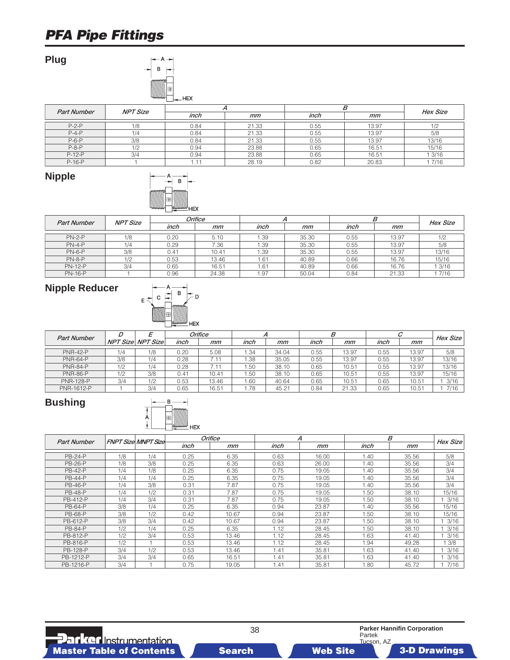# <span id="page-37-0"></span>**PFA Pipe Fittings**



| <b>Part Number</b> | <b>NPT Size</b> |      |       |      |       | <b>Hex Size</b> |
|--------------------|-----------------|------|-------|------|-------|-----------------|
|                    |                 | inch | mm    | inch | mm    |                 |
| $P-2-P$            | 1/8             | 0.84 | 21.33 | 0.55 | 13.97 | 1/2             |
| $P-4-P$            | 1/4             | 0.84 | 21.33 | 0.55 | 13.97 | 5/8             |
| $P-6-P$            | 3/8             | 0.84 | 21.33 | 0.55 | 13.97 | 13/16           |
| $P-8-P$            | 1/2             | 0.94 | 23.88 | 0.65 | 16.51 | 15/16           |
| $P-12-P$           | 3/4             | 0.94 | 23.88 | 0.65 | 16.51 | 3/16            |
| $P-16-P$           |                 | 4.11 | 28.19 | 0.82 | 20.83 | 7/16            |

# **Nipple**



| <b>Part Number</b> | <b>NPT Size</b> |      | Orifice |      |       |      |       | <b>Hex Size</b> |  |
|--------------------|-----------------|------|---------|------|-------|------|-------|-----------------|--|
|                    |                 | inch | mm      | inch | mm    | inch | mm    |                 |  |
|                    |                 |      |         |      |       |      |       |                 |  |
| $PN-2-P$           | 1/8             | 0.20 | 5.10    | .39  | 35.30 | 0.55 | 13.97 |                 |  |
| $PN-4-P$           | 1/4             | 0.29 | 7.36    | .39  | 35.30 | 0.55 | 13.97 | 5/8             |  |
| $PN-6-P$           | 3/8             | 0.41 | 10.41   | .39  | 35.30 | 0.55 | 13.97 | 13/16           |  |
| $PN-8-P$           | 1/2             | 0.53 | 13.46   | 1.61 | 40.89 | 0.66 | 16.76 | 15/16           |  |
| <b>PN-12-P</b>     | 3/4             | 0.65 | 16.51   | . 61 | 40.89 | 0.66 | 16.76 | 1 3/16          |  |
| <b>PN-16-P</b>     |                 | 0.96 | 24.38   | 1.97 | 50.04 | 0.84 | 21.33 | 7/16            |  |

# **Nipple Reducer**



| <b>Part Number</b> |                 |           | Orifice |       |       |       |      |       |      |       | Hex Size |
|--------------------|-----------------|-----------|---------|-------|-------|-------|------|-------|------|-------|----------|
|                    | <b>NPT Size</b> | NPT Sizel | inch    | mm    | inch  | mm    | inch | mm    | inch | mm    |          |
| <b>PNR-42-P</b>    | 1/4             | 1/8       | 0.20    | 5.08  | . 34  | 34.04 | 0.55 | 13.97 | 0.55 | 13.97 | 5/8      |
| <b>PNR-64-P</b>    | 3/8             | 1/4       | 0.28    | 7.11  | 38. ا | 35.05 | 0.55 | 13.97 | 0.55 | 13.97 | 13/16    |
| <b>PNR-84-P</b>    | 1/2             | 1/4       | 0.28    | 7.11  | . 50  | 38.10 | 0.65 | 10.51 | 0.55 | 13.97 | 13/16    |
| <b>PNR-86-P</b>    | 1/2             | 3/8       | 0.41    | 10.41 | 1.50  | 38.10 | 0.65 | 10.51 | 0.55 | 13.97 | 15/16    |
| <b>PNR-128-P</b>   | 3/4             | 1/2       | 0.53    | 13.46 | .60   | 40.64 | 0.65 | 10.51 | 0.65 | 10.51 | 3/16     |
| PNR-1612-P         |                 | 3/4       | 0.65    | 16.51 | .78   | 45.21 | 0.84 | 21.33 | 0.65 | 10.51 | 7/16     |

# **Bushing**



| <b>Part Number</b> |     | <b>FNPT Size MNPT Size</b> |      | Orifice |      | Α     |      | B     | <b>Hex Size</b> |
|--------------------|-----|----------------------------|------|---------|------|-------|------|-------|-----------------|
|                    |     |                            | inch | mm      | inch | mm    | inch | mm    |                 |
| <b>PB-24-P</b>     | 1/8 | 1/4                        | 0.25 | 6.35    | 0.63 | 16.00 | 1.40 | 35.56 | 5/8             |
| PB-26-P            | 1/8 | 3/8                        | 0.25 | 6.35    | 0.63 | 26.00 | 1.40 | 35.56 | 3/4             |
| <b>PB-42-P</b>     | 1/4 | 1/8                        | 0.25 | 6.35    | 0.75 | 19.05 | 1.40 | 35.56 | 3/4             |
| <b>PB-44-P</b>     | 1/4 | 1/4                        | 0.25 | 6.35    | 0.75 | 19.05 | 1.40 | 35.56 | 3/4             |
| <b>PB-46-P</b>     | 1/4 | 3/8                        | 0.31 | 7.87    | 0.75 | 19.05 | 1.40 | 35.56 | 3/4             |
| <b>PB-48-P</b>     | 1/4 | 1/2                        | 0.31 | 7.87    | 0.75 | 19.05 | 1.50 | 38.10 | 15/16           |
| PB-412-P           | 1/4 | 3/4                        | 0.31 | 7.87    | 0.75 | 19.05 | 1.50 | 38.10 | 3/16            |
| <b>PB-64-P</b>     | 3/8 | 1/4                        | 0.25 | 6.35    | 0.94 | 23.87 | 1.40 | 35.56 | 15/16           |
| PB-68-P            | 3/8 | 1/2                        | 0.42 | 10.67   | 0.94 | 23.87 | 1.50 | 38.10 | 15/16           |
| PB-612-P           | 3/8 | 3/4                        | 0.42 | 10.67   | 0.94 | 23.87 | 1.50 | 38.10 | 3/16            |
| <b>PB-84-P</b>     | 1/2 | 1/4                        | 0.25 | 6.35    | 1.12 | 28.45 | 1.50 | 38.10 | 3/16            |
| PB-812-P           | 1/2 | 3/4                        | 0.53 | 13.46   | 1.12 | 28.45 | 1.63 | 41.40 | 3/16            |
| PB-816-P           | 1/2 |                            | 0.53 | 13.46   | 1.12 | 28.45 | 1.94 | 49.28 | 3/8             |
| <b>PB-128-P</b>    | 3/4 | 1/2                        | 0.53 | 13.46   | 1.41 | 35.81 | 1.63 | 41.40 | 3/16            |
| PB-1212-P          | 3/4 | 3/4                        | 0.65 | 16.51   | 1.41 | 35.81 | 1.63 | 41.40 | 3/16            |
| PB-1216-P          | 3/4 |                            | 0.75 | 19.05   | 1.41 | 35.81 | 1.80 | 45.72 | 7/16            |



38



**Plug**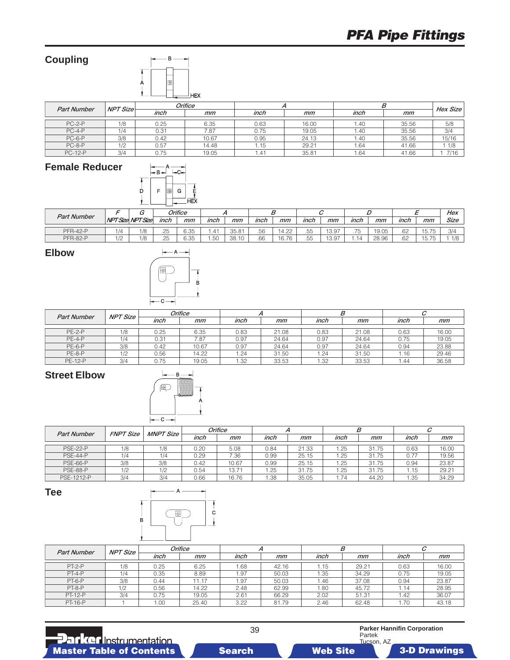# <span id="page-38-0"></span>**Coupling** B n. A **HEX**

| <b>Part Number</b> | <b>NPT Size</b> |      | Orifice |       |       |      |       | Hex Size |
|--------------------|-----------------|------|---------|-------|-------|------|-------|----------|
|                    |                 | inch | mm      | inch  | mm    | inch | mm    |          |
| $PC-2-P$           | 1/8             | 0.25 | 6.35    | 0.63  | 16.00 | .40  | 35.56 | 5/8      |
| $PC-4-P$           | 1/4             | 0.31 | 7.87    | 0.75  | 19.05 | 1.40 | 35.56 | 3/4      |
| $PC-6-P$           | 3/8             | 0.42 | 10.67   | 0.95  | 24.13 | 1.40 | 35.56 | 15/16    |
| $PC-8-P$           | 1/2             | 0.57 | 14.48   | l. 15 | 29.21 | .64  | 41.66 | 1/8      |
| <b>PC-12-P</b>     | 3/4             | 0.75 | 19.05   | .41   | 35.81 | 1.64 | 41.66 | 7/16     |

# **Female Reducer**

| $-B +$ |                         |         |            |
|--------|-------------------------|---------|------------|
| F      | $\overline{\mathbb{P}}$ | G       | Ê          |
|        |                         |         | <b>HEX</b> |
|        |                         | Arifira |            |

 $\begin{bmatrix} 1 \\ 0 \\ 1 \end{bmatrix}$ 

| <b>Part Number</b> |      |                   |      | Orifice      |           |       |      |       |                      |       |                                   |       |      |                                             | Hex  |
|--------------------|------|-------------------|------|--------------|-----------|-------|------|-------|----------------------|-------|-----------------------------------|-------|------|---------------------------------------------|------|
|                    |      | NPT Size NPT Size | inch | mm           | inch      | mm    | inch | mm    | inch                 | mm    | inch                              | mm    | inch | mm                                          | Size |
|                    |      |                   |      |              |           |       |      |       |                      |       |                                   |       |      |                                             |      |
| <b>PFR-42-P</b>    | ' /4 | 1/8               | .25  | こつに<br>ບ.ວວ  | .41       | 35.81 | .56  | 14.22 | $-$<br>h h<br>ں ں .  | 13.97 | $\overline{\phantom{a}}$<br>ں ، . | 19.05 | .62  | 1575<br>J. I J                              | 3/4  |
| <b>PFR-82-P</b>    | 1/2  | 1/8               | .25  | G 35<br>U.JJ | 50<br>ں ب | 38.10 | .66  | 16.76 | $- -$<br>$-1$<br>ں ب | 13.97 |                                   | 28.96 | .62  | $\overline{\phantom{0}}$<br>$- -$<br>J. I J | 1/8  |

#### **Elbow**



| <b>Part Number</b> | <b>NPT Size</b> |      | Orifice |      |       |      |       |      |       |
|--------------------|-----------------|------|---------|------|-------|------|-------|------|-------|
|                    |                 | inch | mm      | inch | mm    | inch | mm    | inch | mm    |
|                    |                 |      |         |      |       |      |       |      |       |
| $PE-2-P$           | 1/8             | 0.25 | 6.35    | 0.83 | 21.08 | 0.83 | 21.08 | 0.63 | 16.00 |
| $PE-4-P$           | 1/4             | 0.31 | 7.87    | 0.97 | 24.64 | 0.97 | 24.64 | 0.75 | 19.05 |
| $PE-6-P$           | 3/8             | 0.42 | 10.67   | 0.97 | 24.64 | 0.97 | 24.64 | 0.94 | 23.88 |
| $PE-8-P$           | 1/2             | 0.56 | 14.22   | .24  | 31.50 | .24  | 31.50 | 1.16 | 29.46 |
| <b>PE-12-P</b>     | 3/4             | 0.75 | 19.05   | . 32 | 33.53 | .32  | 33.53 | .44  | 36.58 |

# **Street Elbow**



| <b>Part Number</b> | <b>FNPT Size</b> | <b>MNPT Size</b> |      | Orifice |      |       |      | В     |      |       |
|--------------------|------------------|------------------|------|---------|------|-------|------|-------|------|-------|
|                    |                  |                  | inch | mm      | inch | mm    | inch | mm    | inch | mm    |
|                    |                  |                  |      |         |      |       |      |       |      |       |
| <b>PSE-22-P</b>    | 1/8              | 1/8              | 0.20 | 5.08    | 0.84 | 21.33 | .25  | 31.75 | 0.63 | 16.00 |
| <b>PSE-44-P</b>    | 1/4              | 1/4              | 0.29 | 7.36    | 0.99 | 25.15 | .25  | 31.75 | 0.77 | 19.56 |
| <b>PSE-66-P</b>    | 3/8              | 3/8              | 0.42 | 10.67   | 0.99 | 25.15 | .25  | 31.75 | 0.94 | 23.87 |
| <b>PSE-88-P</b>    | 1/2              | 1/2              | 0.54 | 13.71   | 1.25 | 31.75 | . 25 | 31.75 | 1.15 | 29.21 |
| PSE-1212-P         | 3/4              | 3/4              | 0.66 | 16.76   | 1.38 | 35.05 | 1.74 | 44.20 | 1.35 | 34.29 |

**Tee**



| <b>Part Number</b> | <b>NPT Size</b> |      | Orifice |      |       |       |       |      |       |
|--------------------|-----------------|------|---------|------|-------|-------|-------|------|-------|
|                    |                 | inch | mm      | inch | mm    | inch  | mm    | inch | mm    |
| $PT-2-P$           | 1/8             | 0.25 | 6.25    | .68  | 42.16 | 15    | 29.21 | 0.63 | 16.00 |
| $PT-4-P$           | 1/4             | 0.35 | 8.89    | .97  | 50.03 | i .35 | 34.29 | 0.75 | 19.05 |
| $PT-6-P$           | 3/8             | 0.44 | 11.17   | 1.97 | 50.03 | 1.46  | 37.08 | 0.94 | 23.87 |
| $PT-8-P$           | 1/2             | 0.56 | 14.22   | 2.48 | 62.99 | .80   | 45.72 | 1.14 | 28.95 |
| <b>PT-12-P</b>     | 3/4             | 0.75 | 19.05   | 2.61 | 66.29 | 2.02  | 51.31 | 1.42 | 36.07 |
| <b>PT-16-P</b>     |                 | .00  | 25.40   | 3.22 | 81.79 | 2.46  | 62.48 | .70  | 43.18 |



39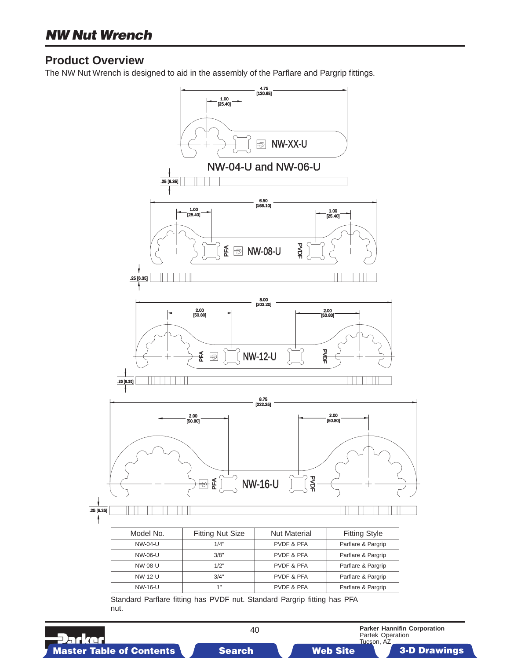# <span id="page-39-0"></span>**Product Overview**

The NW Nut Wrench is designed to aid in the assembly of the Parflare and Pargrip fittings.



![](_page_39_Figure_4.jpeg)

![](_page_39_Figure_5.jpeg)

40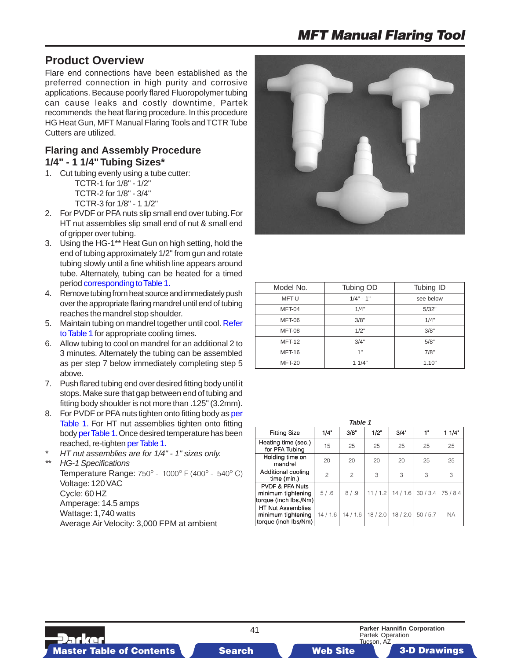# **MFT Manual Flaring Tool**

# <span id="page-40-0"></span>**Product Overview**

Flare end connections have been established as the preferred connection in high purity and corrosive applications. Because poorly flared Fluoropolymer tubing can cause leaks and costly downtime, Partek recommends the heat flaring procedure. In this procedure HG Heat Gun, MFT Manual Flaring Tools and TCTR Tube Cutters are utilized.

#### **Flaring and Assembly Procedure 1/4" - 1 1/4" Tubing Sizes\***

- 1. Cut tubing evenly using a tube cutter: TCTR-1 for 1/8" - 1/2" TCTR-2 for 1/8" - 3/4" TCTR-3 for 1/8" - 1 1/2"
- 2. For PVDF or PFA nuts slip small end over tubing. For HT nut assemblies slip small end of nut & small end of gripper over tubing.
- 3. Using the HG-1\*\* Heat Gun on high setting, hold the end of tubing approximately 1/2" from gun and rotate tubing slowly until a fine whitish line appears around tube. Alternately, tubing can be heated for a timed period corresponding to Table 1.
- 4. Remove tubing from heat source and immediately push over the appropriate flaring mandrel until end of tubing reaches the mandrel stop shoulder.
- 5. Maintain tubing on mandrel together until cool. Refer to Table 1 for appropriate cooling times.
- 6. Allow tubing to cool on mandrel for an additional 2 to 3 minutes. Alternately the tubing can be assembled as per step 7 below immediately completing step 5 above.
- 7. Push flared tubing end over desired fitting body until it stops. Make sure that gap between end of tubing and fitting body shoulder is not more than .125" (3.2mm).
- 8. For PVDF or PFA nuts tighten onto fitting body as per Table 1. For HT nut assemblies tighten onto fitting body per Table 1. Once desired temperature has been reached, re-tighten per Table 1.
- *\* HT nut assemblies are for 1/4" 1" sizes only.*

arker

*\*\* HG-1 Specifications* Temperature Range: 750° - 1000° F (400° - 540° C) Voltage: 120 VAC Cycle: 60 HZ Amperage: 14.5 amps Wattage: 1,740 watts Average Air Velocity: 3,000 FPM at ambient

![](_page_40_Picture_14.jpeg)

| Model No.     | Tubing OD   | Tubing ID |
|---------------|-------------|-----------|
| MFT-U         | $1/4" - 1"$ | see below |
| MFT-04        | 1/4"        | 5/32"     |
| <b>MFT-06</b> | 3/8"        | 1/4"      |
| <b>MFT-08</b> | 1/2"        | 3/8"      |
| <b>MFT-12</b> | 3/4"        | 5/8"      |
| <b>MFT-16</b> | 1"          | 7/8"      |
| <b>MFT-20</b> | 11/4"       | 1.10"     |

| Table 1                                                                   |        |                |        |        |        |           |  |  |  |
|---------------------------------------------------------------------------|--------|----------------|--------|--------|--------|-----------|--|--|--|
| <b>Fitting Size</b>                                                       | 1/4"   | 3/8"           | 1/2"   | 3/4"   | 1"     | 11/4"     |  |  |  |
| Heating time (sec.)<br>for PFA Tubing                                     | 15     | 25             | 25     | 25     | 25     | 25        |  |  |  |
| Holding time on<br>mandrel                                                | 20     | 20             | 20     | 20     | 25     | 25        |  |  |  |
| Additional cooling<br>time (min.)                                         | 2      | $\mathfrak{D}$ | 3      | 3      | 3      | 3         |  |  |  |
| <b>PVDF &amp; PFA Nuts</b><br>minimum tightening<br>torque (inch lbs./Nm) | 5/6    | 8/9            | 11/1.2 | 14/1.6 | 30/3.4 | 75/8.4    |  |  |  |
| <b>HT Nut Assemblies</b><br>minimum tightening<br>torque (inch lbs/Nm)    | 14/1.6 | 14/1.6         | 18/2.0 | 18/2.0 | 50/5.7 | <b>NA</b> |  |  |  |

**Parker Hannifin Corporation** Partek Operation Tucson, AZ

Master Table of Contents **3. Dearch Master Table of Contents Search** Master T Master Table of Contents 3-D Drawings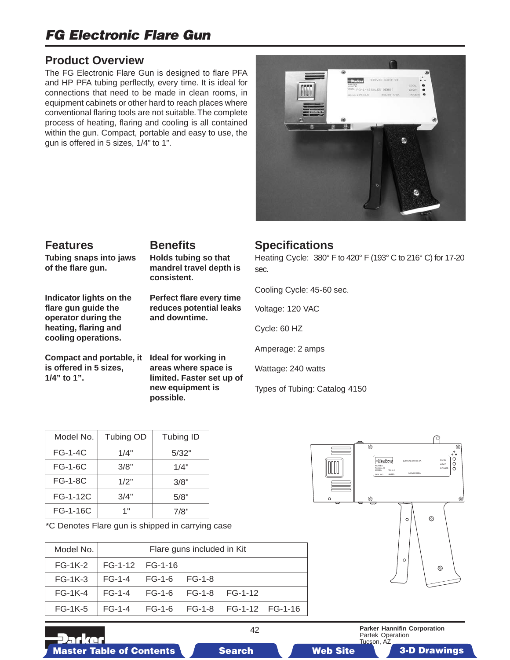# <span id="page-41-0"></span>**Product Overview**

The FG Electronic Flare Gun is designed to flare PFA and HP PFA tubing perflectly, every time. It is ideal for connections that need to be made in clean rooms, in equipment cabinets or other hard to reach places where conventional flaring tools are not suitable. The complete process of heating, flaring and cooling is all contained within the gun. Compact, portable and easy to use, the gun is offered in 5 sizes, 1/4" to 1".

![](_page_41_Picture_3.jpeg)

# **Features**

**Benefits**

**Tubing snaps into jaws of the flare gun.**

**Indicator lights on the flare gun guide the operator during the heating, flaring and cooling operations.**

**Holds tubing so that mandrel travel depth is consistent.**

**Perfect flare every time reduces potential leaks and downtime.**

# **Specifications**

Heating Cycle: 380° F to 420° F (193° C to 216° C) for 17-20 sec.

Cooling Cycle: 45-60 sec.

Voltage: 120 VAC

Cycle: 60 HZ

Amperage: 2 amps

Wattage: 240 watts

Types of Tubing: Catalog 4150

| <b>Compact and portable, it</b> |  |
|---------------------------------|--|
| is offered in 5 sizes,          |  |
| 1/4" to 1".                     |  |

**Ideal for working in areas where space is limited. Faster set up of new equipment is possible.**

| Model No.      | <b>Tubing OD</b> | Tubing ID |
|----------------|------------------|-----------|
| $FG-1-4C$      | 1/4"             | 5/32"     |
| <b>FG-1-6C</b> | 3/8"             | 1/4"      |
| <b>FG-1-8C</b> | 1/2"             | 3/8"      |
| FG-1-12C       | 3/4"             | 5/8"      |
| FG-1-16C       | 1"               | 7/8"      |

\*C Denotes Flare gun is shipped in carrying case

| Model No.                                      |                              | Flare guns included in Kit |  |  |  |  |  |  |
|------------------------------------------------|------------------------------|----------------------------|--|--|--|--|--|--|
| $FG-1K-2$                                      | FG-1-12 FG-1-16              |                            |  |  |  |  |  |  |
| $FG-1K-3$                                      | FG-1-4 FG-1-6 FG-1-8         |                            |  |  |  |  |  |  |
| $FG-1K-4$                                      | FG-1-4 FG-1-6 FG-1-8 FG-1-12 |                            |  |  |  |  |  |  |
| FG-1K-5   FG-1-4 FG-1-6 FG-1-8 FG-1-12 FG-1-16 |                              |                            |  |  |  |  |  |  |

![](_page_41_Figure_23.jpeg)

Partek Operation Tucson, AZ

Yarker Master Table of Contents **3. Dearch Master Table of Contents 3-D Drawings** Search Master Table of Contents 3-D Drawings

42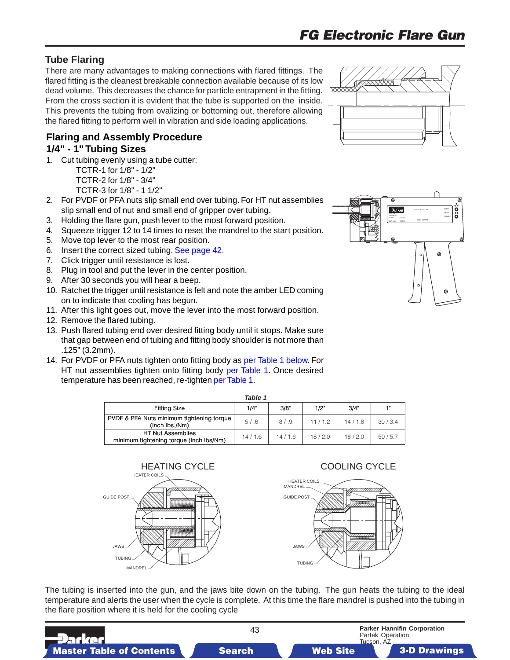The tubing is inserted into the gun, and the jaws bite down on the tubing. The gun heats the tubing to the ideal temperature and alerts the user when the cycle is complete. At this time the flare mandrel is pushed into the tubing in

### **Tube Flaring**

There are many advantages to making connections with flared fittings. The flared fitting is the cleanest breakable connection available because of its low dead volume. This decreases the chance for particle entrapment in the fitting. From the cross section it is evident that the tube is supported on the inside. This prevents the tubing from ovalizing or bottoming out, therefore allowing the flared fitting to perform well in vibration and side loading applications.

### **Flaring and Assembly Procedure 1/4" - 1" Tubing Sizes**

- 1. Cut tubing evenly using a tube cutter:
	- TCTR-1 for 1/8" 1/2" TCTR-2 for 1/8" - 3/4"
	-
	- TCTR-3 for 1/8" 1 1/2"
- 2. For PVDF or PFA nuts slip small end over tubing. For HT nut assemblies slip small end of nut and small end of gripper over tubing.
- 3. Holding the flare gun, push lever to the most forward position.
- 4. Squeeze trigger 12 to 14 times to reset the mandrel to the start position.
- 5. Move top lever to the most rear position.
- 6. Insert the correct sized tubi[ng. See page 42.](#page-41-0)
- 7. Click trigger until resistance is lost.
- 8. Plug in tool and put the lever in the center position.
- 9. After 30 seconds you will hear a beep.
- 10. Ratchet the trigger until resistance is felt and note the amber LED coming on to indicate that cooling has begun.
- 11. After this light goes out, move the lever into the most forward position.
- 12. Remove the flared tubing.
- 13. Push flared tubing end over desired fitting body until it stops. Make sure that gap between end of tubing and fitting body shoulder is not more than .125" (3.2mm).
- 14. For PVDF or PFA nuts tighten onto fitting body as per Table 1 below. For HT nut assemblies tighten onto fitting body per Table 1. Once desired temperature has been reached, re-tighten per Table 1.

| Table 1                                                             |        |        |        |        |        |  |  |  |  |
|---------------------------------------------------------------------|--------|--------|--------|--------|--------|--|--|--|--|
| <b>Fitting Size</b>                                                 | 1/4"   | 3/8"   | 1/2"   | 3/4"   | 1"     |  |  |  |  |
| PVDF & PFA Nuts minimum tightening torque<br>(inch lbs./Nm)         | 5/6    | 8/9    | 11/1.2 | 14/1.6 | 30/3.4 |  |  |  |  |
| <b>HT Nut Assemblies</b><br>minimum tightening torque (inch lbs/Nm) | 14/1.6 | 14/1.6 | 18/2.0 | 18/2.0 | 50/5.7 |  |  |  |  |

![](_page_42_Figure_22.jpeg)

the flare position where it is held for the cooling cycle

![](_page_42_Figure_24.jpeg)

![](_page_42_Figure_25.jpeg)

ᅑᅑ

![](_page_42_Figure_26.jpeg)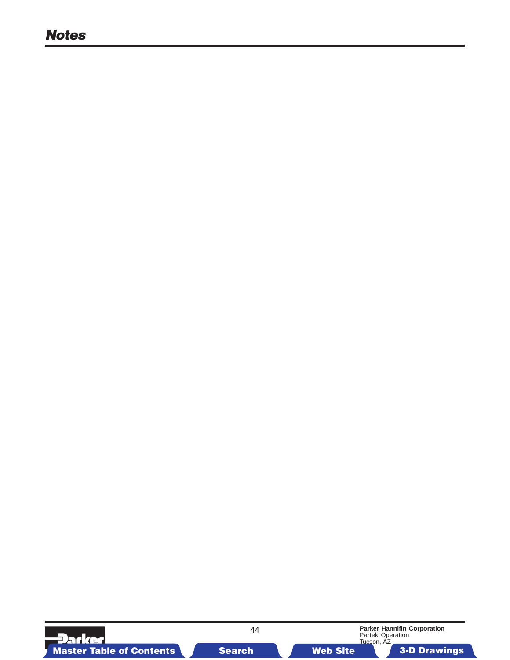![](_page_43_Figure_1.jpeg)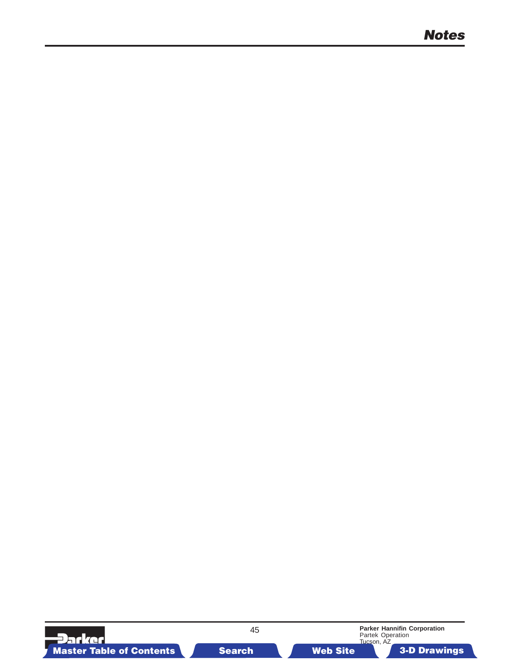![](_page_44_Figure_1.jpeg)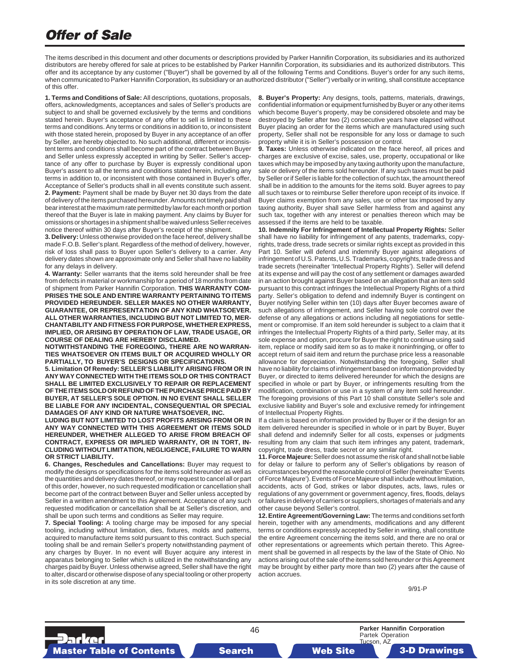# <span id="page-45-0"></span>**Offer of Sale**

The items described in this document and other documents or descriptions provided by Parker Hannifin Corporation, its subsidiaries and its authorized distributors are hereby offered for sale at prices to be established by Parker Hannifin Corporation, its subsidiaries and its authorized distributors. This offer and its acceptance by any customer ("Buyer") shall be governed by all of the following Terms and Conditions. Buyer's order for any such items, when communicated to Parker Hannifin Corporation, its subsidiary or an authorized distributor ("Seller") verbally or in writing, shall constitute acceptance of this offer.

**1. Terms and Conditions of Sale:** All descriptions, quotations, proposals, offers, acknowledgments, acceptances and sales of Seller's products are subject to and shall be governed exclusively by the terms and conditions stated herein. Buyer's acceptance of any offer to sell is limited to these terms and conditions. Any terms or conditions in addition to, or inconsistent with those stated herein, proposed by Buyer in any acceptance of an offer by Seller, are hereby objected to. No such additional, different or inconsistent terms and conditions shall become part of the contract between Buyer and Seller unless expressly accepted in writing by Seller. Seller's acceptance of any offer to purchase by Buyer is expressly conditional upon Buyer's assent to all the terms and conditions stated herein, including any terms in addition to, or inconsistent with those contained in Buyer's offer, Acceptance of Seller's products shall in all events constitute such assent. **2. Payment:** Payment shall be made by Buyer net 30 days from the date of delivery of the items purchased hereunder. Amounts not timely paid shall bear interest at the maximum rate permitted by law for each month or portion thereof that the Buyer is late in making payment. Any claims by Buyer for omissions or shortages in a shipment shall be waived unless Seller receives notice thereof within 30 days after Buyer's receipt of the shipment.

**3. Delivery:** Unless otherwise provided on the face hereof, delivery shall be made F.O.B. Seller's plant. Regardless of the method of delivery, however, risk of loss shall pass to Buyer upon Seller's delivery to a carrier. Any delivery dates shown are approximate only and Seller shall have no liability for any delays in delivery.

**4. Warranty:** Seller warrants that the items sold hereunder shall be free from defects in material or workmanship for a period of 18 months from date of shipment from Parker Hannifin Corporation. **THIS WARRANTY COM-PRISES THE SOLE AND ENTIRE WARRANTY PERTAINING TO ITEMS PROVIDED HEREUNDER. SELLER MAKES NO OTHER WARRANTY, GUARANTEE, OR REPRESENTATION OF ANY KIND WHATSOEVER. ALL OTHER WARRANTIES, INCLUDING BUT NOT LIMITED TO, MER-CHANTABILITY AND FITNESS FOR PURPOSE, WHETHER EXPRESS, IMPLIED, OR ARISING BY OPERATION OF LAW, TRADE USAGE, OR COURSE OF DEALING ARE HEREBY DISCLAIMED.**

**NOTWITHSTANDING THE FOREGOING, THERE ARE NO WARRAN-TIES WHATSOEVER ON ITEMS BUILT OR ACQUIRED WHOLLY OR PARTIALLY, TO BUYER'S DESIGNS OR SPECIFICATIONS.**

**5. Limitation Of Remedy: SELLER'S LIABILITY ARISING FROM OR IN ANY WAY CONNECTED WITH THE ITEMS SOLD OR THIS CONTRACT SHALL BE LIMITED EXCLUSIVELY TO REPAIR OR REPLACEMENT OF THE ITEMS SOLD OR REFUND OF THE PURCHASE PRICE PAID BY BUYER, AT SELLER'S SOLE OPTION. IN NO EVENT SHALL SELLER BE LIABLE FOR ANY INCIDENTAL, CONSEQUENTIAL OR SPECIAL DAMAGES OF ANY KIND OR NATURE WHATSOEVER, INC.**

**LUDING BUT NOT LIMITED TO LOST PROFITS ARISING FROM OR IN ANY WAY CONNECTED WITH THIS AGREEMENT OR ITEMS SOLD HEREUNDER, WHETHER ALLEGED TO ARISE FROM BREACH OF CONTRACT, EXPRESS OR IMPLIED WARRANTY, OR IN TORT, IN-CLUDING WITHOUT LIMITATION, NEGLIGENCE, FAILURE TO WARN OR STRICT LIABILITY.**

**6. Changes, Reschedules and Cancellations:** Buyer may request to modify the designs or specifications for the items sold hereunder as well as the quantities and delivery dates thereof, or may request to cancel all or part of this order, however, no such requested modification or cancellation shall become part of the contract between Buyer and Seller unless accepted by Seller in a written amendment to this Agreement. Acceptance of any such requested modification or cancellation shall be at Seller's discretion, and shall be upon such terms and conditions as Seller may require.

**7. Special Tooling:** A tooling charge may be imposed for any special tooling, including without limitation, dies, fixtures, molds and patterns, acquired to manufacture items sold pursuant to this contract. Such special tooling shall be and remain Seller's property notwithstanding payment of any charges by Buyer. In no event will Buyer acquire any interest in apparatus belonging to Seller which is utilized in the notwithstanding any charges paid by Buyer. Unless otherwise agreed, Seller shall have the right to alter, discard or otherwise dispose of any special tooling or other property in its sole discretion at any time.

**8. Buyer's Property:** Any designs, tools, patterns, materials, drawings, confidential information or equipment furnished by Buyer or any other items which become Buyer's property, may be considered obsolete and may be destroyed by Seller after two (2) consecutive years have elapsed without Buyer placing an order for the items which are manufactured using such property, Seller shall not be responsible for any loss or damage to such property while it is in Seller's possession or control.

**9. Taxes:** Unless otherwise indicated on the face hereof, all prices and charges are exclusive of excise, sales, use, property, occupational or like taxes which may be imposed by any taxing authority upon the manufacture, sale or delivery of the items sold hereunder. If any such taxes must be paid by Seller or if Seller is liable for the collection of such tax, the amount thereof shall be in addition to the amounts for the items sold. Buyer agrees to pay all such taxes or to reimburse Seller therefore upon receipt of its invoice. If Buyer claims exemption from any sales, use or other tax imposed by any taxing authority, Buyer shall save Seller harmless from and against any such tax, together with any interest or penalties thereon which may be assessed if the items are held to be taxable.

**10. Indemnity For Infringement of Intellectual Property Rights:** Seller shall have no liability for infringement of any patents, trademarks, copyrights, trade dress, trade secrets or similar rights except as provided in this Part 10. Seller will defend and indemnify Buyer against allegations of infringement of U.S. Patents, U.S. Trademarks, copyrights, trade dress and trade secrets (hereinafter 'Intellectual Property Rights'). Seller will defend at its expense and will pay the cost of any settlement or damages awarded in an action brought against Buyer based on an allegation that an item sold pursuant to this contract infringes the Intellectual Property Rights of a third party. Seller's obligation to defend and indemnify Buyer is contingent on Buyer notifying Seller within ten (10) days after Buyer becomes aware of such allegations of infringement, and Seller having sole control over the defense of any allegations or actions including all negotiations for settlement or compromise. If an item sold hereunder is subject to a claim that it infringes the Intellectual Property Rights of a third party, Seller may, at its sole expense and option, procure for Buyer the right to continue using said item, replace or modify said item so as to make it noninfringing, or offer to accept return of said item and return the purchase price less a reasonable allowance for depreciation. Notwithstanding the foregoing, Seller shall have no liability for claims of infringement based on information provided by Buyer, or directed to items delivered hereunder for which the designs are specified in whole or part by Buyer, or infringements resulting from the modification, combination or use in a system of any item sold hereunder. The foregoing provisions of this Part 10 shall constitute Seller's sole and exclusive liability and Buyer's sole and exclusive remedy for infringement of Intellectual Property Rights.

If a claim is based on information provided by Buyer or if the design for an item delivered hereunder is specified in whole or in part by Buyer, Buyer shall defend and indemnify Seller for all costs, expenses or judgments resulting from any claim that such item infringes any patent, trademark, copyright, trade dress, trade secret or any similar right.

**11.Force Majeure:** Seller does not assume the risk of and shall not be liable for delay or failure to perform any of Seller's obligations by reason of circumstances beyond the reasonable control of Seller (hereinafter 'Events of Force Majeure'). Events of Force Majeure shall include without limitation, accidents, acts of God, strikes or labor disputes, acts, laws, rules or regulations of any government or government agency, fires, floods, delays or failures in delivery of carriers or suppliers, shortages of materials and any other cause beyond Seller's control.

**12.Entire Agreement/Governing Law:** The terms and conditions set forth herein, together with any amendments, modifications and any different terms or conditions expressly accepted by Seller in writing, shall constitute the entire Agreement concerning the items sold, and there are no oral or other representations or agreements which pertain thereto. This Agreement shall be governed in all respects by the law of the State of Ohio. No actions arising out of the sale of the items sold hereunder or this Agreement may be brought by either party more than two (2) years after the cause of action accrues.

9/91-P

![](_page_45_Picture_17.jpeg)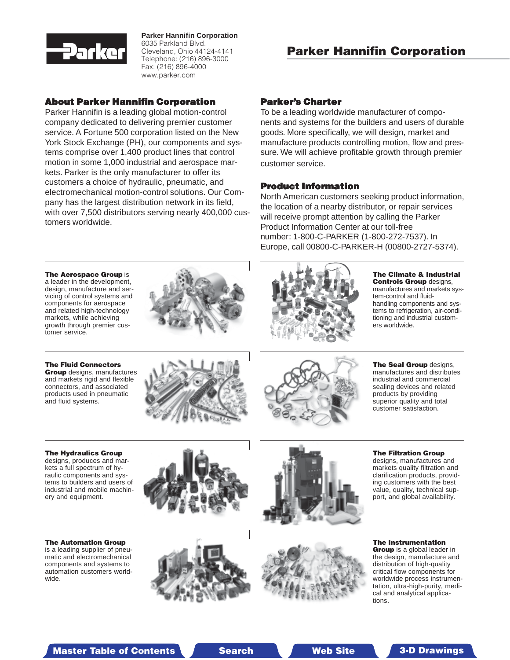![](_page_46_Picture_0.jpeg)

**Parker Hannifin Corporation** 6035 Parkland Blvd. Cleveland, Ohio 44124-4141 Telephone: (216) 896-3000 Fax: (216) 896-4000 www.parker.com

#### **About Parker Hannifin Corporation**

Parker Hannifin is a leading global motion-control company dedicated to delivering premier customer service. A Fortune 500 corporation listed on the New York Stock Exchange (PH), our components and systems comprise over 1,400 product lines that control motion in some 1,000 industrial and aerospace markets. Parker is the only manufacturer to offer its customers a choice of hydraulic, pneumatic, and electromechanical motion-control solutions. Our Company has the largest distribution network in its field, with over 7,500 distributors serving nearly 400,000 customers worldwide.

# **Parker Hannifin Corporation**

#### **Parker's Charter**

To be a leading worldwide manufacturer of components and systems for the builders and users of durable goods. More specifically, we will design, market and manufacture products controlling motion, flow and pressure. We will achieve profitable growth through premier customer service.

#### **Product Information**

North American customers seeking product information, the location of a nearby distributor, or repair services will receive prompt attention by calling the Parker Product Information Center at our toll-free number: 1-800-C-PARKER (1-800-272-7537). In Europe, call 00800-C-PARKER-H (00800-2727-5374).

**The Aerospace Group** is a leader in the development, design, manufacture and servicing of control systems and components for aerospace and related high-technology markets, while achieving growth through premier customer service.

![](_page_46_Picture_10.jpeg)

**The Climate & Industrial Controls Group** designs,

manufactures and markets system-control and fluidhandling components and systems to refrigeration, air-conditioning and industrial customers worldwide.

**The Fluid Connectors Group** designs, manufactures and markets rigid and flexible connectors, and associated products used in pneumatic and fluid systems.

![](_page_46_Picture_15.jpeg)

![](_page_46_Picture_16.jpeg)

**The Seal Group** designs, manufactures and distributes industrial and commercial sealing devices and related products by providing superior quality and total customer satisfaction.

#### **The Hydraulics Group** designs, produces and markets a full spectrum of hyraulic components and systems to builders and users of industrial and mobile machinery and equipment.

**The Automation Group** is a leading supplier of pneumatic and electromechanical components and systems to automation customers worldwide.

![](_page_46_Picture_21.jpeg)

**The Filtration Group** designs, manufactures and

markets quality filtration and clarification products, providing customers with the best value, quality, technical support, and global availability.

**The Instrumentation Group** is a global leader in the design, manufacture and distribution of high-quality critical flow components for worldwide process instrumentation, ultra-high-purity, medical and analytical applications.

Master Table of Contents **3. Dearch Master Table of Contents 3-D Drawings** Search Master Table of Contents 3-D Drawings